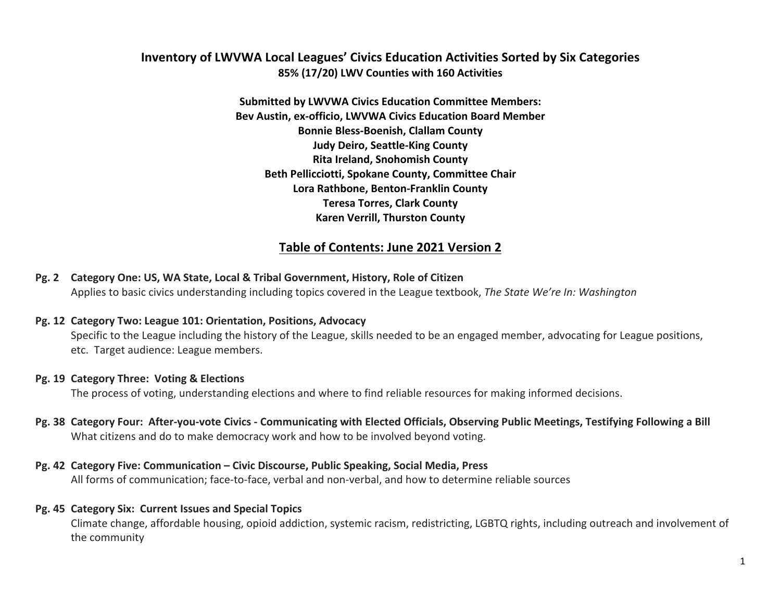# **Inventory of LWVWA Local Leagues' Civics Education Activities Sorted by Six Categories 85% (17/20) LWV Counties with 160 Activities**

**Submitted by LWVWA Civics Education Committee Members:** Bev Austin, ex-officio, LWVWA Civics Education Board Member **Bonnie Bless-Boenish, Clallam County Judy Deiro, Seattle-King County Rita Ireland, Snohomish County Beth Pellicciotti, Spokane County, Committee Chair Lora Rathbone, Benton-Franklin County Teresa Torres, Clark County Karen Verrill, Thurston County** 

# Table of Contents: June 2021 Version 2

**Pg. 2** Category One: US, WA State, Local & Tribal Government, History, Role of Citizen Applies to basic civics understanding including topics covered in the League textbook, The State We're In: Washington

#### **Pg. 12 Category Two: League 101: Orientation, Positions, Advocacy**

Specific to the League including the history of the League, skills needed to be an engaged member, advocating for League positions, etc. Target audience: League members.

### **Pg. 19 Category Three: Voting & Elections**

The process of voting, understanding elections and where to find reliable resources for making informed decisions.

Pg. 38 Category Four: After-you-vote Civics - Communicating with Elected Officials, Observing Public Meetings, Testifying Following a Bill What citizens and do to make democracy work and how to be involved beyond voting.

### **Pg. 42 Category Five: Communication – Civic Discourse, Public Speaking, Social Media, Press**

All forms of communication; face-to-face, verbal and non-verbal, and how to determine reliable sources

### **Pg. 45 Category Six: Current Issues and Special Topics**

Climate change, affordable housing, opioid addiction, systemic racism, redistricting, LGBTQ rights, including outreach and involvement of the community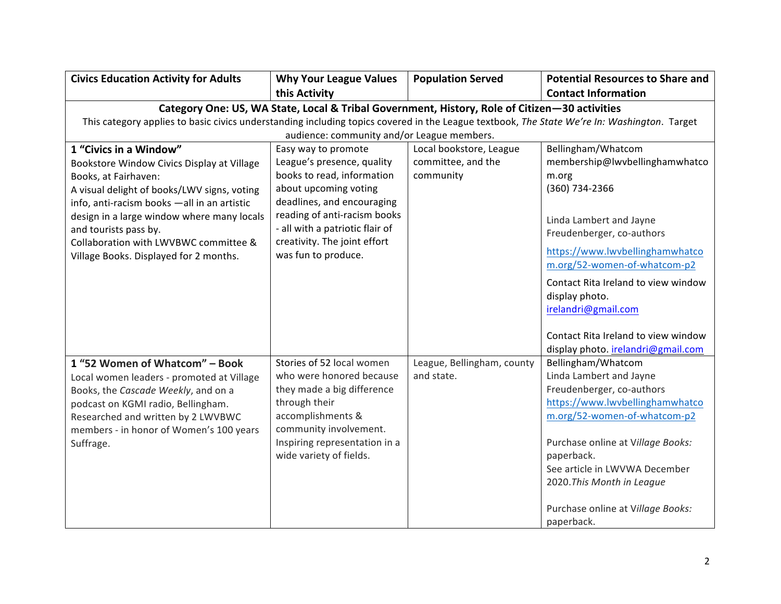| <b>Civics Education Activity for Adults</b>                                                                                                                                                                                                                                                                                                           | <b>Why Your League Values</b>                                                                                                                                                                                                                                    | <b>Population Served</b>                                   | <b>Potential Resources to Share and</b>                                                                                                                                                                                                                                                                            |
|-------------------------------------------------------------------------------------------------------------------------------------------------------------------------------------------------------------------------------------------------------------------------------------------------------------------------------------------------------|------------------------------------------------------------------------------------------------------------------------------------------------------------------------------------------------------------------------------------------------------------------|------------------------------------------------------------|--------------------------------------------------------------------------------------------------------------------------------------------------------------------------------------------------------------------------------------------------------------------------------------------------------------------|
|                                                                                                                                                                                                                                                                                                                                                       | this Activity                                                                                                                                                                                                                                                    |                                                            | <b>Contact Information</b>                                                                                                                                                                                                                                                                                         |
| This category applies to basic civics understanding including topics covered in the League textbook, The State We're In: Washington. Target                                                                                                                                                                                                           | Category One: US, WA State, Local & Tribal Government, History, Role of Citizen-30 activities<br>audience: community and/or League members.                                                                                                                      |                                                            |                                                                                                                                                                                                                                                                                                                    |
| 1 "Civics in a Window"<br>Bookstore Window Civics Display at Village<br>Books, at Fairhaven:<br>A visual delight of books/LWV signs, voting<br>info, anti-racism books - all in an artistic<br>design in a large window where many locals<br>and tourists pass by.<br>Collaboration with LWVBWC committee &<br>Village Books. Displayed for 2 months. | Easy way to promote<br>League's presence, quality<br>books to read, information<br>about upcoming voting<br>deadlines, and encouraging<br>reading of anti-racism books<br>- all with a patriotic flair of<br>creativity. The joint effort<br>was fun to produce. | Local bookstore, League<br>committee, and the<br>community | Bellingham/Whatcom<br>membership@lwvbellinghamwhatco<br>m.org<br>(360) 734-2366<br>Linda Lambert and Jayne<br>Freudenberger, co-authors<br>https://www.lwvbellinghamwhatco<br>m.org/52-women-of-whatcom-p2<br>Contact Rita Ireland to view window<br>display photo.<br>irelandri@gmail.com                         |
|                                                                                                                                                                                                                                                                                                                                                       |                                                                                                                                                                                                                                                                  |                                                            | Contact Rita Ireland to view window<br>display photo. irelandri@gmail.com                                                                                                                                                                                                                                          |
| 1 "52 Women of Whatcom" - Book<br>Local women leaders - promoted at Village<br>Books, the Cascade Weekly, and on a<br>podcast on KGMI radio, Bellingham.<br>Researched and written by 2 LWVBWC<br>members - in honor of Women's 100 years<br>Suffrage.                                                                                                | Stories of 52 local women<br>who were honored because<br>they made a big difference<br>through their<br>accomplishments &<br>community involvement.<br>Inspiring representation in a<br>wide variety of fields.                                                  | League, Bellingham, county<br>and state.                   | Bellingham/Whatcom<br>Linda Lambert and Jayne<br>Freudenberger, co-authors<br>https://www.lwvbellinghamwhatco<br>m.org/52-women-of-whatcom-p2<br>Purchase online at Village Books:<br>paperback.<br>See article in LWVWA December<br>2020. This Month in League<br>Purchase online at Village Books:<br>paperback. |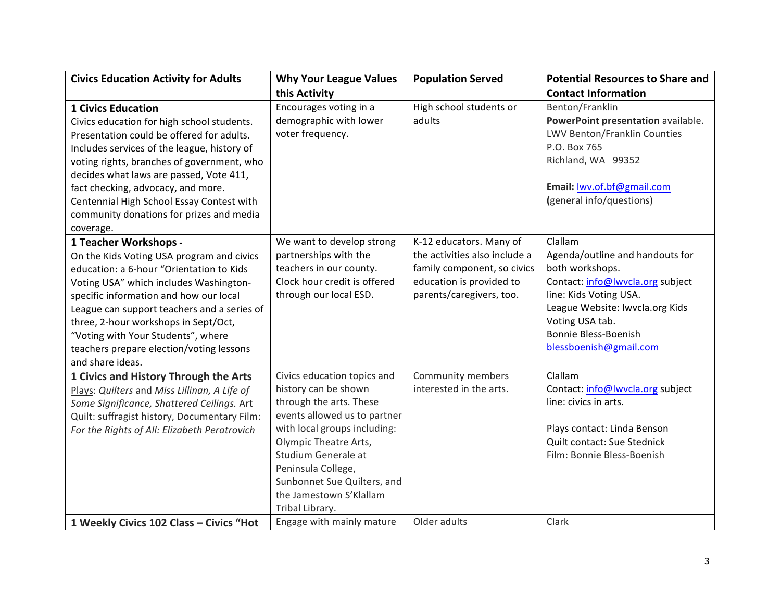| <b>Civics Education Activity for Adults</b>                                                                                                                                                                                                                                                                                                                                                     | <b>Why Your League Values</b>                                                                                                                                                                                                                                                                     | <b>Population Served</b>                                                                                                                        | <b>Potential Resources to Share and</b>                                                                                                                                                                                                    |
|-------------------------------------------------------------------------------------------------------------------------------------------------------------------------------------------------------------------------------------------------------------------------------------------------------------------------------------------------------------------------------------------------|---------------------------------------------------------------------------------------------------------------------------------------------------------------------------------------------------------------------------------------------------------------------------------------------------|-------------------------------------------------------------------------------------------------------------------------------------------------|--------------------------------------------------------------------------------------------------------------------------------------------------------------------------------------------------------------------------------------------|
|                                                                                                                                                                                                                                                                                                                                                                                                 | this Activity                                                                                                                                                                                                                                                                                     |                                                                                                                                                 | <b>Contact Information</b>                                                                                                                                                                                                                 |
| <b>1 Civics Education</b><br>Civics education for high school students.                                                                                                                                                                                                                                                                                                                         | Encourages voting in a<br>demographic with lower                                                                                                                                                                                                                                                  | High school students or<br>adults                                                                                                               | Benton/Franklin<br>PowerPoint presentation available.                                                                                                                                                                                      |
| Presentation could be offered for adults.<br>Includes services of the league, history of                                                                                                                                                                                                                                                                                                        | voter frequency.                                                                                                                                                                                                                                                                                  |                                                                                                                                                 | LWV Benton/Franklin Counties<br>P.O. Box 765                                                                                                                                                                                               |
| voting rights, branches of government, who<br>decides what laws are passed, Vote 411,                                                                                                                                                                                                                                                                                                           |                                                                                                                                                                                                                                                                                                   |                                                                                                                                                 | Richland, WA 99352                                                                                                                                                                                                                         |
| fact checking, advocacy, and more.<br>Centennial High School Essay Contest with                                                                                                                                                                                                                                                                                                                 |                                                                                                                                                                                                                                                                                                   |                                                                                                                                                 | Email: lwv.of.bf@gmail.com<br>(general info/questions)                                                                                                                                                                                     |
| community donations for prizes and media<br>coverage.                                                                                                                                                                                                                                                                                                                                           |                                                                                                                                                                                                                                                                                                   |                                                                                                                                                 |                                                                                                                                                                                                                                            |
| 1 Teacher Workshops -<br>On the Kids Voting USA program and civics<br>education: a 6-hour "Orientation to Kids<br>Voting USA" which includes Washington-<br>specific information and how our local<br>League can support teachers and a series of<br>three, 2-hour workshops in Sept/Oct,<br>"Voting with Your Students", where<br>teachers prepare election/voting lessons<br>and share ideas. | We want to develop strong<br>partnerships with the<br>teachers in our county.<br>Clock hour credit is offered<br>through our local ESD.                                                                                                                                                           | K-12 educators. Many of<br>the activities also include a<br>family component, so civics<br>education is provided to<br>parents/caregivers, too. | Clallam<br>Agenda/outline and handouts for<br>both workshops.<br>Contact: info@lwvcla.org subject<br>line: Kids Voting USA.<br>League Website: Iwvcla.org Kids<br>Voting USA tab.<br><b>Bonnie Bless-Boenish</b><br>blessboenish@gmail.com |
| 1 Civics and History Through the Arts<br>Plays: Quilters and Miss Lillinan, A Life of<br>Some Significance, Shattered Ceilings. Art<br>Quilt: suffragist history, Documentary Film:<br>For the Rights of All: Elizabeth Peratrovich                                                                                                                                                             | Civics education topics and<br>history can be shown<br>through the arts. These<br>events allowed us to partner<br>with local groups including:<br>Olympic Theatre Arts,<br>Studium Generale at<br>Peninsula College,<br>Sunbonnet Sue Quilters, and<br>the Jamestown S'Klallam<br>Tribal Library. | Community members<br>interested in the arts.                                                                                                    | Clallam<br>Contact: info@lwvcla.org subject<br>line: civics in arts.<br>Plays contact: Linda Benson<br>Quilt contact: Sue Stednick<br>Film: Bonnie Bless-Boenish                                                                           |
| 1 Weekly Civics 102 Class - Civics "Hot                                                                                                                                                                                                                                                                                                                                                         | Engage with mainly mature                                                                                                                                                                                                                                                                         | Older adults                                                                                                                                    | Clark                                                                                                                                                                                                                                      |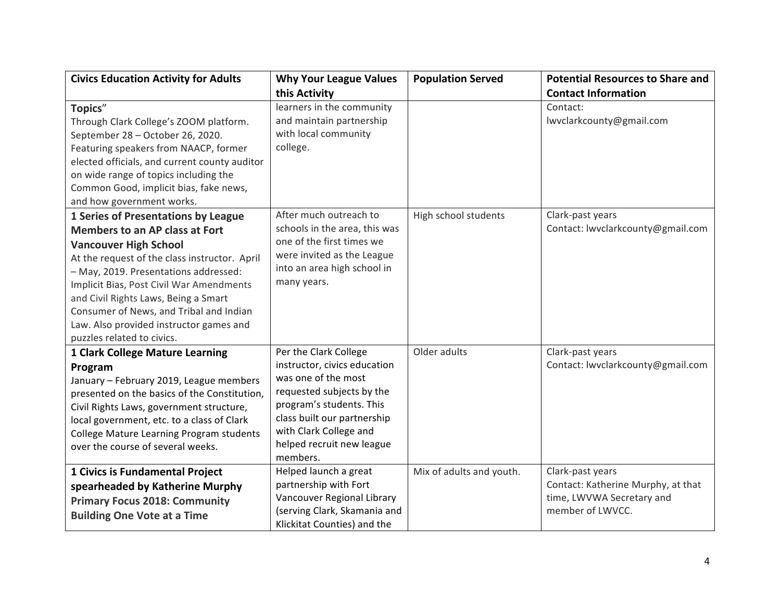| <b>Civics Education Activity for Adults</b>                                                                                                                                                                                                                                                                                                                                                                    | <b>Why Your League Values</b>                                                                                                                                                                                                           | <b>Population Served</b> | <b>Potential Resources to Share and</b>                                                                 |
|----------------------------------------------------------------------------------------------------------------------------------------------------------------------------------------------------------------------------------------------------------------------------------------------------------------------------------------------------------------------------------------------------------------|-----------------------------------------------------------------------------------------------------------------------------------------------------------------------------------------------------------------------------------------|--------------------------|---------------------------------------------------------------------------------------------------------|
|                                                                                                                                                                                                                                                                                                                                                                                                                | this Activity                                                                                                                                                                                                                           |                          | <b>Contact Information</b>                                                                              |
| Topics"<br>Through Clark College's ZOOM platform.<br>September 28 - October 26, 2020.<br>Featuring speakers from NAACP, former                                                                                                                                                                                                                                                                                 | learners in the community<br>and maintain partnership<br>with local community<br>college.                                                                                                                                               |                          | Contact:<br>lwvclarkcounty@gmail.com                                                                    |
| elected officials, and current county auditor<br>on wide range of topics including the<br>Common Good, implicit bias, fake news,<br>and how government works.                                                                                                                                                                                                                                                  |                                                                                                                                                                                                                                         |                          |                                                                                                         |
| 1 Series of Presentations by League<br><b>Members to an AP class at Fort</b><br><b>Vancouver High School</b><br>At the request of the class instructor. April<br>- May, 2019. Presentations addressed:<br>Implicit Bias, Post Civil War Amendments<br>and Civil Rights Laws, Being a Smart<br>Consumer of News, and Tribal and Indian<br>Law. Also provided instructor games and<br>puzzles related to civics. | After much outreach to<br>schools in the area, this was<br>one of the first times we<br>were invited as the League<br>into an area high school in<br>many years.                                                                        | High school students     | Clark-past years<br>Contact: lwvclarkcounty@gmail.com                                                   |
| 1 Clark College Mature Learning<br>Program<br>January - February 2019, League members<br>presented on the basics of the Constitution,<br>Civil Rights Laws, government structure,<br>local government, etc. to a class of Clark<br>College Mature Learning Program students<br>over the course of several weeks.                                                                                               | Per the Clark College<br>instructor, civics education<br>was one of the most<br>requested subjects by the<br>program's students. This<br>class built our partnership<br>with Clark College and<br>helped recruit new league<br>members. | Older adults             | Clark-past years<br>Contact: lwvclarkcounty@gmail.com                                                   |
| 1 Civics is Fundamental Project<br>spearheaded by Katherine Murphy<br><b>Primary Focus 2018: Community</b><br><b>Building One Vote at a Time</b>                                                                                                                                                                                                                                                               | Helped launch a great<br>partnership with Fort<br>Vancouver Regional Library<br>(serving Clark, Skamania and<br>Klickitat Counties) and the                                                                                             | Mix of adults and youth. | Clark-past years<br>Contact: Katherine Murphy, at that<br>time, LWVWA Secretary and<br>member of LWVCC. |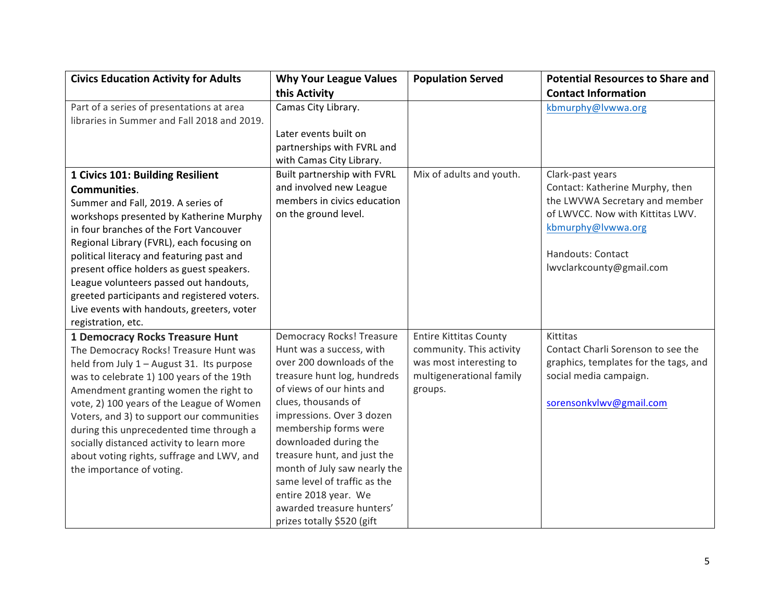| <b>Civics Education Activity for Adults</b>                                                                                                                                                                                                                                                                                                                                                                                                                                            | <b>Why Your League Values</b>                                                                                                                                                                                                                                                                                                                                                                                                                 | <b>Population Served</b>                                                                                                    | <b>Potential Resources to Share and</b>                                                                                                                                                          |
|----------------------------------------------------------------------------------------------------------------------------------------------------------------------------------------------------------------------------------------------------------------------------------------------------------------------------------------------------------------------------------------------------------------------------------------------------------------------------------------|-----------------------------------------------------------------------------------------------------------------------------------------------------------------------------------------------------------------------------------------------------------------------------------------------------------------------------------------------------------------------------------------------------------------------------------------------|-----------------------------------------------------------------------------------------------------------------------------|--------------------------------------------------------------------------------------------------------------------------------------------------------------------------------------------------|
|                                                                                                                                                                                                                                                                                                                                                                                                                                                                                        | this Activity                                                                                                                                                                                                                                                                                                                                                                                                                                 |                                                                                                                             | <b>Contact Information</b>                                                                                                                                                                       |
| Part of a series of presentations at area<br>libraries in Summer and Fall 2018 and 2019.                                                                                                                                                                                                                                                                                                                                                                                               | Camas City Library.                                                                                                                                                                                                                                                                                                                                                                                                                           |                                                                                                                             | kbmurphy@lvwwa.org                                                                                                                                                                               |
|                                                                                                                                                                                                                                                                                                                                                                                                                                                                                        | Later events built on<br>partnerships with FVRL and<br>with Camas City Library.                                                                                                                                                                                                                                                                                                                                                               |                                                                                                                             |                                                                                                                                                                                                  |
| 1 Civics 101: Building Resilient<br><b>Communities.</b><br>Summer and Fall, 2019. A series of<br>workshops presented by Katherine Murphy<br>in four branches of the Fort Vancouver<br>Regional Library (FVRL), each focusing on<br>political literacy and featuring past and<br>present office holders as guest speakers.<br>League volunteers passed out handouts,<br>greeted participants and registered voters.<br>Live events with handouts, greeters, voter<br>registration, etc. | Built partnership with FVRL<br>and involved new League<br>members in civics education<br>on the ground level.                                                                                                                                                                                                                                                                                                                                 | Mix of adults and youth.                                                                                                    | Clark-past years<br>Contact: Katherine Murphy, then<br>the LWVWA Secretary and member<br>of LWVCC. Now with Kittitas LWV.<br>kbmurphy@lvwwa.org<br>Handouts: Contact<br>lwvclarkcounty@gmail.com |
| 1 Democracy Rocks Treasure Hunt<br>The Democracy Rocks! Treasure Hunt was<br>held from July 1 - August 31. Its purpose<br>was to celebrate 1) 100 years of the 19th<br>Amendment granting women the right to<br>vote, 2) 100 years of the League of Women<br>Voters, and 3) to support our communities<br>during this unprecedented time through a<br>socially distanced activity to learn more<br>about voting rights, suffrage and LWV, and<br>the importance of voting.             | <b>Democracy Rocks! Treasure</b><br>Hunt was a success, with<br>over 200 downloads of the<br>treasure hunt log, hundreds<br>of views of our hints and<br>clues, thousands of<br>impressions. Over 3 dozen<br>membership forms were<br>downloaded during the<br>treasure hunt, and just the<br>month of July saw nearly the<br>same level of traffic as the<br>entire 2018 year. We<br>awarded treasure hunters'<br>prizes totally \$520 (gift | <b>Entire Kittitas County</b><br>community. This activity<br>was most interesting to<br>multigenerational family<br>groups. | Kittitas<br>Contact Charli Sorenson to see the<br>graphics, templates for the tags, and<br>social media campaign.<br>sorensonkvlwv@gmail.com                                                     |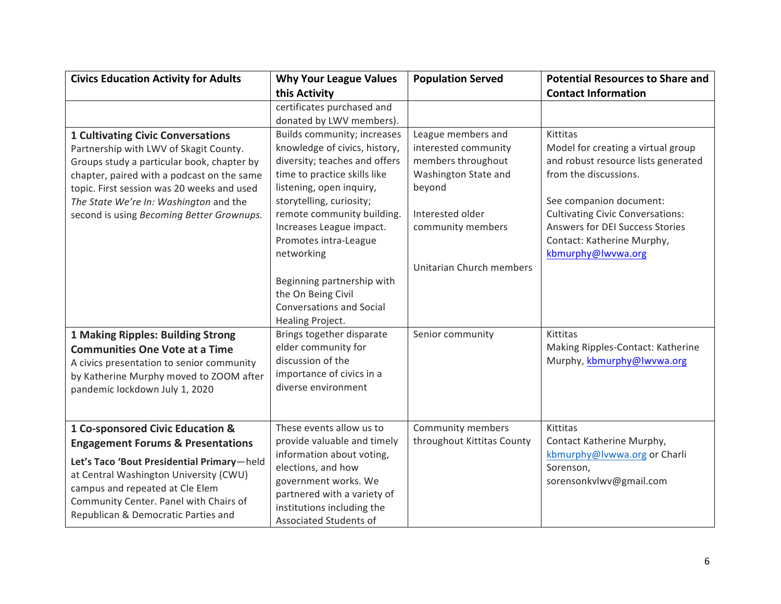| <b>Civics Education Activity for Adults</b>  | <b>Why Your League Values</b>   | <b>Population Served</b>   | <b>Potential Resources to Share and</b> |
|----------------------------------------------|---------------------------------|----------------------------|-----------------------------------------|
|                                              | this Activity                   |                            | <b>Contact Information</b>              |
|                                              | certificates purchased and      |                            |                                         |
|                                              | donated by LWV members).        |                            |                                         |
| <b>1 Cultivating Civic Conversations</b>     | Builds community; increases     | League members and         | Kittitas                                |
| Partnership with LWV of Skagit County.       | knowledge of civics, history,   | interested community       | Model for creating a virtual group      |
| Groups study a particular book, chapter by   | diversity; teaches and offers   | members throughout         | and robust resource lists generated     |
| chapter, paired with a podcast on the same   | time to practice skills like    | Washington State and       | from the discussions.                   |
| topic. First session was 20 weeks and used   | listening, open inquiry,        | beyond                     |                                         |
| The State We're In: Washington and the       | storytelling, curiosity;        |                            | See companion document:                 |
| second is using Becoming Better Grownups.    | remote community building.      | Interested older           | <b>Cultivating Civic Conversations:</b> |
|                                              | Increases League impact.        | community members          | Answers for DEI Success Stories         |
|                                              | Promotes intra-League           |                            | Contact: Katherine Murphy,              |
|                                              | networking                      |                            | kbmurphy@lwvwa.org                      |
|                                              |                                 | Unitarian Church members   |                                         |
|                                              | Beginning partnership with      |                            |                                         |
|                                              | the On Being Civil              |                            |                                         |
|                                              | <b>Conversations and Social</b> |                            |                                         |
|                                              | Healing Project.                |                            |                                         |
| <b>1 Making Ripples: Building Strong</b>     | Brings together disparate       | Senior community           | Kittitas                                |
| <b>Communities One Vote at a Time</b>        | elder community for             |                            | Making Ripples-Contact: Katherine       |
| A civics presentation to senior community    | discussion of the               |                            | Murphy, kbmurphy@lwvwa.org              |
| by Katherine Murphy moved to ZOOM after      | importance of civics in a       |                            |                                         |
| pandemic lockdown July 1, 2020               | diverse environment             |                            |                                         |
|                                              |                                 |                            |                                         |
|                                              |                                 |                            |                                         |
| 1 Co-sponsored Civic Education &             | These events allow us to        | Community members          | Kittitas                                |
| <b>Engagement Forums &amp; Presentations</b> | provide valuable and timely     | throughout Kittitas County | Contact Katherine Murphy,               |
| Let's Taco 'Bout Presidential Primary-held   | information about voting,       |                            | kbmurphy@lvwwa.org or Charli            |
| at Central Washington University (CWU)       | elections, and how              |                            | Sorenson,                               |
| campus and repeated at Cle Elem              | government works. We            |                            | sorensonkvlwv@gmail.com                 |
| Community Center. Panel with Chairs of       | partnered with a variety of     |                            |                                         |
| Republican & Democratic Parties and          | institutions including the      |                            |                                         |
|                                              | Associated Students of          |                            |                                         |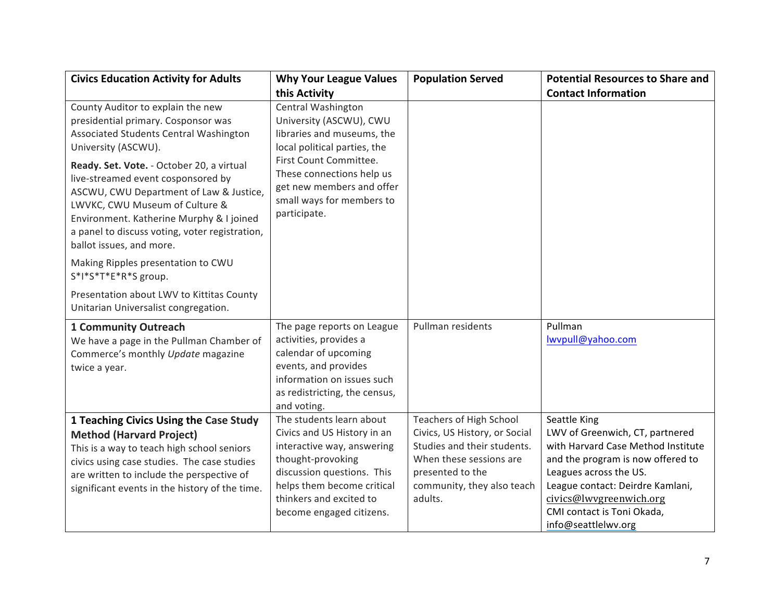| <b>Civics Education Activity for Adults</b>                                                                                                                                                                                                                                            | <b>Why Your League Values</b>                                                                                                                                                                                                 | <b>Population Served</b>                                                                                                                                                               | <b>Potential Resources to Share and</b>                                                                                                                                                                                                                                  |
|----------------------------------------------------------------------------------------------------------------------------------------------------------------------------------------------------------------------------------------------------------------------------------------|-------------------------------------------------------------------------------------------------------------------------------------------------------------------------------------------------------------------------------|----------------------------------------------------------------------------------------------------------------------------------------------------------------------------------------|--------------------------------------------------------------------------------------------------------------------------------------------------------------------------------------------------------------------------------------------------------------------------|
|                                                                                                                                                                                                                                                                                        | this Activity                                                                                                                                                                                                                 |                                                                                                                                                                                        | <b>Contact Information</b>                                                                                                                                                                                                                                               |
| County Auditor to explain the new<br>presidential primary. Cosponsor was<br>Associated Students Central Washington<br>University (ASCWU).                                                                                                                                              | Central Washington<br>University (ASCWU), CWU<br>libraries and museums, the<br>local political parties, the                                                                                                                   |                                                                                                                                                                                        |                                                                                                                                                                                                                                                                          |
| Ready. Set. Vote. - October 20, a virtual<br>live-streamed event cosponsored by<br>ASCWU, CWU Department of Law & Justice,<br>LWVKC, CWU Museum of Culture &<br>Environment. Katherine Murphy & I joined<br>a panel to discuss voting, voter registration,<br>ballot issues, and more. | First Count Committee.<br>These connections help us<br>get new members and offer<br>small ways for members to<br>participate.                                                                                                 |                                                                                                                                                                                        |                                                                                                                                                                                                                                                                          |
| Making Ripples presentation to CWU<br>S*I*S*T*E*R*S group.                                                                                                                                                                                                                             |                                                                                                                                                                                                                               |                                                                                                                                                                                        |                                                                                                                                                                                                                                                                          |
| Presentation about LWV to Kittitas County<br>Unitarian Universalist congregation.                                                                                                                                                                                                      |                                                                                                                                                                                                                               |                                                                                                                                                                                        |                                                                                                                                                                                                                                                                          |
| <b>1 Community Outreach</b><br>We have a page in the Pullman Chamber of<br>Commerce's monthly Update magazine<br>twice a year.                                                                                                                                                         | The page reports on League<br>activities, provides a<br>calendar of upcoming<br>events, and provides<br>information on issues such<br>as redistricting, the census,<br>and voting.                                            | Pullman residents                                                                                                                                                                      | Pullman<br>lwvpull@yahoo.com                                                                                                                                                                                                                                             |
| 1 Teaching Civics Using the Case Study<br><b>Method (Harvard Project)</b><br>This is a way to teach high school seniors<br>civics using case studies. The case studies<br>are written to include the perspective of<br>significant events in the history of the time.                  | The students learn about<br>Civics and US History in an<br>interactive way, answering<br>thought-provoking<br>discussion questions. This<br>helps them become critical<br>thinkers and excited to<br>become engaged citizens. | <b>Teachers of High School</b><br>Civics, US History, or Social<br>Studies and their students.<br>When these sessions are<br>presented to the<br>community, they also teach<br>adults. | Seattle King<br>LWV of Greenwich, CT, partnered<br>with Harvard Case Method Institute<br>and the program is now offered to<br>Leagues across the US.<br>League contact: Deirdre Kamlani,<br>civics@lwvgreenwich.org<br>CMI contact is Toni Okada,<br>info@seattlelwv.org |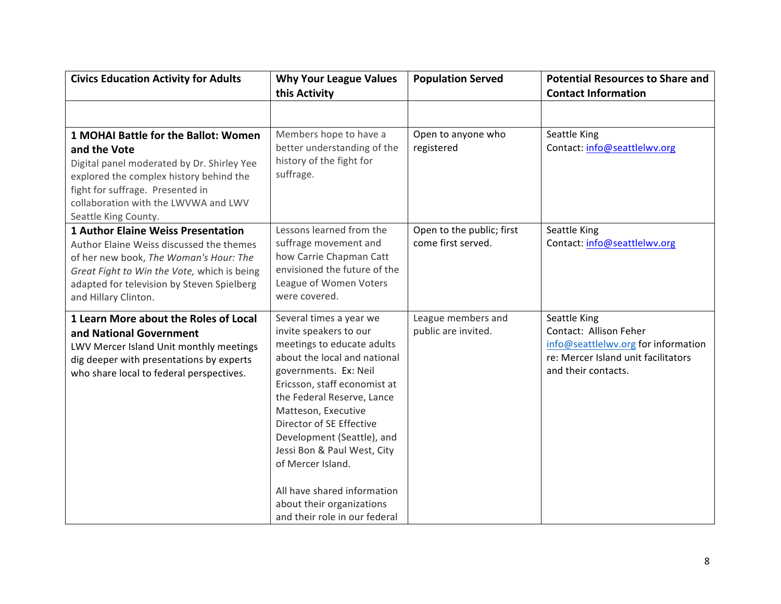| <b>Civics Education Activity for Adults</b>                                                                                                                                                                                                          | <b>Why Your League Values</b><br>this Activity                                                                                                                                                                                                                                                                                                                                                                                           | <b>Population Served</b>                        | <b>Potential Resources to Share and</b><br><b>Contact Information</b>                                                                       |
|------------------------------------------------------------------------------------------------------------------------------------------------------------------------------------------------------------------------------------------------------|------------------------------------------------------------------------------------------------------------------------------------------------------------------------------------------------------------------------------------------------------------------------------------------------------------------------------------------------------------------------------------------------------------------------------------------|-------------------------------------------------|---------------------------------------------------------------------------------------------------------------------------------------------|
|                                                                                                                                                                                                                                                      |                                                                                                                                                                                                                                                                                                                                                                                                                                          |                                                 |                                                                                                                                             |
| 1 MOHAI Battle for the Ballot: Women<br>and the Vote<br>Digital panel moderated by Dr. Shirley Yee<br>explored the complex history behind the<br>fight for suffrage. Presented in<br>collaboration with the LWVWA and LWV<br>Seattle King County.    | Members hope to have a<br>better understanding of the<br>history of the fight for<br>suffrage.                                                                                                                                                                                                                                                                                                                                           | Open to anyone who<br>registered                | Seattle King<br>Contact: info@seattlelwv.org                                                                                                |
| <b>1 Author Elaine Weiss Presentation</b><br>Author Elaine Weiss discussed the themes<br>of her new book, The Woman's Hour: The<br>Great Fight to Win the Vote, which is being<br>adapted for television by Steven Spielberg<br>and Hillary Clinton. | Lessons learned from the<br>suffrage movement and<br>how Carrie Chapman Catt<br>envisioned the future of the<br>League of Women Voters<br>were covered.                                                                                                                                                                                                                                                                                  | Open to the public; first<br>come first served. | Seattle King<br>Contact: info@seattlelwv.org                                                                                                |
| 1 Learn More about the Roles of Local<br>and National Government<br>LWV Mercer Island Unit monthly meetings<br>dig deeper with presentations by experts<br>who share local to federal perspectives.                                                  | Several times a year we<br>invite speakers to our<br>meetings to educate adults<br>about the local and national<br>governments. Ex: Neil<br>Ericsson, staff economist at<br>the Federal Reserve, Lance<br>Matteson, Executive<br>Director of SE Effective<br>Development (Seattle), and<br>Jessi Bon & Paul West, City<br>of Mercer Island.<br>All have shared information<br>about their organizations<br>and their role in our federal | League members and<br>public are invited.       | Seattle King<br>Contact: Allison Feher<br>info@seattlelwv.org for information<br>re: Mercer Island unit facilitators<br>and their contacts. |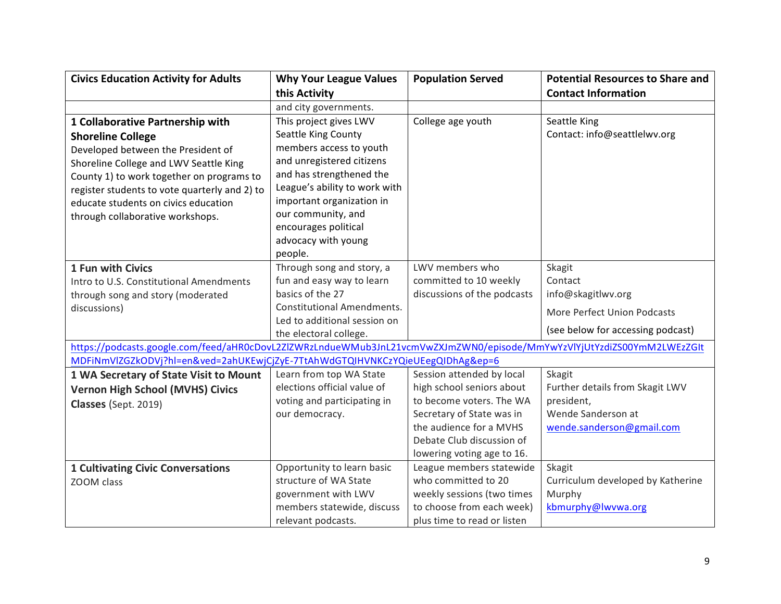| <b>Civics Education Activity for Adults</b>                                                                            | <b>Why Your League Values</b>     | <b>Population Served</b>    | <b>Potential Resources to Share and</b> |
|------------------------------------------------------------------------------------------------------------------------|-----------------------------------|-----------------------------|-----------------------------------------|
|                                                                                                                        | this Activity                     |                             | <b>Contact Information</b>              |
|                                                                                                                        | and city governments.             |                             |                                         |
| 1 Collaborative Partnership with                                                                                       | This project gives LWV            | College age youth           | Seattle King                            |
| <b>Shoreline College</b>                                                                                               | Seattle King County               |                             | Contact: info@seattlelwv.org            |
| Developed between the President of                                                                                     | members access to youth           |                             |                                         |
| Shoreline College and LWV Seattle King                                                                                 | and unregistered citizens         |                             |                                         |
| County 1) to work together on programs to                                                                              | and has strengthened the          |                             |                                         |
| register students to vote quarterly and 2) to                                                                          | League's ability to work with     |                             |                                         |
| educate students on civics education                                                                                   | important organization in         |                             |                                         |
| through collaborative workshops.                                                                                       | our community, and                |                             |                                         |
|                                                                                                                        | encourages political              |                             |                                         |
|                                                                                                                        | advocacy with young               |                             |                                         |
|                                                                                                                        | people.                           |                             |                                         |
| 1 Fun with Civics                                                                                                      | Through song and story, a         | LWV members who             | Skagit                                  |
| Intro to U.S. Constitutional Amendments                                                                                | fun and easy way to learn         | committed to 10 weekly      | Contact                                 |
| through song and story (moderated                                                                                      | basics of the 27                  | discussions of the podcasts | info@skagitlwv.org                      |
| discussions)                                                                                                           | <b>Constitutional Amendments.</b> |                             | More Perfect Union Podcasts             |
|                                                                                                                        | Led to additional session on      |                             | (see below for accessing podcast)       |
| https://podcasts.google.com/feed/aHR0cDovL2ZIZWRzLndueWMub3JnL21vcmVwZXJmZWN0/episode/MmYwYzVlYjUtYzdiZS00YmM2LWEzZGIt | the electoral college.            |                             |                                         |
| MDFiNmVlZGZkODVj?hl=en&ved=2ahUKEwjCjZyE-7TtAhWdGTQIHVNKCzYQieUEegQIDhAg&ep=6                                          |                                   |                             |                                         |
| 1 WA Secretary of State Visit to Mount                                                                                 | Learn from top WA State           | Session attended by local   | Skagit                                  |
|                                                                                                                        | elections official value of       | high school seniors about   | Further details from Skagit LWV         |
| <b>Vernon High School (MVHS) Civics</b>                                                                                | voting and participating in       | to become voters. The WA    | president,                              |
| Classes (Sept. 2019)                                                                                                   | our democracy.                    | Secretary of State was in   | Wende Sanderson at                      |
|                                                                                                                        |                                   | the audience for a MVHS     | wende.sanderson@gmail.com               |
|                                                                                                                        |                                   | Debate Club discussion of   |                                         |
|                                                                                                                        |                                   | lowering voting age to 16.  |                                         |
| <b>1 Cultivating Civic Conversations</b>                                                                               | Opportunity to learn basic        | League members statewide    | Skagit                                  |
| ZOOM class                                                                                                             | structure of WA State             | who committed to 20         | Curriculum developed by Katherine       |
|                                                                                                                        | government with LWV               | weekly sessions (two times  | Murphy                                  |
|                                                                                                                        | members statewide, discuss        | to choose from each week)   | kbmurphy@lwvwa.org                      |
|                                                                                                                        | relevant podcasts.                | plus time to read or listen |                                         |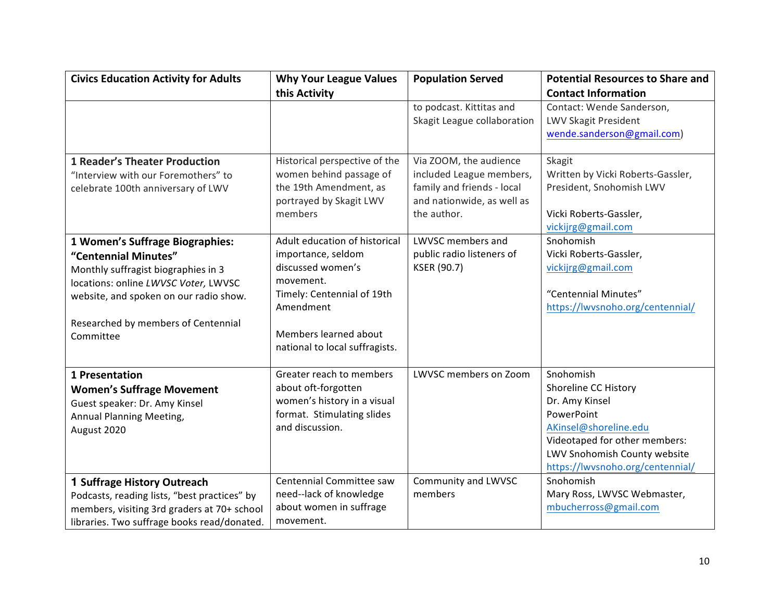| <b>Civics Education Activity for Adults</b>                                                                                                                                                                                          | <b>Why Your League Values</b>                                                                                                                                                               | <b>Population Served</b>                                                                                                      | <b>Potential Resources to Share and</b>                                                                                                                                                                      |
|--------------------------------------------------------------------------------------------------------------------------------------------------------------------------------------------------------------------------------------|---------------------------------------------------------------------------------------------------------------------------------------------------------------------------------------------|-------------------------------------------------------------------------------------------------------------------------------|--------------------------------------------------------------------------------------------------------------------------------------------------------------------------------------------------------------|
|                                                                                                                                                                                                                                      | this Activity                                                                                                                                                                               |                                                                                                                               | <b>Contact Information</b>                                                                                                                                                                                   |
|                                                                                                                                                                                                                                      |                                                                                                                                                                                             | to podcast. Kittitas and<br>Skagit League collaboration                                                                       | Contact: Wende Sanderson,<br>LWV Skagit President<br>wende.sanderson@gmail.com)                                                                                                                              |
| <b>1 Reader's Theater Production</b><br>"Interview with our Foremothers" to<br>celebrate 100th anniversary of LWV                                                                                                                    | Historical perspective of the<br>women behind passage of<br>the 19th Amendment, as<br>portrayed by Skagit LWV<br>members                                                                    | Via ZOOM, the audience<br>included League members,<br>family and friends - local<br>and nationwide, as well as<br>the author. | Skagit<br>Written by Vicki Roberts-Gassler,<br>President, Snohomish LWV<br>Vicki Roberts-Gassler,<br>vickijrg@gmail.com                                                                                      |
| 1 Women's Suffrage Biographies:<br>"Centennial Minutes"<br>Monthly suffragist biographies in 3<br>locations: online LWVSC Voter, LWVSC<br>website, and spoken on our radio show.<br>Researched by members of Centennial<br>Committee | Adult education of historical<br>importance, seldom<br>discussed women's<br>movement.<br>Timely: Centennial of 19th<br>Amendment<br>Members learned about<br>national to local suffragists. | LWVSC members and<br>public radio listeners of<br>KSER (90.7)                                                                 | Snohomish<br>Vicki Roberts-Gassler,<br>vickijrg@gmail.com<br>"Centennial Minutes"<br>https://lwvsnoho.org/centennial/                                                                                        |
| 1 Presentation<br><b>Women's Suffrage Movement</b><br>Guest speaker: Dr. Amy Kinsel<br>Annual Planning Meeting,<br>August 2020                                                                                                       | Greater reach to members<br>about oft-forgotten<br>women's history in a visual<br>format. Stimulating slides<br>and discussion.<br>Centennial Committee saw                                 | <b>LWVSC members on Zoom</b>                                                                                                  | Snohomish<br>Shoreline CC History<br>Dr. Amy Kinsel<br>PowerPoint<br>AKinsel@shoreline.edu<br>Videotaped for other members:<br>LWV Snohomish County website<br>https://lwvsnoho.org/centennial/<br>Snohomish |
| 1 Suffrage History Outreach<br>Podcasts, reading lists, "best practices" by<br>members, visiting 3rd graders at 70+ school<br>libraries. Two suffrage books read/donated.                                                            | need--lack of knowledge<br>about women in suffrage<br>movement.                                                                                                                             | Community and LWVSC<br>members                                                                                                | Mary Ross, LWVSC Webmaster,<br>mbucherross@gmail.com                                                                                                                                                         |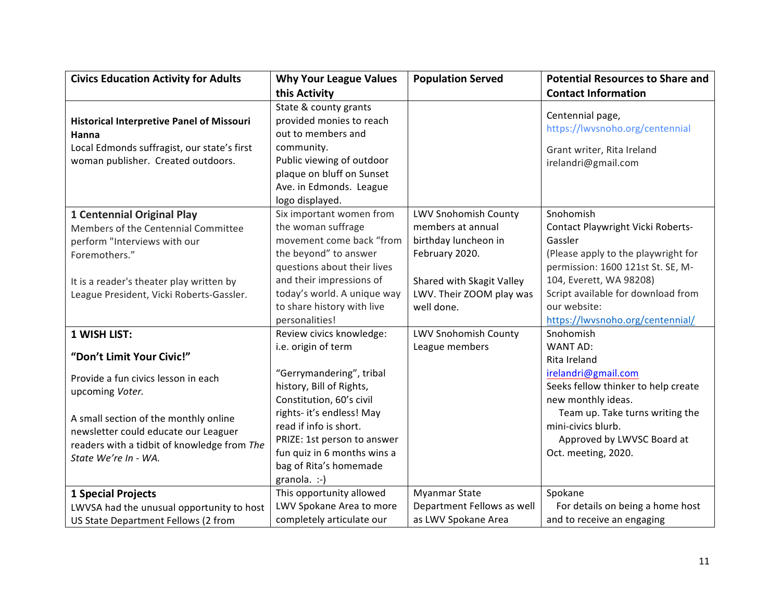| <b>Civics Education Activity for Adults</b>      | <b>Why Your League Values</b> | <b>Population Served</b>    | <b>Potential Resources to Share and</b> |
|--------------------------------------------------|-------------------------------|-----------------------------|-----------------------------------------|
|                                                  | this Activity                 |                             | <b>Contact Information</b>              |
|                                                  | State & county grants         |                             | Centennial page,                        |
| <b>Historical Interpretive Panel of Missouri</b> | provided monies to reach      |                             | https://lwvsnoho.org/centennial         |
| Hanna                                            | out to members and            |                             |                                         |
| Local Edmonds suffragist, our state's first      | community.                    |                             | Grant writer, Rita Ireland              |
| woman publisher. Created outdoors.               | Public viewing of outdoor     |                             | irelandri@gmail.com                     |
|                                                  | plaque on bluff on Sunset     |                             |                                         |
|                                                  | Ave. in Edmonds. League       |                             |                                         |
|                                                  | logo displayed.               |                             |                                         |
| <b>1 Centennial Original Play</b>                | Six important women from      | <b>LWV Snohomish County</b> | Snohomish                               |
| Members of the Centennial Committee              | the woman suffrage            | members at annual           | Contact Playwright Vicki Roberts-       |
| perform "Interviews with our                     | movement come back "from      | birthday luncheon in        | Gassler                                 |
| Foremothers."                                    | the beyond" to answer         | February 2020.              | (Please apply to the playwright for     |
|                                                  | questions about their lives   |                             | permission: 1600 121st St. SE, M-       |
| It is a reader's theater play written by         | and their impressions of      | Shared with Skagit Valley   | 104, Everett, WA 98208)                 |
| League President, Vicki Roberts-Gassler.         | today's world. A unique way   | LWV. Their ZOOM play was    | Script available for download from      |
|                                                  | to share history with live    | well done.                  | our website:                            |
|                                                  | personalities!                |                             | https://lwvsnoho.org/centennial/        |
| 1 WISH LIST:                                     | Review civics knowledge:      | <b>LWV Snohomish County</b> | Snohomish                               |
| "Don't Limit Your Civic!"                        | i.e. origin of term           | League members              | WANT AD:                                |
|                                                  |                               |                             | Rita Ireland                            |
| Provide a fun civics lesson in each              | "Gerrymandering", tribal      |                             | irelandri@gmail.com                     |
| upcoming Voter.                                  | history, Bill of Rights,      |                             | Seeks fellow thinker to help create     |
|                                                  | Constitution, 60's civil      |                             | new monthly ideas.                      |
| A small section of the monthly online            | rights- it's endless! May     |                             | Team up. Take turns writing the         |
| newsletter could educate our Leaguer             | read if info is short.        |                             | mini-civics blurb.                      |
| readers with a tidbit of knowledge from The      | PRIZE: 1st person to answer   |                             | Approved by LWVSC Board at              |
| State We're In - WA.                             | fun quiz in 6 months wins a   |                             | Oct. meeting, 2020.                     |
|                                                  | bag of Rita's homemade        |                             |                                         |
|                                                  | granola. :-)                  |                             |                                         |
| <b>1 Special Projects</b>                        | This opportunity allowed      | Myanmar State               | Spokane                                 |
| LWVSA had the unusual opportunity to host        | LWV Spokane Area to more      | Department Fellows as well  | For details on being a home host        |
| US State Department Fellows (2 from              | completely articulate our     | as LWV Spokane Area         | and to receive an engaging              |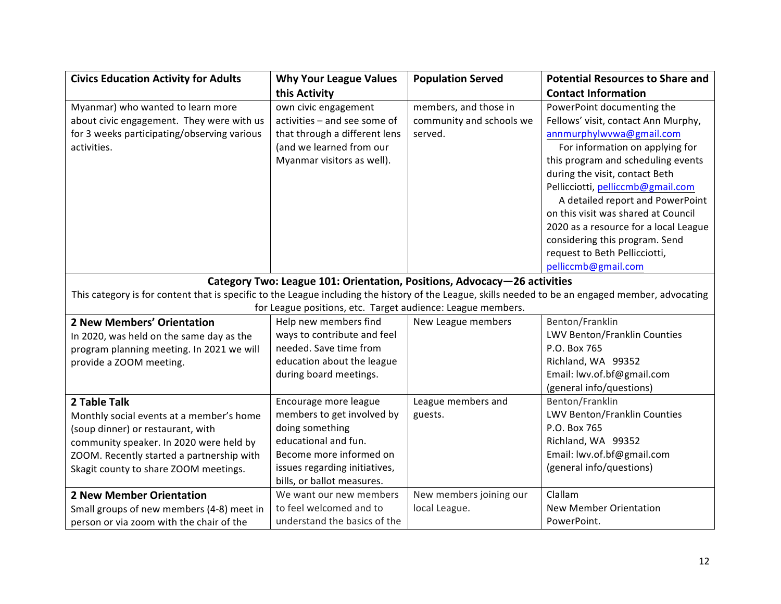| <b>Civics Education Activity for Adults</b>                                                                                                        | <b>Why Your League Values</b>                                            | <b>Population Served</b> | <b>Potential Resources to Share and</b> |
|----------------------------------------------------------------------------------------------------------------------------------------------------|--------------------------------------------------------------------------|--------------------------|-----------------------------------------|
|                                                                                                                                                    | this Activity                                                            |                          | <b>Contact Information</b>              |
| Myanmar) who wanted to learn more                                                                                                                  | own civic engagement                                                     | members, and those in    | PowerPoint documenting the              |
| about civic engagement. They were with us                                                                                                          | activities - and see some of                                             | community and schools we | Fellows' visit, contact Ann Murphy,     |
| for 3 weeks participating/observing various                                                                                                        | that through a different lens                                            | served.                  | annmurphylwvwa@gmail.com                |
| activities.                                                                                                                                        | (and we learned from our                                                 |                          | For information on applying for         |
|                                                                                                                                                    | Myanmar visitors as well).                                               |                          | this program and scheduling events      |
|                                                                                                                                                    |                                                                          |                          | during the visit, contact Beth          |
|                                                                                                                                                    |                                                                          |                          | Pellicciotti, pelliccmb@gmail.com       |
|                                                                                                                                                    |                                                                          |                          | A detailed report and PowerPoint        |
|                                                                                                                                                    |                                                                          |                          | on this visit was shared at Council     |
|                                                                                                                                                    |                                                                          |                          | 2020 as a resource for a local League   |
|                                                                                                                                                    |                                                                          |                          | considering this program. Send          |
|                                                                                                                                                    |                                                                          |                          | request to Beth Pellicciotti,           |
|                                                                                                                                                    |                                                                          |                          | pelliccmb@gmail.com                     |
|                                                                                                                                                    | Category Two: League 101: Orientation, Positions, Advocacy-26 activities |                          |                                         |
| This category is for content that is specific to the League including the history of the League, skills needed to be an engaged member, advocating |                                                                          |                          |                                         |
|                                                                                                                                                    | for League positions, etc. Target audience: League members.              |                          |                                         |
| 2 New Members' Orientation                                                                                                                         | Help new members find                                                    | New League members       | Benton/Franklin                         |
| In 2020, was held on the same day as the                                                                                                           | ways to contribute and feel                                              |                          | LWV Benton/Franklin Counties            |
| program planning meeting. In 2021 we will                                                                                                          | needed. Save time from                                                   |                          | P.O. Box 765                            |
| provide a ZOOM meeting.                                                                                                                            | education about the league                                               |                          | Richland, WA 99352                      |
|                                                                                                                                                    | during board meetings.                                                   |                          | Email: lwv.of.bf@gmail.com              |
|                                                                                                                                                    |                                                                          |                          | (general info/questions)                |
| 2 Table Talk                                                                                                                                       | Encourage more league                                                    | League members and       | Benton/Franklin                         |
| Monthly social events at a member's home                                                                                                           | members to get involved by                                               | guests.                  | LWV Benton/Franklin Counties            |
| (soup dinner) or restaurant, with                                                                                                                  | doing something                                                          |                          | P.O. Box 765                            |
| community speaker. In 2020 were held by                                                                                                            | educational and fun.                                                     |                          | Richland, WA 99352                      |
| ZOOM. Recently started a partnership with                                                                                                          | Become more informed on                                                  |                          | Email: lwv.of.bf@gmail.com              |
| Skagit county to share ZOOM meetings.                                                                                                              | issues regarding initiatives,                                            |                          | (general info/questions)                |
|                                                                                                                                                    | bills, or ballot measures.                                               |                          |                                         |
| <b>2 New Member Orientation</b>                                                                                                                    | We want our new members                                                  | New members joining our  | Clallam                                 |
| Small groups of new members (4-8) meet in                                                                                                          | to feel welcomed and to                                                  | local League.            | <b>New Member Orientation</b>           |
| person or via zoom with the chair of the                                                                                                           | understand the basics of the                                             |                          | PowerPoint.                             |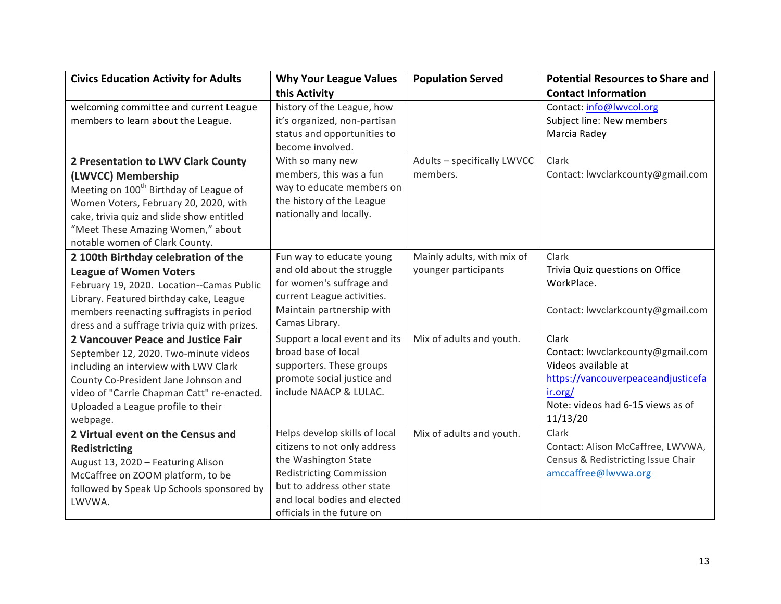| <b>Civics Education Activity for Adults</b>        | <b>Why Your League Values</b>   | <b>Population Served</b>    | <b>Potential Resources to Share and</b> |
|----------------------------------------------------|---------------------------------|-----------------------------|-----------------------------------------|
|                                                    | this Activity                   |                             | <b>Contact Information</b>              |
| welcoming committee and current League             | history of the League, how      |                             | Contact: info@lwvcol.org                |
| members to learn about the League.                 | it's organized, non-partisan    |                             | Subject line: New members               |
|                                                    | status and opportunities to     |                             | Marcia Radey                            |
|                                                    | become involved.                |                             |                                         |
| 2 Presentation to LWV Clark County                 | With so many new                | Adults - specifically LWVCC | Clark                                   |
| (LWVCC) Membership                                 | members, this was a fun         | members.                    | Contact: lwvclarkcounty@gmail.com       |
| Meeting on 100 <sup>th</sup> Birthday of League of | way to educate members on       |                             |                                         |
| Women Voters, February 20, 2020, with              | the history of the League       |                             |                                         |
| cake, trivia quiz and slide show entitled          | nationally and locally.         |                             |                                         |
| "Meet These Amazing Women," about                  |                                 |                             |                                         |
| notable women of Clark County.                     |                                 |                             |                                         |
| 2 100th Birthday celebration of the                | Fun way to educate young        | Mainly adults, with mix of  | Clark                                   |
| <b>League of Women Voters</b>                      | and old about the struggle      | younger participants        | Trivia Quiz questions on Office         |
| February 19, 2020. Location--Camas Public          | for women's suffrage and        |                             | WorkPlace.                              |
| Library. Featured birthday cake, League            | current League activities.      |                             |                                         |
| members reenacting suffragists in period           | Maintain partnership with       |                             | Contact: lwvclarkcounty@gmail.com       |
| dress and a suffrage trivia quiz with prizes.      | Camas Library.                  |                             |                                         |
| 2 Vancouver Peace and Justice Fair                 | Support a local event and its   | Mix of adults and youth.    | Clark                                   |
| September 12, 2020. Two-minute videos              | broad base of local             |                             | Contact: lwvclarkcounty@gmail.com       |
| including an interview with LWV Clark              | supporters. These groups        |                             | Videos available at                     |
| County Co-President Jane Johnson and               | promote social justice and      |                             | https://vancouverpeaceandjusticefa      |
| video of "Carrie Chapman Catt" re-enacted.         | include NAACP & LULAC.          |                             | ir.org/                                 |
| Uploaded a League profile to their                 |                                 |                             | Note: videos had 6-15 views as of       |
| webpage.                                           |                                 |                             | 11/13/20                                |
| 2 Virtual event on the Census and                  | Helps develop skills of local   | Mix of adults and youth.    | Clark                                   |
| <b>Redistricting</b>                               | citizens to not only address    |                             | Contact: Alison McCaffree, LWVWA,       |
| August 13, 2020 - Featuring Alison                 | the Washington State            |                             | Census & Redistricting Issue Chair      |
| McCaffree on ZOOM platform, to be                  | <b>Redistricting Commission</b> |                             | amccaffree@lwvwa.org                    |
| followed by Speak Up Schools sponsored by          | but to address other state      |                             |                                         |
| LWVWA.                                             | and local bodies and elected    |                             |                                         |
|                                                    | officials in the future on      |                             |                                         |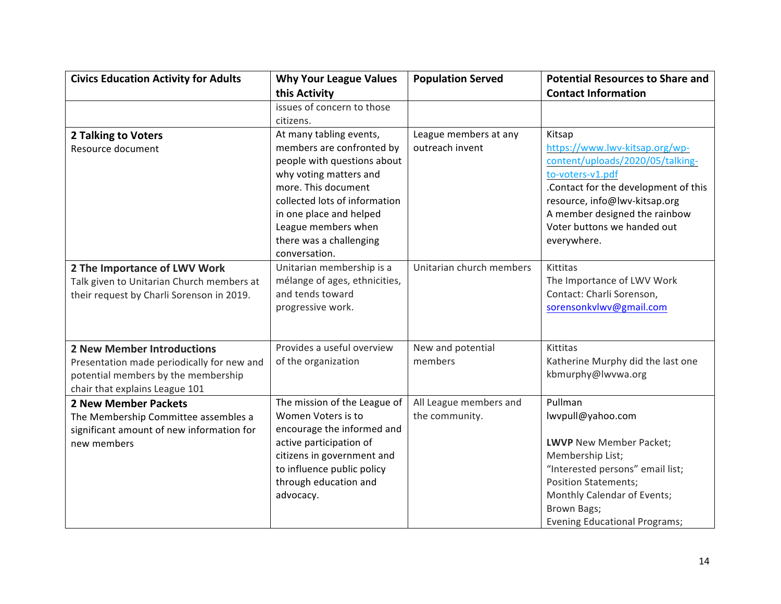| <b>Civics Education Activity for Adults</b> | <b>Why Your League Values</b> | <b>Population Served</b> | <b>Potential Resources to Share and</b> |
|---------------------------------------------|-------------------------------|--------------------------|-----------------------------------------|
|                                             | this Activity                 |                          | <b>Contact Information</b>              |
|                                             | issues of concern to those    |                          |                                         |
|                                             | citizens.                     |                          |                                         |
| <b>2 Talking to Voters</b>                  | At many tabling events,       | League members at any    | Kitsap                                  |
| Resource document                           | members are confronted by     | outreach invent          | https://www.lwv-kitsap.org/wp-          |
|                                             | people with questions about   |                          | content/uploads/2020/05/talking-        |
|                                             | why voting matters and        |                          | to-voters-v1.pdf                        |
|                                             | more. This document           |                          | .Contact for the development of this    |
|                                             | collected lots of information |                          | resource, info@lwv-kitsap.org           |
|                                             | in one place and helped       |                          | A member designed the rainbow           |
|                                             | League members when           |                          | Voter buttons we handed out             |
|                                             | there was a challenging       |                          | everywhere.                             |
|                                             | conversation.                 |                          |                                         |
| 2 The Importance of LWV Work                | Unitarian membership is a     | Unitarian church members | Kittitas                                |
| Talk given to Unitarian Church members at   | mélange of ages, ethnicities, |                          | The Importance of LWV Work              |
| their request by Charli Sorenson in 2019.   | and tends toward              |                          | Contact: Charli Sorenson,               |
|                                             | progressive work.             |                          | sorensonkvlwv@gmail.com                 |
|                                             |                               |                          |                                         |
|                                             |                               |                          |                                         |
| <b>2 New Member Introductions</b>           | Provides a useful overview    | New and potential        | Kittitas                                |
| Presentation made periodically for new and  | of the organization           | members                  | Katherine Murphy did the last one       |
| potential members by the membership         |                               |                          | kbmurphy@lwvwa.org                      |
| chair that explains League 101              |                               |                          |                                         |
| <b>2 New Member Packets</b>                 | The mission of the League of  | All League members and   | Pullman                                 |
| The Membership Committee assembles a        | Women Voters is to            | the community.           | lwvpull@yahoo.com                       |
| significant amount of new information for   | encourage the informed and    |                          |                                         |
| new members                                 | active participation of       |                          | LWVP New Member Packet;                 |
|                                             | citizens in government and    |                          | Membership List;                        |
|                                             | to influence public policy    |                          | "Interested persons" email list;        |
|                                             | through education and         |                          | <b>Position Statements;</b>             |
|                                             | advocacy.                     |                          | Monthly Calendar of Events;             |
|                                             |                               |                          | Brown Bags;                             |
|                                             |                               |                          | <b>Evening Educational Programs;</b>    |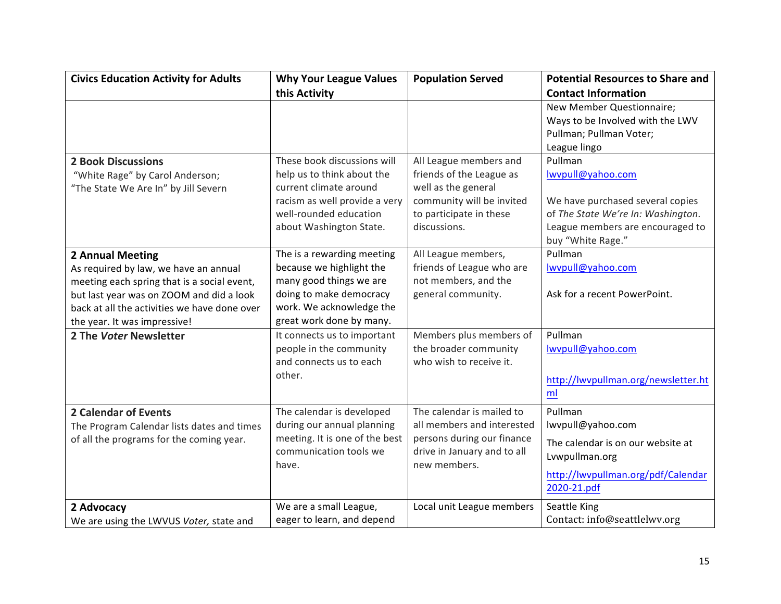| <b>Civics Education Activity for Adults</b>  | <b>Why Your League Values</b>  | <b>Population Served</b>    | <b>Potential Resources to Share and</b>           |
|----------------------------------------------|--------------------------------|-----------------------------|---------------------------------------------------|
|                                              | this Activity                  |                             | <b>Contact Information</b>                        |
|                                              |                                |                             | New Member Questionnaire;                         |
|                                              |                                |                             | Ways to be Involved with the LWV                  |
|                                              |                                |                             | Pullman; Pullman Voter;                           |
|                                              |                                |                             | League lingo                                      |
| <b>2 Book Discussions</b>                    | These book discussions will    | All League members and      | Pullman                                           |
| "White Rage" by Carol Anderson;              | help us to think about the     | friends of the League as    | lwvpull@yahoo.com                                 |
| "The State We Are In" by Jill Severn         | current climate around         | well as the general         |                                                   |
|                                              | racism as well provide a very  | community will be invited   | We have purchased several copies                  |
|                                              | well-rounded education         | to participate in these     | of The State We're In: Washington.                |
|                                              | about Washington State.        | discussions.                | League members are encouraged to                  |
|                                              |                                |                             | buy "White Rage."                                 |
| <b>2 Annual Meeting</b>                      | The is a rewarding meeting     | All League members,         | Pullman                                           |
| As required by law, we have an annual        | because we highlight the       | friends of League who are   | Iwvpull@yahoo.com                                 |
| meeting each spring that is a social event,  | many good things we are        | not members, and the        |                                                   |
| but last year was on ZOOM and did a look     | doing to make democracy        | general community.          | Ask for a recent PowerPoint.                      |
| back at all the activities we have done over | work. We acknowledge the       |                             |                                                   |
| the year. It was impressive!                 | great work done by many.       |                             |                                                   |
| 2 The Voter Newsletter                       | It connects us to important    | Members plus members of     | Pullman                                           |
|                                              | people in the community        | the broader community       | lwypull@yahoo.com                                 |
|                                              | and connects us to each        | who wish to receive it.     |                                                   |
|                                              | other.                         |                             | http://lwvpullman.org/newsletter.ht               |
|                                              |                                |                             | ml                                                |
| <b>2 Calendar of Events</b>                  | The calendar is developed      | The calendar is mailed to   | Pullman                                           |
| The Program Calendar lists dates and times   | during our annual planning     | all members and interested  | lwvpull@yahoo.com                                 |
| of all the programs for the coming year.     | meeting. It is one of the best | persons during our finance  | The calendar is on our website at                 |
|                                              | communication tools we         | drive in January and to all | Lvwpullman.org                                    |
|                                              | have.                          | new members.                |                                                   |
|                                              |                                |                             | http://lwvpullman.org/pdf/Calendar<br>2020-21.pdf |
|                                              |                                |                             |                                                   |
| 2 Advocacy                                   | We are a small League,         | Local unit League members   | Seattle King                                      |
| We are using the LWVUS Voter, state and      | eager to learn, and depend     |                             | Contact: info@seattlelwv.org                      |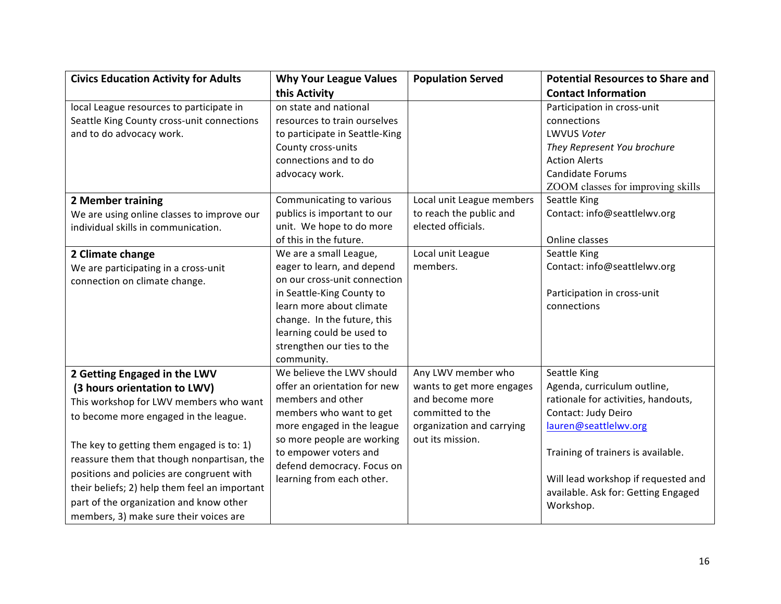| <b>Civics Education Activity for Adults</b>   | <b>Why Your League Values</b>  | <b>Population Served</b>  | <b>Potential Resources to Share and</b> |
|-----------------------------------------------|--------------------------------|---------------------------|-----------------------------------------|
|                                               | this Activity                  |                           | <b>Contact Information</b>              |
| local League resources to participate in      | on state and national          |                           | Participation in cross-unit             |
| Seattle King County cross-unit connections    | resources to train ourselves   |                           | connections                             |
| and to do advocacy work.                      | to participate in Seattle-King |                           | <b>LWVUS Voter</b>                      |
|                                               | County cross-units             |                           | They Represent You brochure             |
|                                               | connections and to do          |                           | <b>Action Alerts</b>                    |
|                                               | advocacy work.                 |                           | Candidate Forums                        |
|                                               |                                |                           | ZOOM classes for improving skills       |
| <b>2 Member training</b>                      | Communicating to various       | Local unit League members | Seattle King                            |
| We are using online classes to improve our    | publics is important to our    | to reach the public and   | Contact: info@seattlelwv.org            |
| individual skills in communication.           | unit. We hope to do more       | elected officials.        |                                         |
|                                               | of this in the future.         |                           | Online classes                          |
| 2 Climate change                              | We are a small League,         | Local unit League         | Seattle King                            |
| We are participating in a cross-unit          | eager to learn, and depend     | members.                  | Contact: info@seattlelwv.org            |
| connection on climate change.                 | on our cross-unit connection   |                           |                                         |
|                                               | in Seattle-King County to      |                           | Participation in cross-unit             |
|                                               | learn more about climate       |                           | connections                             |
|                                               | change. In the future, this    |                           |                                         |
|                                               | learning could be used to      |                           |                                         |
|                                               | strengthen our ties to the     |                           |                                         |
|                                               | community.                     |                           |                                         |
| 2 Getting Engaged in the LWV                  | We believe the LWV should      | Any LWV member who        | Seattle King                            |
| (3 hours orientation to LWV)                  | offer an orientation for new   | wants to get more engages | Agenda, curriculum outline,             |
| This workshop for LWV members who want        | members and other              | and become more           | rationale for activities, handouts,     |
| to become more engaged in the league.         | members who want to get        | committed to the          | Contact: Judy Deiro                     |
|                                               | more engaged in the league     | organization and carrying | lauren@seattlelwv.org                   |
| The key to getting them engaged is to: 1)     | so more people are working     | out its mission.          |                                         |
| reassure them that though nonpartisan, the    | to empower voters and          |                           | Training of trainers is available.      |
| positions and policies are congruent with     | defend democracy. Focus on     |                           |                                         |
|                                               | learning from each other.      |                           | Will lead workshop if requested and     |
| their beliefs; 2) help them feel an important |                                |                           | available. Ask for: Getting Engaged     |
| part of the organization and know other       |                                |                           | Workshop.                               |
| members, 3) make sure their voices are        |                                |                           |                                         |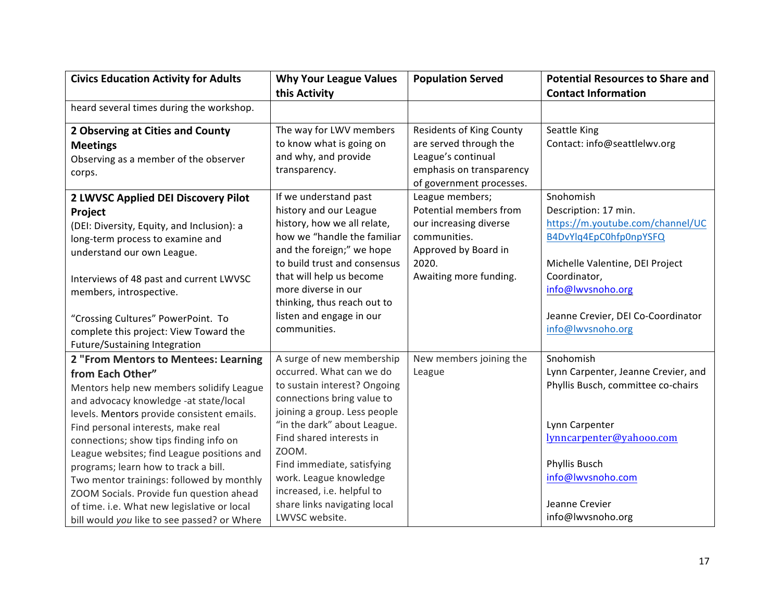| <b>Civics Education Activity for Adults</b>                                                                                                                                                                                                                                                                                                                        | <b>Why Your League Values</b><br>this Activity                                                                                                                                                                                                        | <b>Population Served</b>                                                                                                                | <b>Potential Resources to Share and</b><br><b>Contact Information</b>                                                                                 |
|--------------------------------------------------------------------------------------------------------------------------------------------------------------------------------------------------------------------------------------------------------------------------------------------------------------------------------------------------------------------|-------------------------------------------------------------------------------------------------------------------------------------------------------------------------------------------------------------------------------------------------------|-----------------------------------------------------------------------------------------------------------------------------------------|-------------------------------------------------------------------------------------------------------------------------------------------------------|
| heard several times during the workshop.                                                                                                                                                                                                                                                                                                                           |                                                                                                                                                                                                                                                       |                                                                                                                                         |                                                                                                                                                       |
| 2 Observing at Cities and County<br><b>Meetings</b><br>Observing as a member of the observer<br>corps.                                                                                                                                                                                                                                                             | The way for LWV members<br>to know what is going on<br>and why, and provide<br>transparency.                                                                                                                                                          | <b>Residents of King County</b><br>are served through the<br>League's continual<br>emphasis on transparency<br>of government processes. | Seattle King<br>Contact: info@seattlelwv.org                                                                                                          |
| 2 LWVSC Applied DEI Discovery Pilot<br>Project<br>(DEI: Diversity, Equity, and Inclusion): a<br>long-term process to examine and<br>understand our own League.                                                                                                                                                                                                     | If we understand past<br>history and our League<br>history, how we all relate,<br>how we "handle the familiar<br>and the foreign;" we hope<br>to build trust and consensus                                                                            | League members;<br>Potential members from<br>our increasing diverse<br>communities.<br>Approved by Board in<br>2020.                    | Snohomish<br>Description: 17 min.<br>https://m.youtube.com/channel/UC<br>B4DvYlq4EpC0hfp0npYSFQ<br>Michelle Valentine, DEI Project                    |
| Interviews of 48 past and current LWVSC<br>members, introspective.<br>"Crossing Cultures" PowerPoint. To                                                                                                                                                                                                                                                           | that will help us become<br>more diverse in our<br>thinking, thus reach out to<br>listen and engage in our                                                                                                                                            | Awaiting more funding.                                                                                                                  | Coordinator,<br>info@lwvsnoho.org<br>Jeanne Crevier, DEI Co-Coordinator                                                                               |
| complete this project: View Toward the<br>Future/Sustaining Integration                                                                                                                                                                                                                                                                                            | communities.                                                                                                                                                                                                                                          |                                                                                                                                         | info@lwvsnoho.org                                                                                                                                     |
| 2 "From Mentors to Mentees: Learning<br>from Each Other"<br>Mentors help new members solidify League<br>and advocacy knowledge -at state/local<br>levels. Mentors provide consistent emails.<br>Find personal interests, make real<br>connections; show tips finding info on<br>League websites; find League positions and<br>programs; learn how to track a bill. | A surge of new membership<br>occurred. What can we do<br>to sustain interest? Ongoing<br>connections bring value to<br>joining a group. Less people<br>"in the dark" about League.<br>Find shared interests in<br>ZOOM.<br>Find immediate, satisfying | New members joining the<br>League                                                                                                       | Snohomish<br>Lynn Carpenter, Jeanne Crevier, and<br>Phyllis Busch, committee co-chairs<br>Lynn Carpenter<br>lynncarpenter@yahooo.com<br>Phyllis Busch |
| Two mentor trainings: followed by monthly<br>ZOOM Socials. Provide fun question ahead<br>of time. i.e. What new legislative or local<br>bill would you like to see passed? or Where                                                                                                                                                                                | work. League knowledge<br>increased, i.e. helpful to<br>share links navigating local<br>LWVSC website.                                                                                                                                                |                                                                                                                                         | info@lwvsnoho.com<br>Jeanne Crevier<br>info@lwvsnoho.org                                                                                              |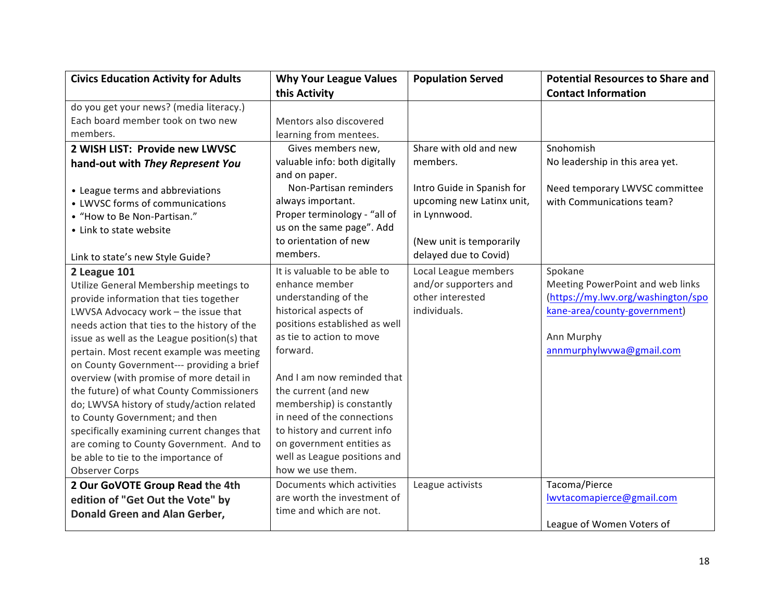| <b>Civics Education Activity for Adults</b>  | <b>Why Your League Values</b> | <b>Population Served</b>   | <b>Potential Resources to Share and</b> |
|----------------------------------------------|-------------------------------|----------------------------|-----------------------------------------|
|                                              | this Activity                 |                            | <b>Contact Information</b>              |
| do you get your news? (media literacy.)      |                               |                            |                                         |
| Each board member took on two new            | Mentors also discovered       |                            |                                         |
| members.                                     | learning from mentees.        |                            |                                         |
| 2 WISH LIST: Provide new LWVSC               | Gives members new,            | Share with old and new     | Snohomish                               |
| hand-out with They Represent You             | valuable info: both digitally | members.                   | No leadership in this area yet.         |
|                                              | and on paper.                 |                            |                                         |
| • League terms and abbreviations             | Non-Partisan reminders        | Intro Guide in Spanish for | Need temporary LWVSC committee          |
| • LWVSC forms of communications              | always important.             | upcoming new Latinx unit,  | with Communications team?               |
| • "How to Be Non-Partisan."                  | Proper terminology - "all of  | in Lynnwood.               |                                         |
| • Link to state website                      | us on the same page". Add     |                            |                                         |
|                                              | to orientation of new         | (New unit is temporarily   |                                         |
| Link to state's new Style Guide?             | members.                      | delayed due to Covid)      |                                         |
| 2 League 101                                 | It is valuable to be able to  | Local League members       | Spokane                                 |
| Utilize General Membership meetings to       | enhance member                | and/or supporters and      | Meeting PowerPoint and web links        |
| provide information that ties together       | understanding of the          | other interested           | (https://my.lwv.org/washington/spo      |
| LWVSA Advocacy work - the issue that         | historical aspects of         | individuals.               | kane-area/county-government)            |
| needs action that ties to the history of the | positions established as well |                            |                                         |
| issue as well as the League position(s) that | as tie to action to move      |                            | Ann Murphy                              |
| pertain. Most recent example was meeting     | forward.                      |                            | annmurphylwvwa@gmail.com                |
| on County Government--- providing a brief    |                               |                            |                                         |
| overview (with promise of more detail in     | And I am now reminded that    |                            |                                         |
| the future) of what County Commissioners     | the current (and new          |                            |                                         |
| do; LWVSA history of study/action related    | membership) is constantly     |                            |                                         |
| to County Government; and then               | in need of the connections    |                            |                                         |
| specifically examining current changes that  | to history and current info   |                            |                                         |
| are coming to County Government. And to      | on government entities as     |                            |                                         |
| be able to tie to the importance of          | well as League positions and  |                            |                                         |
| <b>Observer Corps</b>                        | how we use them.              |                            |                                         |
| 2 Our GoVOTE Group Read the 4th              | Documents which activities    | League activists           | Tacoma/Pierce                           |
| edition of "Get Out the Vote" by             | are worth the investment of   |                            | lwvtacomapierce@gmail.com               |
| Donald Green and Alan Gerber,                | time and which are not.       |                            |                                         |
|                                              |                               |                            | League of Women Voters of               |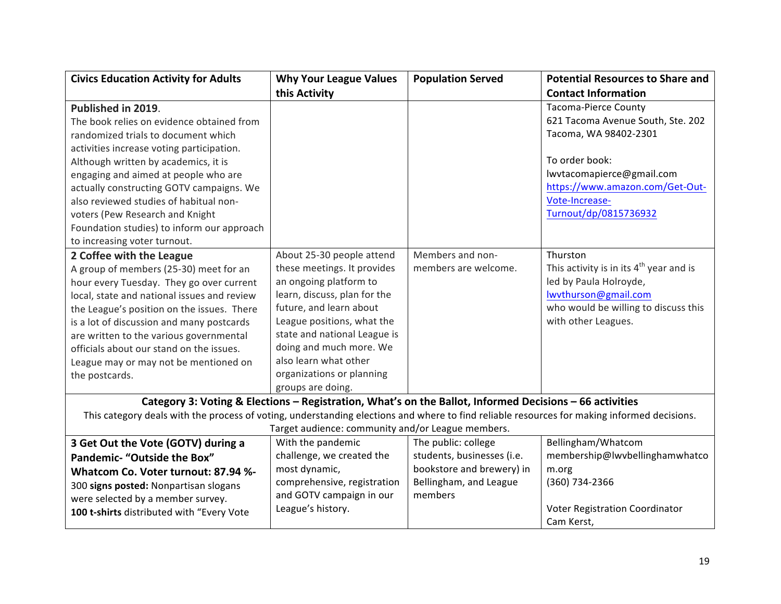| <b>Civics Education Activity for Adults</b>                                                                                                 | <b>Why Your League Values</b>                                                                           | <b>Population Served</b>   | <b>Potential Resources to Share and</b>   |
|---------------------------------------------------------------------------------------------------------------------------------------------|---------------------------------------------------------------------------------------------------------|----------------------------|-------------------------------------------|
|                                                                                                                                             | this Activity                                                                                           |                            | <b>Contact Information</b>                |
| Published in 2019.                                                                                                                          |                                                                                                         |                            | <b>Tacoma-Pierce County</b>               |
| The book relies on evidence obtained from                                                                                                   |                                                                                                         |                            | 621 Tacoma Avenue South, Ste. 202         |
| randomized trials to document which                                                                                                         |                                                                                                         |                            | Tacoma, WA 98402-2301                     |
| activities increase voting participation.                                                                                                   |                                                                                                         |                            |                                           |
| Although written by academics, it is                                                                                                        |                                                                                                         |                            | To order book:                            |
| engaging and aimed at people who are                                                                                                        |                                                                                                         |                            | lwvtacomapierce@gmail.com                 |
| actually constructing GOTV campaigns. We                                                                                                    |                                                                                                         |                            | https://www.amazon.com/Get-Out-           |
| also reviewed studies of habitual non-                                                                                                      |                                                                                                         |                            | Vote-Increase-                            |
| voters (Pew Research and Knight                                                                                                             |                                                                                                         |                            | Turnout/dp/0815736932                     |
| Foundation studies) to inform our approach                                                                                                  |                                                                                                         |                            |                                           |
| to increasing voter turnout.                                                                                                                |                                                                                                         |                            |                                           |
| 2 Coffee with the League                                                                                                                    | About 25-30 people attend                                                                               | Members and non-           | Thurston                                  |
| A group of members (25-30) meet for an                                                                                                      | these meetings. It provides                                                                             | members are welcome.       | This activity is in its $4th$ year and is |
| hour every Tuesday. They go over current                                                                                                    | an ongoing platform to                                                                                  |                            | led by Paula Holroyde,                    |
| local, state and national issues and review                                                                                                 | learn, discuss, plan for the                                                                            |                            | lwythurson@gmail.com                      |
| the League's position on the issues. There                                                                                                  | future, and learn about                                                                                 |                            | who would be willing to discuss this      |
| is a lot of discussion and many postcards                                                                                                   | League positions, what the                                                                              |                            | with other Leagues.                       |
| are written to the various governmental                                                                                                     | state and national League is                                                                            |                            |                                           |
| officials about our stand on the issues.                                                                                                    | doing and much more. We                                                                                 |                            |                                           |
| League may or may not be mentioned on                                                                                                       | also learn what other                                                                                   |                            |                                           |
| the postcards.                                                                                                                              | organizations or planning                                                                               |                            |                                           |
|                                                                                                                                             | groups are doing.                                                                                       |                            |                                           |
|                                                                                                                                             | Category 3: Voting & Elections - Registration, What's on the Ballot, Informed Decisions - 66 activities |                            |                                           |
| This category deals with the process of voting, understanding elections and where to find reliable resources for making informed decisions. |                                                                                                         |                            |                                           |
|                                                                                                                                             | Target audience: community and/or League members.                                                       |                            |                                           |
| 3 Get Out the Vote (GOTV) during a                                                                                                          | With the pandemic                                                                                       | The public: college        | Bellingham/Whatcom                        |
| <b>Pandemic- "Outside the Box"</b>                                                                                                          | challenge, we created the                                                                               | students, businesses (i.e. | membership@lwvbellinghamwhatco            |
| Whatcom Co. Voter turnout: 87.94 %-                                                                                                         | most dynamic,                                                                                           | bookstore and brewery) in  | m.org                                     |
| 300 signs posted: Nonpartisan slogans                                                                                                       | comprehensive, registration                                                                             | Bellingham, and League     | (360) 734-2366                            |
| were selected by a member survey.                                                                                                           | and GOTV campaign in our                                                                                | members                    |                                           |
| 100 t-shirts distributed with "Every Vote                                                                                                   | League's history.                                                                                       |                            | Voter Registration Coordinator            |
|                                                                                                                                             |                                                                                                         |                            | Cam Kerst,                                |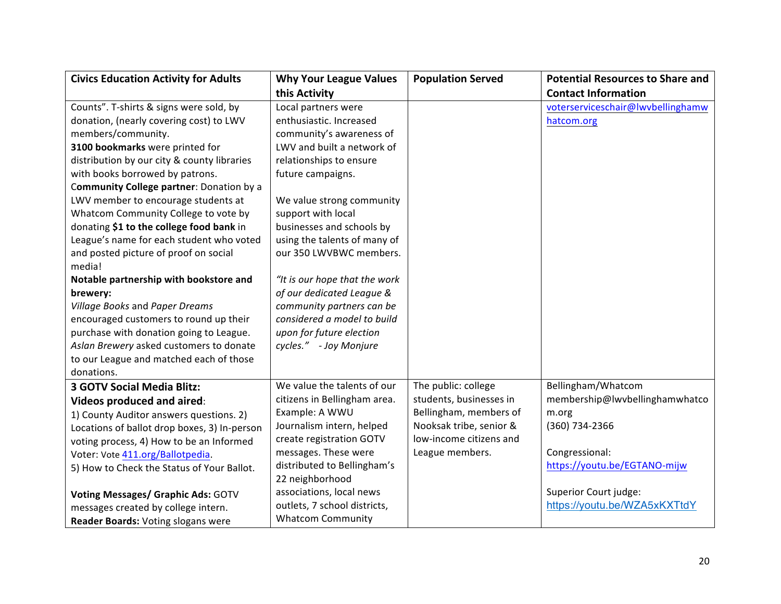| <b>Civics Education Activity for Adults</b>  | <b>Why Your League Values</b> | <b>Population Served</b> | <b>Potential Resources to Share and</b> |
|----------------------------------------------|-------------------------------|--------------------------|-----------------------------------------|
|                                              | this Activity                 |                          | <b>Contact Information</b>              |
| Counts". T-shirts & signs were sold, by      | Local partners were           |                          | voterserviceschair@lwvbellinghamw       |
| donation, (nearly covering cost) to LWV      | enthusiastic. Increased       |                          | hatcom.org                              |
| members/community.                           | community's awareness of      |                          |                                         |
| 3100 bookmarks were printed for              | LWV and built a network of    |                          |                                         |
| distribution by our city & county libraries  | relationships to ensure       |                          |                                         |
| with books borrowed by patrons.              | future campaigns.             |                          |                                         |
| Community College partner: Donation by a     |                               |                          |                                         |
| LWV member to encourage students at          | We value strong community     |                          |                                         |
| Whatcom Community College to vote by         | support with local            |                          |                                         |
| donating \$1 to the college food bank in     | businesses and schools by     |                          |                                         |
| League's name for each student who voted     | using the talents of many of  |                          |                                         |
| and posted picture of proof on social        | our 350 LWVBWC members.       |                          |                                         |
| media!                                       |                               |                          |                                         |
| Notable partnership with bookstore and       | "It is our hope that the work |                          |                                         |
| brewery:                                     | of our dedicated League &     |                          |                                         |
| Village Books and Paper Dreams               | community partners can be     |                          |                                         |
| encouraged customers to round up their       | considered a model to build   |                          |                                         |
| purchase with donation going to League.      | upon for future election      |                          |                                         |
| Aslan Brewery asked customers to donate      | cycles." - Joy Monjure        |                          |                                         |
| to our League and matched each of those      |                               |                          |                                         |
| donations.                                   |                               |                          |                                         |
| <b>3 GOTV Social Media Blitz:</b>            | We value the talents of our   | The public: college      | Bellingham/Whatcom                      |
| <b>Videos produced and aired:</b>            | citizens in Bellingham area.  | students, businesses in  | membership@lwvbellinghamwhatco          |
| 1) County Auditor answers questions. 2)      | Example: A WWU                | Bellingham, members of   | m.org                                   |
| Locations of ballot drop boxes, 3) In-person | Journalism intern, helped     | Nooksak tribe, senior &  | (360) 734-2366                          |
| voting process, 4) How to be an Informed     | create registration GOTV      | low-income citizens and  |                                         |
| Voter: Vote 411.org/Ballotpedia.             | messages. These were          | League members.          | Congressional:                          |
| 5) How to Check the Status of Your Ballot.   | distributed to Bellingham's   |                          | https://youtu.be/EGTANO-mijw            |
|                                              | 22 neighborhood               |                          |                                         |
| <b>Voting Messages/ Graphic Ads: GOTV</b>    | associations, local news      |                          | Superior Court judge:                   |
| messages created by college intern.          | outlets, 7 school districts,  |                          | https://youtu.be/WZA5xKXTtdY            |
| Reader Boards: Voting slogans were           | <b>Whatcom Community</b>      |                          |                                         |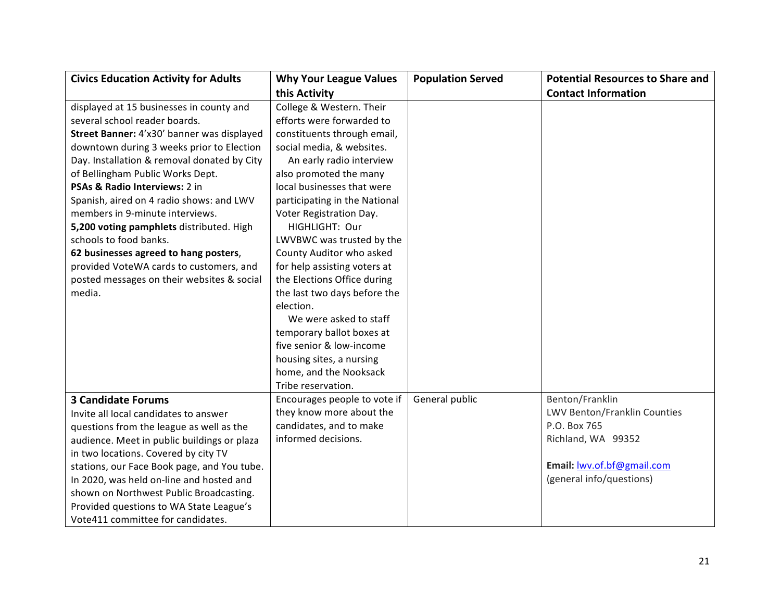| <b>Civics Education Activity for Adults</b> | <b>Why Your League Values</b> | <b>Population Served</b> | <b>Potential Resources to Share and</b> |
|---------------------------------------------|-------------------------------|--------------------------|-----------------------------------------|
|                                             | this Activity                 |                          | <b>Contact Information</b>              |
| displayed at 15 businesses in county and    | College & Western. Their      |                          |                                         |
| several school reader boards.               | efforts were forwarded to     |                          |                                         |
| Street Banner: 4'x30' banner was displayed  | constituents through email,   |                          |                                         |
| downtown during 3 weeks prior to Election   | social media, & websites.     |                          |                                         |
| Day. Installation & removal donated by City | An early radio interview      |                          |                                         |
| of Bellingham Public Works Dept.            | also promoted the many        |                          |                                         |
| PSAs & Radio Interviews: 2 in               | local businesses that were    |                          |                                         |
| Spanish, aired on 4 radio shows: and LWV    | participating in the National |                          |                                         |
| members in 9-minute interviews.             | Voter Registration Day.       |                          |                                         |
| 5,200 voting pamphlets distributed. High    | HIGHLIGHT: Our                |                          |                                         |
| schools to food banks.                      | LWVBWC was trusted by the     |                          |                                         |
| 62 businesses agreed to hang posters,       | County Auditor who asked      |                          |                                         |
| provided VoteWA cards to customers, and     | for help assisting voters at  |                          |                                         |
| posted messages on their websites & social  | the Elections Office during   |                          |                                         |
| media.                                      | the last two days before the  |                          |                                         |
|                                             | election.                     |                          |                                         |
|                                             | We were asked to staff        |                          |                                         |
|                                             | temporary ballot boxes at     |                          |                                         |
|                                             | five senior & low-income      |                          |                                         |
|                                             | housing sites, a nursing      |                          |                                         |
|                                             | home, and the Nooksack        |                          |                                         |
|                                             | Tribe reservation.            |                          |                                         |
| <b>3 Candidate Forums</b>                   | Encourages people to vote if  | General public           | Benton/Franklin                         |
| Invite all local candidates to answer       | they know more about the      |                          | LWV Benton/Franklin Counties            |
| questions from the league as well as the    | candidates, and to make       |                          | P.O. Box 765                            |
| audience. Meet in public buildings or plaza | informed decisions.           |                          | Richland, WA 99352                      |
| in two locations. Covered by city TV        |                               |                          |                                         |
| stations, our Face Book page, and You tube. |                               |                          | Email: lwv.of.bf@gmail.com              |
| In 2020, was held on-line and hosted and    |                               |                          | (general info/questions)                |
| shown on Northwest Public Broadcasting.     |                               |                          |                                         |
| Provided questions to WA State League's     |                               |                          |                                         |
| Vote411 committee for candidates.           |                               |                          |                                         |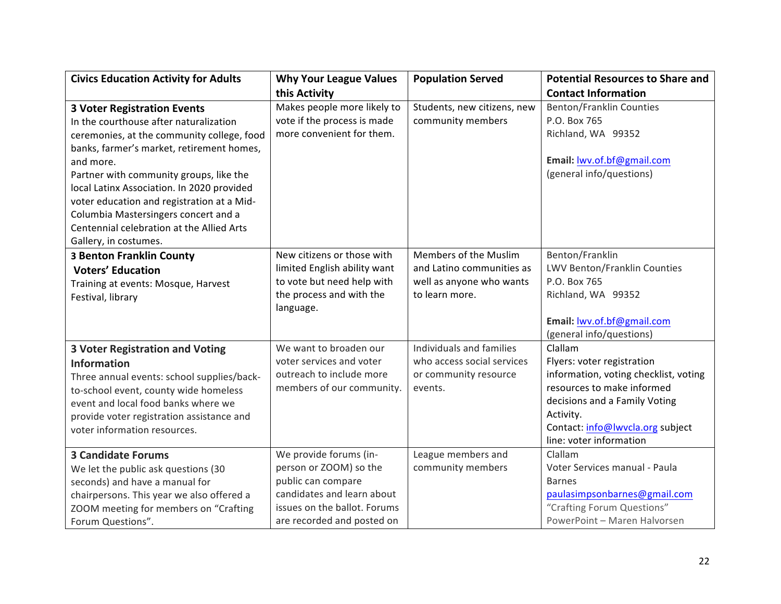| <b>Civics Education Activity for Adults</b> | <b>Why Your League Values</b> | <b>Population Served</b>    | <b>Potential Resources to Share and</b> |
|---------------------------------------------|-------------------------------|-----------------------------|-----------------------------------------|
|                                             | this Activity                 |                             | <b>Contact Information</b>              |
| <b>3 Voter Registration Events</b>          | Makes people more likely to   | Students, new citizens, new | <b>Benton/Franklin Counties</b>         |
| In the courthouse after naturalization      | vote if the process is made   | community members           | P.O. Box 765                            |
| ceremonies, at the community college, food  | more convenient for them.     |                             | Richland, WA 99352                      |
| banks, farmer's market, retirement homes,   |                               |                             |                                         |
| and more.                                   |                               |                             | Email: lwv.of.bf@gmail.com              |
| Partner with community groups, like the     |                               |                             | (general info/questions)                |
| local Latinx Association. In 2020 provided  |                               |                             |                                         |
| voter education and registration at a Mid-  |                               |                             |                                         |
| Columbia Mastersingers concert and a        |                               |                             |                                         |
| Centennial celebration at the Allied Arts   |                               |                             |                                         |
| Gallery, in costumes.                       |                               |                             |                                         |
| <b>3 Benton Franklin County</b>             | New citizens or those with    | Members of the Muslim       | Benton/Franklin                         |
| <b>Voters' Education</b>                    | limited English ability want  | and Latino communities as   | LWV Benton/Franklin Counties            |
| Training at events: Mosque, Harvest         | to vote but need help with    | well as anyone who wants    | P.O. Box 765                            |
| Festival, library                           | the process and with the      | to learn more.              | Richland, WA 99352                      |
|                                             | language.                     |                             |                                         |
|                                             |                               |                             | Email: wv.of.bf@gmail.com               |
|                                             |                               |                             | (general info/questions)                |
| <b>3 Voter Registration and Voting</b>      | We want to broaden our        | Individuals and families    | Clallam                                 |
| <b>Information</b>                          | voter services and voter      | who access social services  | Flyers: voter registration              |
| Three annual events: school supplies/back-  | outreach to include more      | or community resource       | information, voting checklist, voting   |
| to-school event, county wide homeless       | members of our community.     | events.                     | resources to make informed              |
| event and local food banks where we         |                               |                             | decisions and a Family Voting           |
| provide voter registration assistance and   |                               |                             | Activity.                               |
| voter information resources.                |                               |                             | Contact: info@lwvcla.org subject        |
|                                             |                               |                             | line: voter information                 |
| <b>3 Candidate Forums</b>                   | We provide forums (in-        | League members and          | Clallam                                 |
| We let the public ask questions (30         | person or ZOOM) so the        | community members           | Voter Services manual - Paula           |
| seconds) and have a manual for              | public can compare            |                             | <b>Barnes</b>                           |
| chairpersons. This year we also offered a   | candidates and learn about    |                             | paulasimpsonbarnes@gmail.com            |
| ZOOM meeting for members on "Crafting       | issues on the ballot. Forums  |                             | "Crafting Forum Questions"              |
| Forum Questions".                           | are recorded and posted on    |                             | PowerPoint - Maren Halvorsen            |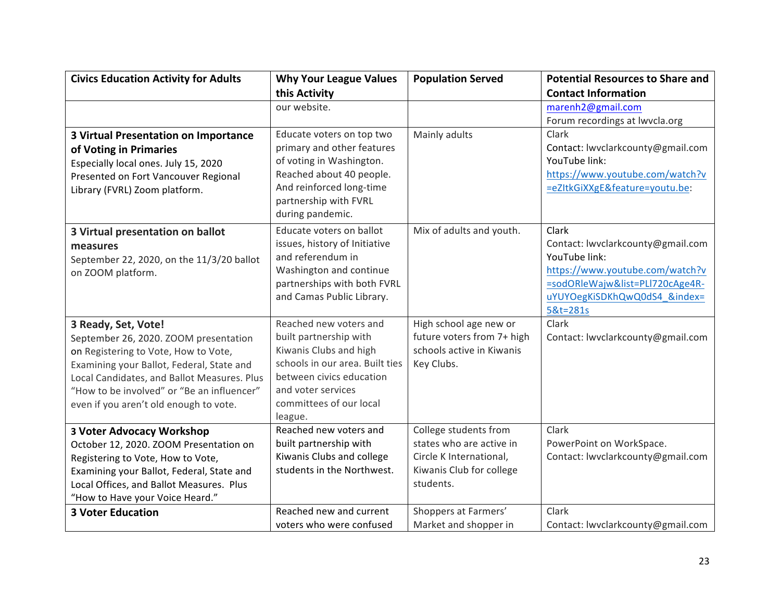| <b>Civics Education Activity for Adults</b> | <b>Why Your League Values</b>                             | <b>Population Served</b>   | <b>Potential Resources to Share and</b>    |
|---------------------------------------------|-----------------------------------------------------------|----------------------------|--------------------------------------------|
|                                             | this Activity                                             |                            | <b>Contact Information</b>                 |
|                                             | our website.                                              |                            | marenh2@gmail.com                          |
|                                             |                                                           |                            | Forum recordings at lwvcla.org             |
| <b>3 Virtual Presentation on Importance</b> | Educate voters on top two                                 | Mainly adults              | Clark                                      |
| of Voting in Primaries                      | primary and other features                                |                            | Contact: lwvclarkcounty@gmail.com          |
| Especially local ones. July 15, 2020        | of voting in Washington.                                  |                            | YouTube link:                              |
| Presented on Fort Vancouver Regional        | Reached about 40 people.                                  |                            | https://www.youtube.com/watch?v            |
| Library (FVRL) Zoom platform.               | And reinforced long-time                                  |                            | =eZItkGiXXgE&feature=youtu.be:             |
|                                             | partnership with FVRL<br>during pandemic.                 |                            |                                            |
|                                             |                                                           |                            |                                            |
| 3 Virtual presentation on ballot            | Educate voters on ballot<br>issues, history of Initiative | Mix of adults and youth.   | Clark<br>Contact: lwvclarkcounty@gmail.com |
| measures                                    | and referendum in                                         |                            | YouTube link:                              |
| September 22, 2020, on the 11/3/20 ballot   | Washington and continue                                   |                            | https://www.youtube.com/watch?v            |
| on ZOOM platform.                           | partnerships with both FVRL                               |                            | =sodORleWajw&list=PLl720cAge4R-            |
|                                             | and Camas Public Library.                                 |                            | uYUYOegKiSDKhQwQ0dS4_&index=               |
|                                             |                                                           |                            | 5&t=281s                                   |
| 3 Ready, Set, Vote!                         | Reached new voters and                                    | High school age new or     | Clark                                      |
| September 26, 2020. ZOOM presentation       | built partnership with                                    | future voters from 7+ high | Contact: lwvclarkcounty@gmail.com          |
| on Registering to Vote, How to Vote,        | Kiwanis Clubs and high                                    | schools active in Kiwanis  |                                            |
| Examining your Ballot, Federal, State and   | schools in our area. Built ties                           | Key Clubs.                 |                                            |
| Local Candidates, and Ballot Measures. Plus | between civics education                                  |                            |                                            |
| "How to be involved" or "Be an influencer"  | and voter services                                        |                            |                                            |
| even if you aren't old enough to vote.      | committees of our local                                   |                            |                                            |
|                                             | league.                                                   |                            |                                            |
| <b>3 Voter Advocacy Workshop</b>            | Reached new voters and                                    | College students from      | Clark                                      |
| October 12, 2020. ZOOM Presentation on      | built partnership with                                    | states who are active in   | PowerPoint on WorkSpace.                   |
| Registering to Vote, How to Vote,           | Kiwanis Clubs and college                                 | Circle K International,    | Contact: lwvclarkcounty@gmail.com          |
| Examining your Ballot, Federal, State and   | students in the Northwest.                                | Kiwanis Club for college   |                                            |
| Local Offices, and Ballot Measures. Plus    |                                                           | students.                  |                                            |
| "How to Have your Voice Heard."             |                                                           |                            |                                            |
| <b>3 Voter Education</b>                    | Reached new and current                                   | Shoppers at Farmers'       | Clark                                      |
|                                             | voters who were confused                                  | Market and shopper in      | Contact: lwvclarkcounty@gmail.com          |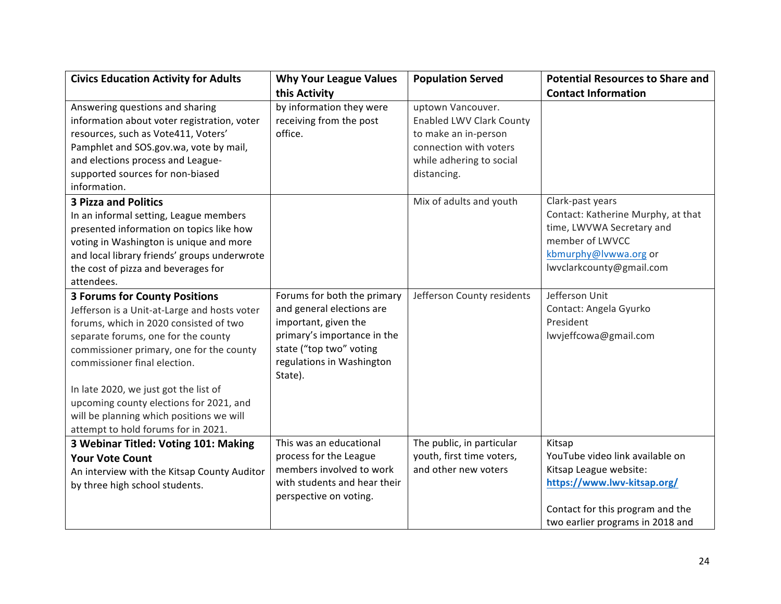| <b>Civics Education Activity for Adults</b>                                                                                                                                                                                                                                                                                                                                                                              | <b>Why Your League Values</b>                                                                                                                                                      | <b>Population Served</b>                                                                                                                          | <b>Potential Resources to Share and</b>                                                                                                                                    |
|--------------------------------------------------------------------------------------------------------------------------------------------------------------------------------------------------------------------------------------------------------------------------------------------------------------------------------------------------------------------------------------------------------------------------|------------------------------------------------------------------------------------------------------------------------------------------------------------------------------------|---------------------------------------------------------------------------------------------------------------------------------------------------|----------------------------------------------------------------------------------------------------------------------------------------------------------------------------|
|                                                                                                                                                                                                                                                                                                                                                                                                                          | this Activity                                                                                                                                                                      |                                                                                                                                                   | <b>Contact Information</b>                                                                                                                                                 |
| Answering questions and sharing<br>information about voter registration, voter<br>resources, such as Vote411, Voters'<br>Pamphlet and SOS.gov.wa, vote by mail,<br>and elections process and League-<br>supported sources for non-biased<br>information.                                                                                                                                                                 | by information they were<br>receiving from the post<br>office.                                                                                                                     | uptown Vancouver.<br><b>Enabled LWV Clark County</b><br>to make an in-person<br>connection with voters<br>while adhering to social<br>distancing. |                                                                                                                                                                            |
| <b>3 Pizza and Politics</b><br>In an informal setting, League members<br>presented information on topics like how<br>voting in Washington is unique and more<br>and local library friends' groups underwrote<br>the cost of pizza and beverages for<br>attendees.                                                                                                                                                        |                                                                                                                                                                                    | Mix of adults and youth                                                                                                                           | Clark-past years<br>Contact: Katherine Murphy, at that<br>time, LWVWA Secretary and<br>member of LWVCC<br>kbmurphy@lvwwa.org or<br>lwyclarkcounty@gmail.com                |
| <b>3 Forums for County Positions</b><br>Jefferson is a Unit-at-Large and hosts voter<br>forums, which in 2020 consisted of two<br>separate forums, one for the county<br>commissioner primary, one for the county<br>commissioner final election.<br>In late 2020, we just got the list of<br>upcoming county elections for 2021, and<br>will be planning which positions we will<br>attempt to hold forums for in 2021. | Forums for both the primary<br>and general elections are<br>important, given the<br>primary's importance in the<br>state ("top two" voting<br>regulations in Washington<br>State). | Jefferson County residents                                                                                                                        | Jefferson Unit<br>Contact: Angela Gyurko<br>President<br>lwvjeffcowa@gmail.com                                                                                             |
| 3 Webinar Titled: Voting 101: Making<br><b>Your Vote Count</b><br>An interview with the Kitsap County Auditor<br>by three high school students.                                                                                                                                                                                                                                                                          | This was an educational<br>process for the League<br>members involved to work<br>with students and hear their<br>perspective on voting.                                            | The public, in particular<br>youth, first time voters,<br>and other new voters                                                                    | Kitsap<br>YouTube video link available on<br>Kitsap League website:<br>https://www.lwv-kitsap.org/<br>Contact for this program and the<br>two earlier programs in 2018 and |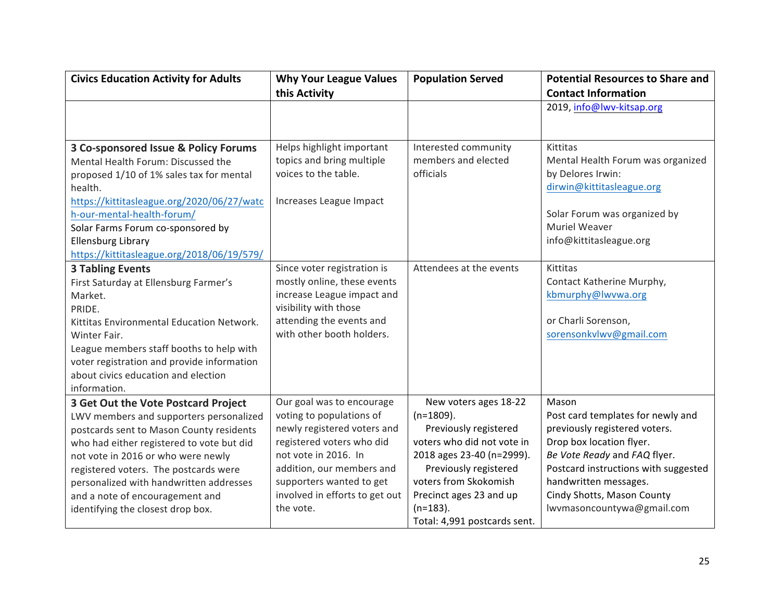| <b>Civics Education Activity for Adults</b>                                                                                                                                                                                                                                                                                                                               | <b>Why Your League Values</b><br>this Activity                                                                                                                                                                                                    | <b>Population Served</b>                                                                                                                                                                                                                              | <b>Potential Resources to Share and</b><br><b>Contact Information</b>                                                                                                                                                                                                |
|---------------------------------------------------------------------------------------------------------------------------------------------------------------------------------------------------------------------------------------------------------------------------------------------------------------------------------------------------------------------------|---------------------------------------------------------------------------------------------------------------------------------------------------------------------------------------------------------------------------------------------------|-------------------------------------------------------------------------------------------------------------------------------------------------------------------------------------------------------------------------------------------------------|----------------------------------------------------------------------------------------------------------------------------------------------------------------------------------------------------------------------------------------------------------------------|
|                                                                                                                                                                                                                                                                                                                                                                           |                                                                                                                                                                                                                                                   |                                                                                                                                                                                                                                                       | 2019, info@lwv-kitsap.org                                                                                                                                                                                                                                            |
|                                                                                                                                                                                                                                                                                                                                                                           |                                                                                                                                                                                                                                                   |                                                                                                                                                                                                                                                       |                                                                                                                                                                                                                                                                      |
| 3 Co-sponsored Issue & Policy Forums<br>Mental Health Forum: Discussed the<br>proposed 1/10 of 1% sales tax for mental<br>health.<br>https://kittitasleague.org/2020/06/27/watc<br>h-our-mental-health-forum/<br>Solar Farms Forum co-sponsored by<br><b>Ellensburg Library</b><br>https://kittitasleague.org/2018/06/19/579/                                             | Helps highlight important<br>topics and bring multiple<br>voices to the table.<br>Increases League Impact                                                                                                                                         | Interested community<br>members and elected<br>officials                                                                                                                                                                                              | Kittitas<br>Mental Health Forum was organized<br>by Delores Irwin:<br>dirwin@kittitasleague.org<br>Solar Forum was organized by<br>Muriel Weaver<br>info@kittitasleague.org                                                                                          |
| <b>3 Tabling Events</b><br>First Saturday at Ellensburg Farmer's<br>Market.<br>PRIDE.<br>Kittitas Environmental Education Network.<br>Winter Fair.<br>League members staff booths to help with<br>voter registration and provide information<br>about civics education and election<br>information.                                                                       | Since voter registration is<br>mostly online, these events<br>increase League impact and<br>visibility with those<br>attending the events and<br>with other booth holders.                                                                        | Attendees at the events                                                                                                                                                                                                                               | Kittitas<br>Contact Katherine Murphy,<br>kbmurphy@lwvwa.org<br>or Charli Sorenson,<br>sorensonkvlwv@gmail.com                                                                                                                                                        |
| 3 Get Out the Vote Postcard Project<br>LWV members and supporters personalized<br>postcards sent to Mason County residents<br>who had either registered to vote but did<br>not vote in 2016 or who were newly<br>registered voters. The postcards were<br>personalized with handwritten addresses<br>and a note of encouragement and<br>identifying the closest drop box. | Our goal was to encourage<br>voting to populations of<br>newly registered voters and<br>registered voters who did<br>not vote in 2016. In<br>addition, our members and<br>supporters wanted to get<br>involved in efforts to get out<br>the vote. | New voters ages 18-22<br>$(n=1809)$ .<br>Previously registered<br>voters who did not vote in<br>2018 ages 23-40 (n=2999).<br>Previously registered<br>voters from Skokomish<br>Precinct ages 23 and up<br>$(n=183)$ .<br>Total: 4,991 postcards sent. | Mason<br>Post card templates for newly and<br>previously registered voters.<br>Drop box location flyer.<br>Be Vote Ready and FAQ flyer.<br>Postcard instructions with suggested<br>handwritten messages.<br>Cindy Shotts, Mason County<br>lwvmasoncountywa@gmail.com |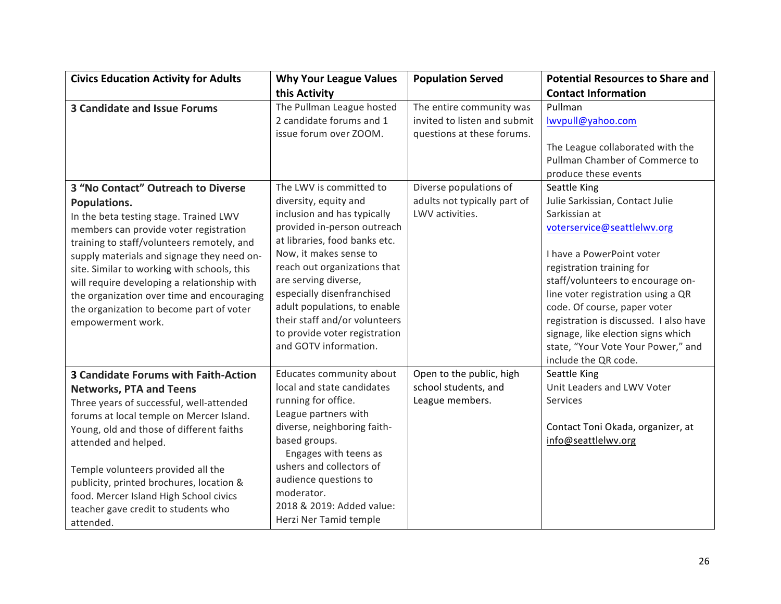| <b>Civics Education Activity for Adults</b>                                                                                                                                                                                                                                                                                                                                                                                                     | <b>Why Your League Values</b>                                                                                                                                                                                                                                                                                                                                                              | <b>Population Served</b>                                                               | <b>Potential Resources to Share and</b>                                                                                                                                                                                                                                                                                                                                                                                                    |
|-------------------------------------------------------------------------------------------------------------------------------------------------------------------------------------------------------------------------------------------------------------------------------------------------------------------------------------------------------------------------------------------------------------------------------------------------|--------------------------------------------------------------------------------------------------------------------------------------------------------------------------------------------------------------------------------------------------------------------------------------------------------------------------------------------------------------------------------------------|----------------------------------------------------------------------------------------|--------------------------------------------------------------------------------------------------------------------------------------------------------------------------------------------------------------------------------------------------------------------------------------------------------------------------------------------------------------------------------------------------------------------------------------------|
|                                                                                                                                                                                                                                                                                                                                                                                                                                                 | this Activity                                                                                                                                                                                                                                                                                                                                                                              |                                                                                        | <b>Contact Information</b>                                                                                                                                                                                                                                                                                                                                                                                                                 |
| <b>3 Candidate and Issue Forums</b>                                                                                                                                                                                                                                                                                                                                                                                                             | The Pullman League hosted<br>2 candidate forums and 1<br>issue forum over ZOOM.                                                                                                                                                                                                                                                                                                            | The entire community was<br>invited to listen and submit<br>questions at these forums. | Pullman<br>lwvpull@yahoo.com<br>The League collaborated with the<br>Pullman Chamber of Commerce to                                                                                                                                                                                                                                                                                                                                         |
| 3 "No Contact" Outreach to Diverse<br>Populations.<br>In the beta testing stage. Trained LWV<br>members can provide voter registration<br>training to staff/volunteers remotely, and<br>supply materials and signage they need on-<br>site. Similar to working with schools, this<br>will require developing a relationship with<br>the organization over time and encouraging<br>the organization to become part of voter<br>empowerment work. | The LWV is committed to<br>diversity, equity and<br>inclusion and has typically<br>provided in-person outreach<br>at libraries, food banks etc.<br>Now, it makes sense to<br>reach out organizations that<br>are serving diverse,<br>especially disenfranchised<br>adult populations, to enable<br>their staff and/or volunteers<br>to provide voter registration<br>and GOTV information. | Diverse populations of<br>adults not typically part of<br>LWV activities.              | produce these events<br>Seattle King<br>Julie Sarkissian, Contact Julie<br>Sarkissian at<br>voterservice@seattlelwv.org<br>I have a PowerPoint voter<br>registration training for<br>staff/volunteers to encourage on-<br>line voter registration using a QR<br>code. Of course, paper voter<br>registration is discussed. I also have<br>signage, like election signs which<br>state, "Your Vote Your Power," and<br>include the QR code. |
| <b>3 Candidate Forums with Faith-Action</b><br><b>Networks, PTA and Teens</b><br>Three years of successful, well-attended<br>forums at local temple on Mercer Island.<br>Young, old and those of different faiths<br>attended and helped.<br>Temple volunteers provided all the<br>publicity, printed brochures, location &<br>food. Mercer Island High School civics<br>teacher gave credit to students who<br>attended.                       | Educates community about<br>local and state candidates<br>running for office.<br>League partners with<br>diverse, neighboring faith-<br>based groups.<br>Engages with teens as<br>ushers and collectors of<br>audience questions to<br>moderator.<br>2018 & 2019: Added value:<br>Herzi Ner Tamid temple                                                                                   | Open to the public, high<br>school students, and<br>League members.                    | Seattle King<br>Unit Leaders and LWV Voter<br>Services<br>Contact Toni Okada, organizer, at<br>info@seattlelwv.org                                                                                                                                                                                                                                                                                                                         |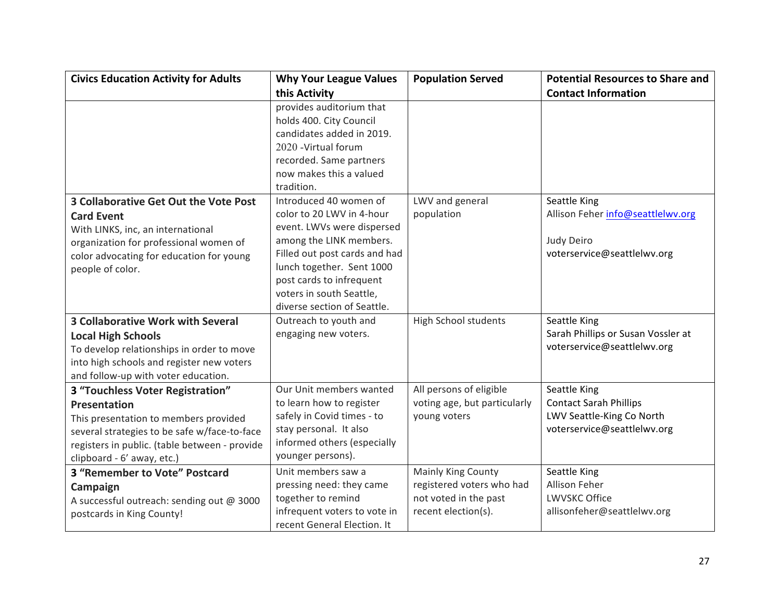| <b>Civics Education Activity for Adults</b>                                                                                                                                                                              | <b>Why Your League Values</b>                                                                                                                                                                                                           | <b>Population Served</b>                                                                        | <b>Potential Resources to Share and</b>                                                                   |
|--------------------------------------------------------------------------------------------------------------------------------------------------------------------------------------------------------------------------|-----------------------------------------------------------------------------------------------------------------------------------------------------------------------------------------------------------------------------------------|-------------------------------------------------------------------------------------------------|-----------------------------------------------------------------------------------------------------------|
|                                                                                                                                                                                                                          | this Activity                                                                                                                                                                                                                           |                                                                                                 | <b>Contact Information</b>                                                                                |
|                                                                                                                                                                                                                          | provides auditorium that<br>holds 400. City Council<br>candidates added in 2019.<br>2020 - Virtual forum<br>recorded. Same partners<br>now makes this a valued<br>tradition.                                                            |                                                                                                 |                                                                                                           |
| 3 Collaborative Get Out the Vote Post                                                                                                                                                                                    | Introduced 40 women of                                                                                                                                                                                                                  | LWV and general                                                                                 | Seattle King                                                                                              |
| <b>Card Event</b><br>With LINKS, inc, an international<br>organization for professional women of<br>color advocating for education for young<br>people of color.                                                         | color to 20 LWV in 4-hour<br>event. LWVs were dispersed<br>among the LINK members.<br>Filled out post cards and had<br>lunch together. Sent 1000<br>post cards to infrequent<br>voters in south Seattle,<br>diverse section of Seattle. | population                                                                                      | Allison Feher info@seattlelwv.org<br>Judy Deiro<br>voterservice@seattlelwv.org                            |
| <b>3 Collaborative Work with Several</b><br><b>Local High Schools</b><br>To develop relationships in order to move<br>into high schools and register new voters<br>and follow-up with voter education.                   | Outreach to youth and<br>engaging new voters.                                                                                                                                                                                           | <b>High School students</b>                                                                     | Seattle King<br>Sarah Phillips or Susan Vossler at<br>voterservice@seattlelwv.org                         |
| 3 "Touchless Voter Registration"<br>Presentation<br>This presentation to members provided<br>several strategies to be safe w/face-to-face<br>registers in public. (table between - provide<br>clipboard - 6' away, etc.) | Our Unit members wanted<br>to learn how to register<br>safely in Covid times - to<br>stay personal. It also<br>informed others (especially<br>younger persons).                                                                         | All persons of eligible<br>voting age, but particularly<br>young voters                         | Seattle King<br><b>Contact Sarah Phillips</b><br>LWV Seattle-King Co North<br>voterservice@seattlelwv.org |
| <b>3 "Remember to Vote" Postcard</b><br>Campaign<br>A successful outreach: sending out @ 3000<br>postcards in King County!                                                                                               | Unit members saw a<br>pressing need: they came<br>together to remind<br>infrequent voters to vote in<br>recent General Election. It                                                                                                     | Mainly King County<br>registered voters who had<br>not voted in the past<br>recent election(s). | Seattle King<br>Allison Feher<br><b>LWVSKC Office</b><br>allisonfeher@seattlelwv.org                      |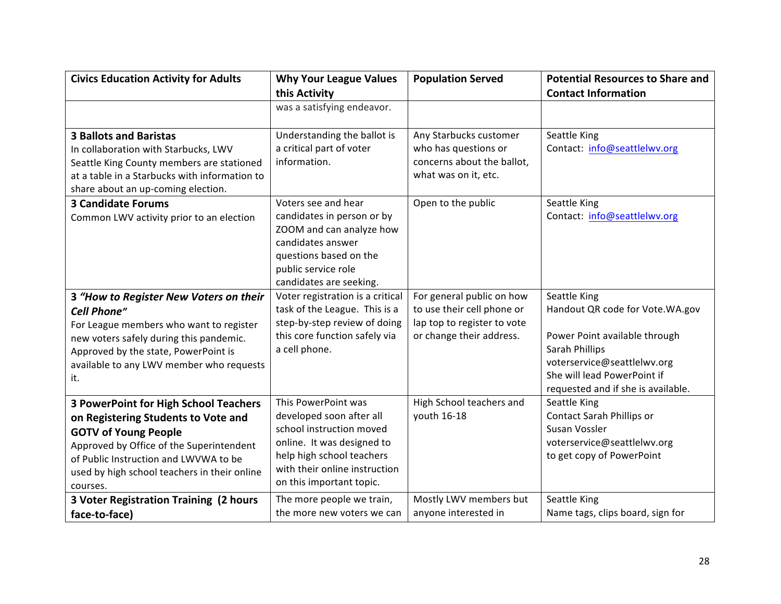| <b>Civics Education Activity for Adults</b>                                                                                                                                                                                                                         | <b>Why Your League Values</b>                                                                                                                                                                       | <b>Population Served</b>                                                                                                   | <b>Potential Resources to Share and</b>                                                                                                                                                                 |
|---------------------------------------------------------------------------------------------------------------------------------------------------------------------------------------------------------------------------------------------------------------------|-----------------------------------------------------------------------------------------------------------------------------------------------------------------------------------------------------|----------------------------------------------------------------------------------------------------------------------------|---------------------------------------------------------------------------------------------------------------------------------------------------------------------------------------------------------|
|                                                                                                                                                                                                                                                                     | this Activity                                                                                                                                                                                       |                                                                                                                            | <b>Contact Information</b>                                                                                                                                                                              |
|                                                                                                                                                                                                                                                                     | was a satisfying endeavor.                                                                                                                                                                          |                                                                                                                            |                                                                                                                                                                                                         |
| <b>3 Ballots and Baristas</b><br>In collaboration with Starbucks, LWV<br>Seattle King County members are stationed<br>at a table in a Starbucks with information to<br>share about an up-coming election.                                                           | Understanding the ballot is<br>a critical part of voter<br>information.<br>Voters see and hear                                                                                                      | Any Starbucks customer<br>who has questions or<br>concerns about the ballot,<br>what was on it, etc.<br>Open to the public | Seattle King<br>Contact: info@seattlelwv.org                                                                                                                                                            |
| <b>3 Candidate Forums</b><br>Common LWV activity prior to an election                                                                                                                                                                                               | candidates in person or by<br>ZOOM and can analyze how<br>candidates answer<br>questions based on the<br>public service role<br>candidates are seeking.                                             |                                                                                                                            | Seattle King<br>Contact: info@seattlelwv.org                                                                                                                                                            |
| 3 "How to Register New Voters on their<br><b>Cell Phone"</b><br>For League members who want to register<br>new voters safely during this pandemic.<br>Approved by the state, PowerPoint is<br>available to any LWV member who requests<br>it.                       | Voter registration is a critical<br>task of the League. This is a<br>step-by-step review of doing<br>this core function safely via<br>a cell phone.                                                 | For general public on how<br>to use their cell phone or<br>lap top to register to vote<br>or change their address.         | Seattle King<br>Handout QR code for Vote. WA.gov<br>Power Point available through<br>Sarah Phillips<br>voterservice@seattlelwv.org<br>She will lead PowerPoint if<br>requested and if she is available. |
| <b>3 PowerPoint for High School Teachers</b><br>on Registering Students to Vote and<br><b>GOTV of Young People</b><br>Approved by Office of the Superintendent<br>of Public Instruction and LWVWA to be<br>used by high school teachers in their online<br>courses. | This PowerPoint was<br>developed soon after all<br>school instruction moved<br>online. It was designed to<br>help high school teachers<br>with their online instruction<br>on this important topic. | High School teachers and<br>youth 16-18                                                                                    | Seattle King<br>Contact Sarah Phillips or<br>Susan Vossler<br>voterservice@seattlelwv.org<br>to get copy of PowerPoint                                                                                  |
| <b>3 Voter Registration Training (2 hours</b><br>face-to-face)                                                                                                                                                                                                      | The more people we train,<br>the more new voters we can                                                                                                                                             | Mostly LWV members but<br>anyone interested in                                                                             | Seattle King<br>Name tags, clips board, sign for                                                                                                                                                        |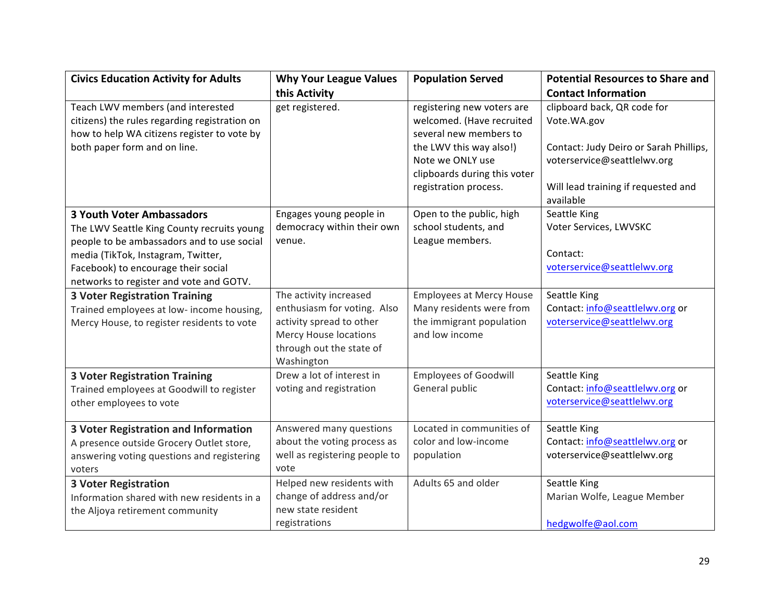| <b>Civics Education Activity for Adults</b>                                                                                       | <b>Why Your League Values</b>          | <b>Population Served</b>                                                          | <b>Potential Resources to Share and</b>                               |
|-----------------------------------------------------------------------------------------------------------------------------------|----------------------------------------|-----------------------------------------------------------------------------------|-----------------------------------------------------------------------|
|                                                                                                                                   | this Activity                          |                                                                                   | <b>Contact Information</b>                                            |
| Teach LWV members (and interested<br>citizens) the rules regarding registration on<br>how to help WA citizens register to vote by | get registered.                        | registering new voters are<br>welcomed. (Have recruited<br>several new members to | clipboard back, QR code for<br>Vote.WA.gov                            |
| both paper form and on line.                                                                                                      |                                        | the LWV this way also!)<br>Note we ONLY use<br>clipboards during this voter       | Contact: Judy Deiro or Sarah Phillips,<br>voterservice@seattlelwv.org |
|                                                                                                                                   |                                        | registration process.                                                             | Will lead training if requested and<br>available                      |
| <b>3 Youth Voter Ambassadors</b>                                                                                                  | Engages young people in                | Open to the public, high                                                          | Seattle King                                                          |
| The LWV Seattle King County recruits young<br>people to be ambassadors and to use social                                          | democracy within their own<br>venue.   | school students, and<br>League members.                                           | Voter Services, LWVSKC                                                |
| media (TikTok, Instagram, Twitter,                                                                                                |                                        |                                                                                   | Contact:                                                              |
| Facebook) to encourage their social                                                                                               |                                        |                                                                                   | voterservice@seattlelwv.org                                           |
| networks to register and vote and GOTV.                                                                                           |                                        |                                                                                   |                                                                       |
| <b>3 Voter Registration Training</b>                                                                                              | The activity increased                 | <b>Employees at Mercy House</b>                                                   | Seattle King                                                          |
| Trained employees at low- income housing,                                                                                         | enthusiasm for voting. Also            | Many residents were from                                                          | Contact: info@seattlelwv.org or                                       |
| Mercy House, to register residents to vote                                                                                        | activity spread to other               | the immigrant population                                                          | voterservice@seattlelwv.org                                           |
|                                                                                                                                   | <b>Mercy House locations</b>           | and low income                                                                    |                                                                       |
|                                                                                                                                   | through out the state of<br>Washington |                                                                                   |                                                                       |
| <b>3 Voter Registration Training</b>                                                                                              | Drew a lot of interest in              | <b>Employees of Goodwill</b>                                                      | Seattle King                                                          |
| Trained employees at Goodwill to register                                                                                         | voting and registration                | General public                                                                    | Contact: info@seattlelwv.org or                                       |
| other employees to vote                                                                                                           |                                        |                                                                                   | voterservice@seattlelwv.org                                           |
| <b>3 Voter Registration and Information</b>                                                                                       | Answered many questions                | Located in communities of                                                         | Seattle King                                                          |
| A presence outside Grocery Outlet store,                                                                                          | about the voting process as            | color and low-income                                                              | Contact: info@seattlelwv.org or                                       |
| answering voting questions and registering                                                                                        | well as registering people to          | population                                                                        | voterservice@seattlelwv.org                                           |
| voters                                                                                                                            | vote                                   |                                                                                   |                                                                       |
| <b>3 Voter Registration</b>                                                                                                       | Helped new residents with              | Adults 65 and older                                                               | Seattle King                                                          |
| Information shared with new residents in a                                                                                        | change of address and/or               |                                                                                   | Marian Wolfe, League Member                                           |
| the Aljoya retirement community                                                                                                   | new state resident                     |                                                                                   |                                                                       |
|                                                                                                                                   | registrations                          |                                                                                   | hedgwolfe@aol.com                                                     |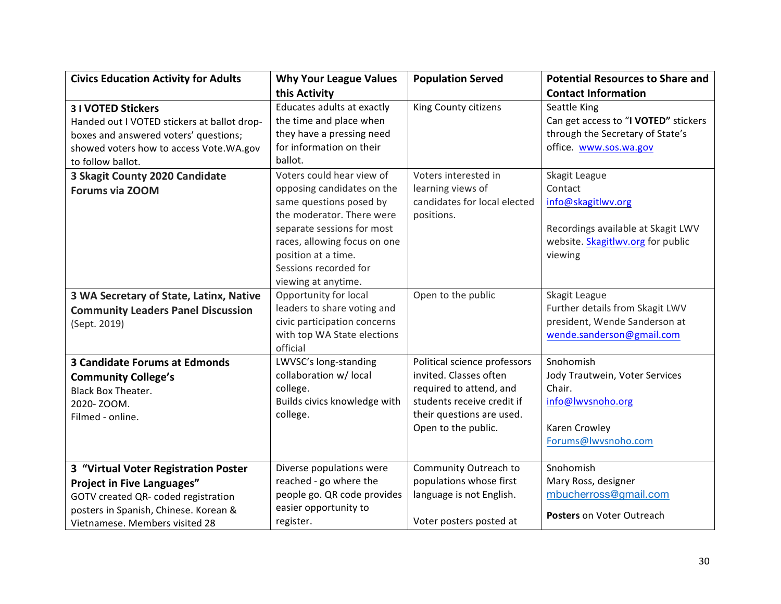| <b>Civics Education Activity for Adults</b> | <b>Why Your League Values</b> | <b>Population Served</b>     | <b>Potential Resources to Share and</b> |
|---------------------------------------------|-------------------------------|------------------------------|-----------------------------------------|
|                                             | this Activity                 |                              | <b>Contact Information</b>              |
| <b>31 VOTED Stickers</b>                    | Educates adults at exactly    | King County citizens         | Seattle King                            |
| Handed out I VOTED stickers at ballot drop- | the time and place when       |                              | Can get access to "I VOTED" stickers    |
| boxes and answered voters' questions;       | they have a pressing need     |                              | through the Secretary of State's        |
| showed voters how to access Vote. WA.gov    | for information on their      |                              | office. www.sos.wa.gov                  |
| to follow ballot.                           | ballot.                       |                              |                                         |
| 3 Skagit County 2020 Candidate              | Voters could hear view of     | Voters interested in         | Skagit League                           |
| <b>Forums via ZOOM</b>                      | opposing candidates on the    | learning views of            | Contact                                 |
|                                             | same questions posed by       | candidates for local elected | info@skagitlwv.org                      |
|                                             | the moderator. There were     | positions.                   |                                         |
|                                             | separate sessions for most    |                              | Recordings available at Skagit LWV      |
|                                             | races, allowing focus on one  |                              | website. Skagitlwv.org for public       |
|                                             | position at a time.           |                              | viewing                                 |
|                                             | Sessions recorded for         |                              |                                         |
|                                             | viewing at anytime.           |                              |                                         |
| 3 WA Secretary of State, Latinx, Native     | Opportunity for local         | Open to the public           | Skagit League                           |
| <b>Community Leaders Panel Discussion</b>   | leaders to share voting and   |                              | Further details from Skagit LWV         |
| (Sept. 2019)                                | civic participation concerns  |                              | president, Wende Sanderson at           |
|                                             | with top WA State elections   |                              | wende.sanderson@gmail.com               |
|                                             | official                      |                              |                                         |
| <b>3 Candidate Forums at Edmonds</b>        | LWVSC's long-standing         | Political science professors | Snohomish                               |
| <b>Community College's</b>                  | collaboration w/ local        | invited. Classes often       | Jody Trautwein, Voter Services          |
| <b>Black Box Theater.</b>                   | college.                      | required to attend, and      | Chair.                                  |
| 2020-ZOOM.                                  | Builds civics knowledge with  | students receive credit if   | info@lwvsnoho.org                       |
| Filmed - online.                            | college.                      | their questions are used.    |                                         |
|                                             |                               | Open to the public.          | Karen Crowley                           |
|                                             |                               |                              | Forums@lwvsnoho.com                     |
|                                             |                               |                              |                                         |
| 3 "Virtual Voter Registration Poster        | Diverse populations were      | Community Outreach to        | Snohomish                               |
| <b>Project in Five Languages"</b>           | reached - go where the        | populations whose first      | Mary Ross, designer                     |
| GOTV created QR- coded registration         | people go. QR code provides   | language is not English.     | mbucherross@gmail.com                   |
| posters in Spanish, Chinese. Korean &       | easier opportunity to         |                              | Posters on Voter Outreach               |
| Vietnamese. Members visited 28              | register.                     | Voter posters posted at      |                                         |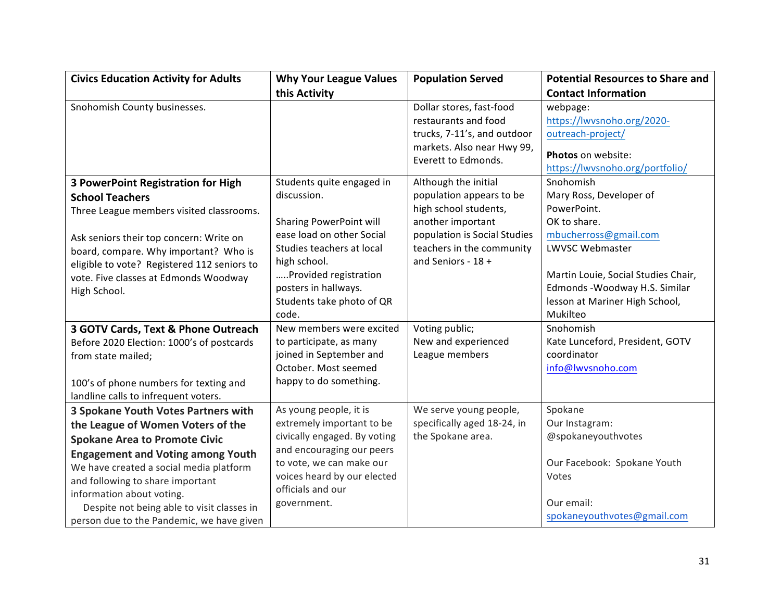| <b>Civics Education Activity for Adults</b> | <b>Why Your League Values</b> | <b>Population Served</b>                          | <b>Potential Resources to Share and</b>               |
|---------------------------------------------|-------------------------------|---------------------------------------------------|-------------------------------------------------------|
|                                             | this Activity                 |                                                   | <b>Contact Information</b>                            |
| Snohomish County businesses.                |                               | Dollar stores, fast-food                          | webpage:                                              |
|                                             |                               | restaurants and food                              | https://lwvsnoho.org/2020-                            |
|                                             |                               | trucks, 7-11's, and outdoor                       | outreach-project/                                     |
|                                             |                               | markets. Also near Hwy 99,<br>Everett to Edmonds. | Photos on website:<br>https://lwvsnoho.org/portfolio/ |
| <b>3 PowerPoint Registration for High</b>   | Students quite engaged in     | Although the initial                              | Snohomish                                             |
| <b>School Teachers</b>                      | discussion.                   | population appears to be                          | Mary Ross, Developer of                               |
| Three League members visited classrooms.    |                               | high school students,                             | PowerPoint.                                           |
|                                             | Sharing PowerPoint will       | another important                                 | OK to share.                                          |
| Ask seniors their top concern: Write on     | ease load on other Social     | population is Social Studies                      | mbucherross@gmail.com                                 |
| board, compare. Why important? Who is       | Studies teachers at local     | teachers in the community                         | LWVSC Webmaster                                       |
| eligible to vote? Registered 112 seniors to | high school.                  | and Seniors - 18 +                                |                                                       |
| vote. Five classes at Edmonds Woodway       | Provided registration         |                                                   | Martin Louie, Social Studies Chair,                   |
| High School.                                | posters in hallways.          |                                                   | Edmonds - Woodway H.S. Similar                        |
|                                             | Students take photo of QR     |                                                   | lesson at Mariner High School,                        |
|                                             | code.                         |                                                   | Mukilteo                                              |
| 3 GOTV Cards, Text & Phone Outreach         | New members were excited      | Voting public;                                    | Snohomish                                             |
| Before 2020 Election: 1000's of postcards   | to participate, as many       | New and experienced                               | Kate Lunceford, President, GOTV                       |
| from state mailed;                          | joined in September and       | League members                                    | coordinator                                           |
|                                             | October. Most seemed          |                                                   | info@lwvsnoho.com                                     |
| 100's of phone numbers for texting and      | happy to do something.        |                                                   |                                                       |
| landline calls to infrequent voters.        |                               |                                                   |                                                       |
| 3 Spokane Youth Votes Partners with         | As young people, it is        | We serve young people,                            | Spokane                                               |
| the League of Women Voters of the           | extremely important to be     | specifically aged 18-24, in                       | Our Instagram:                                        |
| <b>Spokane Area to Promote Civic</b>        | civically engaged. By voting  | the Spokane area.                                 | @spokaneyouthvotes                                    |
| <b>Engagement and Voting among Youth</b>    | and encouraging our peers     |                                                   |                                                       |
| We have created a social media platform     | to vote, we can make our      |                                                   | Our Facebook: Spokane Youth                           |
| and following to share important            | voices heard by our elected   |                                                   | Votes                                                 |
| information about voting.                   | officials and our             |                                                   |                                                       |
| Despite not being able to visit classes in  | government.                   |                                                   | Our email:                                            |
| person due to the Pandemic, we have given   |                               |                                                   | spokaneyouthvotes@gmail.com                           |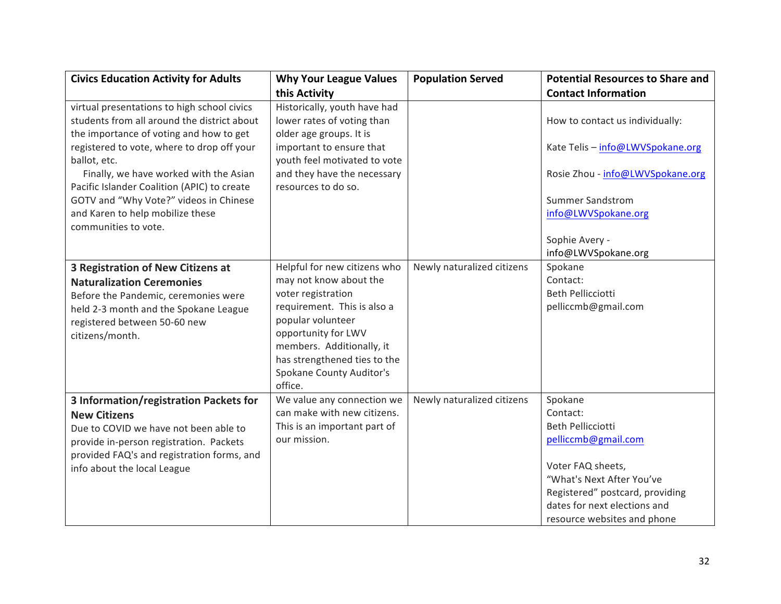| <b>Civics Education Activity for Adults</b>                                                                                                                                                                                    | <b>Why Your League Values</b>                                                                                                                                                                                                                    | <b>Population Served</b>   | <b>Potential Resources to Share and</b>                                                                                                                                                                                    |
|--------------------------------------------------------------------------------------------------------------------------------------------------------------------------------------------------------------------------------|--------------------------------------------------------------------------------------------------------------------------------------------------------------------------------------------------------------------------------------------------|----------------------------|----------------------------------------------------------------------------------------------------------------------------------------------------------------------------------------------------------------------------|
|                                                                                                                                                                                                                                | this Activity                                                                                                                                                                                                                                    |                            | <b>Contact Information</b>                                                                                                                                                                                                 |
| virtual presentations to high school civics<br>students from all around the district about<br>the importance of voting and how to get                                                                                          | Historically, youth have had<br>lower rates of voting than<br>older age groups. It is                                                                                                                                                            |                            | How to contact us individually:                                                                                                                                                                                            |
| registered to vote, where to drop off your<br>ballot, etc.                                                                                                                                                                     | important to ensure that<br>youth feel motivated to vote                                                                                                                                                                                         |                            | Kate Telis - info@LWVSpokane.org                                                                                                                                                                                           |
| Finally, we have worked with the Asian<br>Pacific Islander Coalition (APIC) to create                                                                                                                                          | and they have the necessary<br>resources to do so.                                                                                                                                                                                               |                            | Rosie Zhou - info@LWVSpokane.org                                                                                                                                                                                           |
| GOTV and "Why Vote?" videos in Chinese<br>and Karen to help mobilize these<br>communities to vote.                                                                                                                             |                                                                                                                                                                                                                                                  |                            | <b>Summer Sandstrom</b><br>info@LWVSpokane.org                                                                                                                                                                             |
|                                                                                                                                                                                                                                |                                                                                                                                                                                                                                                  |                            | Sophie Avery -<br>info@LWVSpokane.org                                                                                                                                                                                      |
| 3 Registration of New Citizens at<br><b>Naturalization Ceremonies</b><br>Before the Pandemic, ceremonies were<br>held 2-3 month and the Spokane League<br>registered between 50-60 new<br>citizens/month.                      | Helpful for new citizens who<br>may not know about the<br>voter registration<br>requirement. This is also a<br>popular volunteer<br>opportunity for LWV<br>members. Additionally, it<br>has strengthened ties to the<br>Spokane County Auditor's | Newly naturalized citizens | Spokane<br>Contact:<br><b>Beth Pellicciotti</b><br>pelliccmb@gmail.com                                                                                                                                                     |
| 3 Information/registration Packets for<br><b>New Citizens</b><br>Due to COVID we have not been able to<br>provide in-person registration. Packets<br>provided FAQ's and registration forms, and<br>info about the local League | office.<br>We value any connection we<br>can make with new citizens.<br>This is an important part of<br>our mission.                                                                                                                             | Newly naturalized citizens | Spokane<br>Contact:<br><b>Beth Pellicciotti</b><br>pelliccmb@gmail.com<br>Voter FAQ sheets,<br>"What's Next After You've<br>Registered" postcard, providing<br>dates for next elections and<br>resource websites and phone |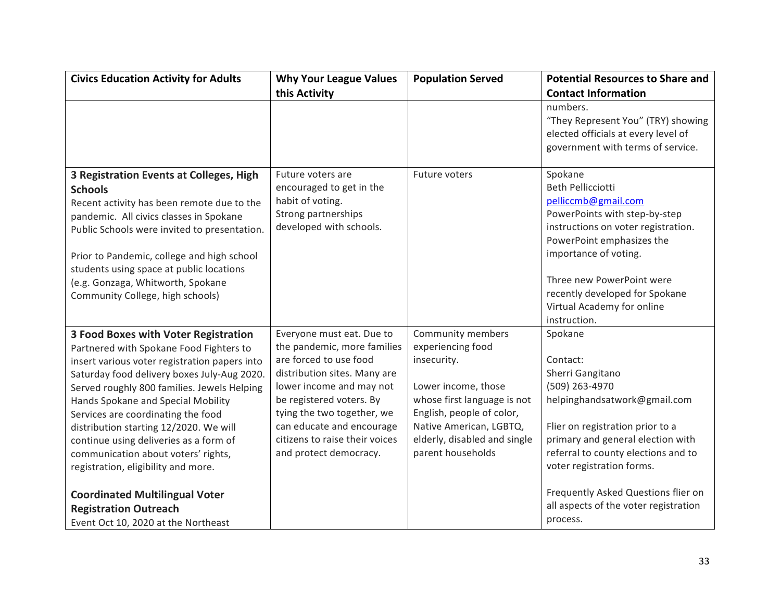| <b>Civics Education Activity for Adults</b>                                                                                                                                                                                                                                                                                                                                                                                                                                                                                  | <b>Why Your League Values</b>                                                                                                                                                                                                                                                                     | <b>Population Served</b>                                                                                                                                                                                                 | <b>Potential Resources to Share and</b>                                                                                                                                                                                                                                                               |
|------------------------------------------------------------------------------------------------------------------------------------------------------------------------------------------------------------------------------------------------------------------------------------------------------------------------------------------------------------------------------------------------------------------------------------------------------------------------------------------------------------------------------|---------------------------------------------------------------------------------------------------------------------------------------------------------------------------------------------------------------------------------------------------------------------------------------------------|--------------------------------------------------------------------------------------------------------------------------------------------------------------------------------------------------------------------------|-------------------------------------------------------------------------------------------------------------------------------------------------------------------------------------------------------------------------------------------------------------------------------------------------------|
|                                                                                                                                                                                                                                                                                                                                                                                                                                                                                                                              | this Activity                                                                                                                                                                                                                                                                                     |                                                                                                                                                                                                                          | <b>Contact Information</b>                                                                                                                                                                                                                                                                            |
|                                                                                                                                                                                                                                                                                                                                                                                                                                                                                                                              |                                                                                                                                                                                                                                                                                                   |                                                                                                                                                                                                                          | numbers.<br>"They Represent You" (TRY) showing<br>elected officials at every level of<br>government with terms of service.                                                                                                                                                                            |
| 3 Registration Events at Colleges, High<br><b>Schools</b><br>Recent activity has been remote due to the<br>pandemic. All civics classes in Spokane<br>Public Schools were invited to presentation.<br>Prior to Pandemic, college and high school<br>students using space at public locations<br>(e.g. Gonzaga, Whitworth, Spokane<br>Community College, high schools)                                                                                                                                                        | Future voters are<br>encouraged to get in the<br>habit of voting.<br>Strong partnerships<br>developed with schools.                                                                                                                                                                               | Future voters                                                                                                                                                                                                            | Spokane<br><b>Beth Pellicciotti</b><br>pelliccmb@gmail.com<br>PowerPoints with step-by-step<br>instructions on voter registration.<br>PowerPoint emphasizes the<br>importance of voting.<br>Three new PowerPoint were<br>recently developed for Spokane<br>Virtual Academy for online<br>instruction. |
| <b>3 Food Boxes with Voter Registration</b><br>Partnered with Spokane Food Fighters to<br>insert various voter registration papers into<br>Saturday food delivery boxes July-Aug 2020.<br>Served roughly 800 families. Jewels Helping<br>Hands Spokane and Special Mobility<br>Services are coordinating the food<br>distribution starting 12/2020. We will<br>continue using deliveries as a form of<br>communication about voters' rights,<br>registration, eligibility and more.<br><b>Coordinated Multilingual Voter</b> | Everyone must eat. Due to<br>the pandemic, more families<br>are forced to use food<br>distribution sites. Many are<br>lower income and may not<br>be registered voters. By<br>tying the two together, we<br>can educate and encourage<br>citizens to raise their voices<br>and protect democracy. | Community members<br>experiencing food<br>insecurity.<br>Lower income, those<br>whose first language is not<br>English, people of color,<br>Native American, LGBTQ,<br>elderly, disabled and single<br>parent households | Spokane<br>Contact:<br>Sherri Gangitano<br>(509) 263-4970<br>helpinghandsatwork@gmail.com<br>Flier on registration prior to a<br>primary and general election with<br>referral to county elections and to<br>voter registration forms.<br>Frequently Asked Questions flier on                         |
| <b>Registration Outreach</b><br>Event Oct 10, 2020 at the Northeast                                                                                                                                                                                                                                                                                                                                                                                                                                                          |                                                                                                                                                                                                                                                                                                   |                                                                                                                                                                                                                          | all aspects of the voter registration<br>process.                                                                                                                                                                                                                                                     |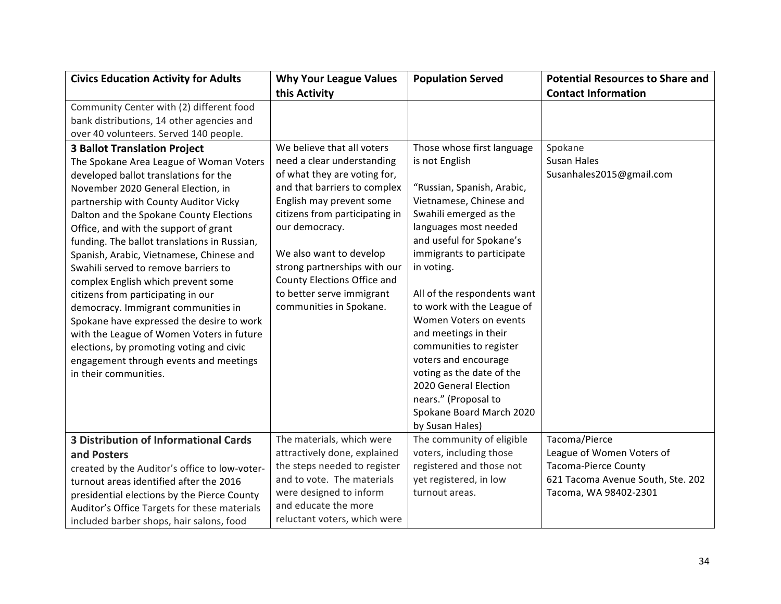| <b>Civics Education Activity for Adults</b>   | <b>Why Your League Values</b>  | <b>Population Served</b>    | <b>Potential Resources to Share and</b> |
|-----------------------------------------------|--------------------------------|-----------------------------|-----------------------------------------|
|                                               | this Activity                  |                             | <b>Contact Information</b>              |
| Community Center with (2) different food      |                                |                             |                                         |
| bank distributions, 14 other agencies and     |                                |                             |                                         |
| over 40 volunteers. Served 140 people.        |                                |                             |                                         |
| <b>3 Ballot Translation Project</b>           | We believe that all voters     | Those whose first language  | Spokane                                 |
| The Spokane Area League of Woman Voters       | need a clear understanding     | is not English              | <b>Susan Hales</b>                      |
| developed ballot translations for the         | of what they are voting for,   |                             | Susanhales2015@gmail.com                |
| November 2020 General Election, in            | and that barriers to complex   | "Russian, Spanish, Arabic,  |                                         |
| partnership with County Auditor Vicky         | English may prevent some       | Vietnamese, Chinese and     |                                         |
| Dalton and the Spokane County Elections       | citizens from participating in | Swahili emerged as the      |                                         |
| Office, and with the support of grant         | our democracy.                 | languages most needed       |                                         |
| funding. The ballot translations in Russian,  |                                | and useful for Spokane's    |                                         |
| Spanish, Arabic, Vietnamese, Chinese and      | We also want to develop        | immigrants to participate   |                                         |
| Swahili served to remove barriers to          | strong partnerships with our   | in voting.                  |                                         |
| complex English which prevent some            | County Elections Office and    |                             |                                         |
| citizens from participating in our            | to better serve immigrant      | All of the respondents want |                                         |
| democracy. Immigrant communities in           | communities in Spokane.        | to work with the League of  |                                         |
| Spokane have expressed the desire to work     |                                | Women Voters on events      |                                         |
| with the League of Women Voters in future     |                                | and meetings in their       |                                         |
| elections, by promoting voting and civic      |                                | communities to register     |                                         |
| engagement through events and meetings        |                                | voters and encourage        |                                         |
| in their communities.                         |                                | voting as the date of the   |                                         |
|                                               |                                | 2020 General Election       |                                         |
|                                               |                                | nears." (Proposal to        |                                         |
|                                               |                                | Spokane Board March 2020    |                                         |
|                                               |                                | by Susan Hales)             |                                         |
| <b>3 Distribution of Informational Cards</b>  | The materials, which were      | The community of eligible   | Tacoma/Pierce                           |
| and Posters                                   | attractively done, explained   | voters, including those     | League of Women Voters of               |
| created by the Auditor's office to low-voter- | the steps needed to register   | registered and those not    | <b>Tacoma-Pierce County</b>             |
| turnout areas identified after the 2016       | and to vote. The materials     | yet registered, in low      | 621 Tacoma Avenue South, Ste. 202       |
| presidential elections by the Pierce County   | were designed to inform        | turnout areas.              | Tacoma, WA 98402-2301                   |
| Auditor's Office Targets for these materials  | and educate the more           |                             |                                         |
| included barber shops, hair salons, food      | reluctant voters, which were   |                             |                                         |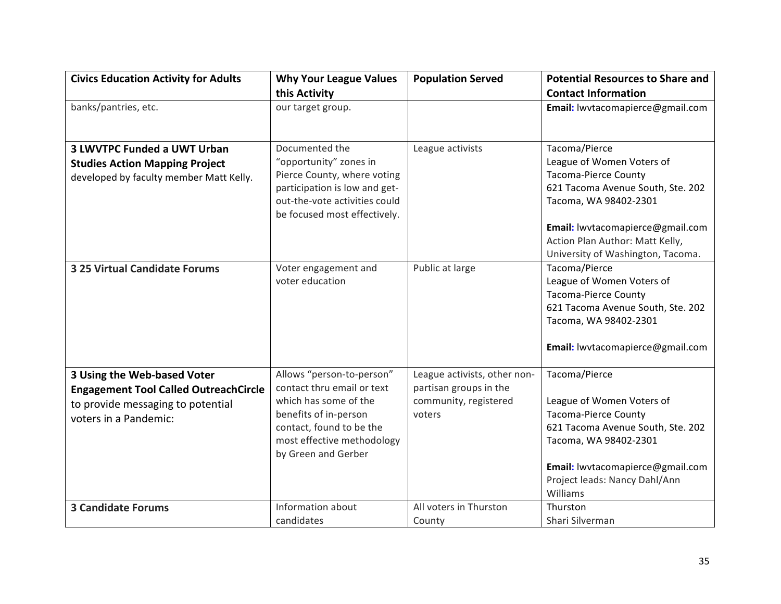| <b>Civics Education Activity for Adults</b>                                                                                               | <b>Why Your League Values</b>                                                                                                                                                              | <b>Population Served</b>                                                                  | <b>Potential Resources to Share and</b>                                                                                                                                                                                                             |
|-------------------------------------------------------------------------------------------------------------------------------------------|--------------------------------------------------------------------------------------------------------------------------------------------------------------------------------------------|-------------------------------------------------------------------------------------------|-----------------------------------------------------------------------------------------------------------------------------------------------------------------------------------------------------------------------------------------------------|
|                                                                                                                                           | this Activity                                                                                                                                                                              |                                                                                           | <b>Contact Information</b>                                                                                                                                                                                                                          |
| banks/pantries, etc.                                                                                                                      | our target group.                                                                                                                                                                          |                                                                                           | Email: lwvtacomapierce@gmail.com                                                                                                                                                                                                                    |
| <b>3 LWVTPC Funded a UWT Urban</b><br><b>Studies Action Mapping Project</b><br>developed by faculty member Matt Kelly.                    | Documented the<br>"opportunity" zones in<br>Pierce County, where voting<br>participation is low and get-<br>out-the-vote activities could<br>be focused most effectively.                  | League activists                                                                          | Tacoma/Pierce<br>League of Women Voters of<br><b>Tacoma-Pierce County</b><br>621 Tacoma Avenue South, Ste. 202<br>Tacoma, WA 98402-2301<br>Email: lwvtacomapierce@gmail.com<br>Action Plan Author: Matt Kelly,<br>University of Washington, Tacoma. |
| <b>3 25 Virtual Candidate Forums</b>                                                                                                      | Voter engagement and<br>voter education                                                                                                                                                    | Public at large                                                                           | Tacoma/Pierce<br>League of Women Voters of<br><b>Tacoma-Pierce County</b><br>621 Tacoma Avenue South, Ste. 202<br>Tacoma, WA 98402-2301<br>Email: lwvtacomapierce@gmail.com                                                                         |
| 3 Using the Web-based Voter<br><b>Engagement Tool Called OutreachCircle</b><br>to provide messaging to potential<br>voters in a Pandemic: | Allows "person-to-person"<br>contact thru email or text<br>which has some of the<br>benefits of in-person<br>contact, found to be the<br>most effective methodology<br>by Green and Gerber | League activists, other non-<br>partisan groups in the<br>community, registered<br>voters | Tacoma/Pierce<br>League of Women Voters of<br><b>Tacoma-Pierce County</b><br>621 Tacoma Avenue South, Ste. 202<br>Tacoma, WA 98402-2301<br>Email: lwvtacomapierce@gmail.com<br>Project leads: Nancy Dahl/Ann<br>Williams                            |
| <b>3 Candidate Forums</b>                                                                                                                 | Information about<br>candidates                                                                                                                                                            | All voters in Thurston<br>County                                                          | Thurston<br>Shari Silverman                                                                                                                                                                                                                         |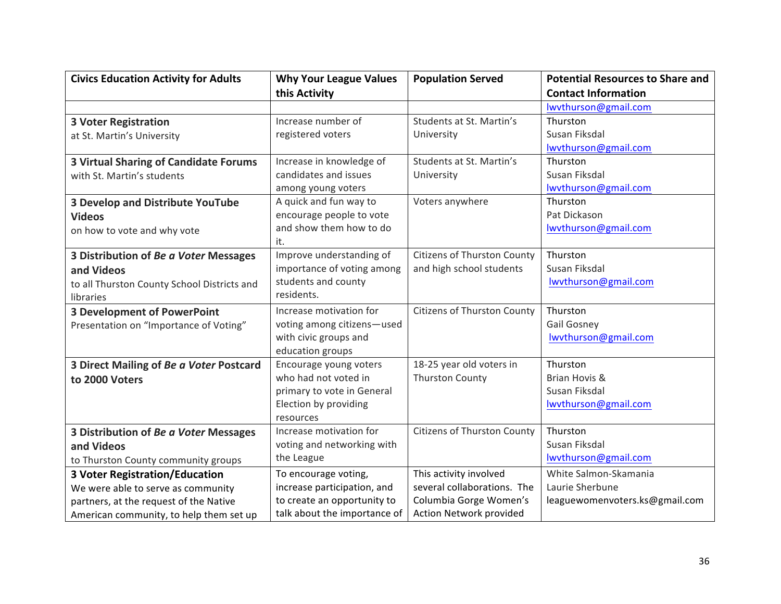| <b>Civics Education Activity for Adults</b>  | <b>Why Your League Values</b> | <b>Population Served</b>    | <b>Potential Resources to Share and</b> |
|----------------------------------------------|-------------------------------|-----------------------------|-----------------------------------------|
|                                              | this Activity                 |                             | <b>Contact Information</b>              |
|                                              |                               |                             | lwythurson@gmail.com                    |
| <b>3 Voter Registration</b>                  | Increase number of            | Students at St. Martin's    | Thurston                                |
| at St. Martin's University                   | registered voters             | University                  | Susan Fiksdal                           |
|                                              |                               |                             | lwythurson@gmail.com                    |
| <b>3 Virtual Sharing of Candidate Forums</b> | Increase in knowledge of      | Students at St. Martin's    | Thurston                                |
| with St. Martin's students                   | candidates and issues         | University                  | Susan Fiksdal                           |
|                                              | among young voters            |                             | lwythurson@gmail.com                    |
| <b>3 Develop and Distribute YouTube</b>      | A quick and fun way to        | Voters anywhere             | Thurston                                |
| <b>Videos</b>                                | encourage people to vote      |                             | Pat Dickason                            |
| on how to vote and why vote                  | and show them how to do       |                             | lwvthurson@gmail.com                    |
|                                              | it.                           |                             |                                         |
| 3 Distribution of Be a Voter Messages        | Improve understanding of      | Citizens of Thurston County | Thurston                                |
| and Videos                                   | importance of voting among    | and high school students    | Susan Fiksdal                           |
| to all Thurston County School Districts and  | students and county           |                             | lwythurson@gmail.com                    |
| libraries                                    | residents.                    |                             |                                         |
| <b>3 Development of PowerPoint</b>           | Increase motivation for       | Citizens of Thurston County | Thurston                                |
| Presentation on "Importance of Voting"       | voting among citizens-used    |                             | <b>Gail Gosney</b>                      |
|                                              | with civic groups and         |                             | lwvthurson@gmail.com                    |
|                                              | education groups              |                             |                                         |
| 3 Direct Mailing of Be a Voter Postcard      | Encourage young voters        | 18-25 year old voters in    | Thurston                                |
| to 2000 Voters                               | who had not voted in          | <b>Thurston County</b>      | Brian Hovis &                           |
|                                              | primary to vote in General    |                             | Susan Fiksdal                           |
|                                              | Election by providing         |                             | lwvthurson@gmail.com                    |
|                                              | resources                     |                             |                                         |
| 3 Distribution of Be a Voter Messages        | Increase motivation for       | Citizens of Thurston County | Thurston                                |
| and Videos                                   | voting and networking with    |                             | Susan Fiksdal                           |
| to Thurston County community groups          | the League                    |                             | lwythurson@gmail.com                    |
| <b>3 Voter Registration/Education</b>        | To encourage voting,          | This activity involved      | White Salmon-Skamania                   |
| We were able to serve as community           | increase participation, and   | several collaborations. The | Laurie Sherbune                         |
| partners, at the request of the Native       | to create an opportunity to   | Columbia Gorge Women's      | leaguewomenvoters.ks@gmail.com          |
| American community, to help them set up      | talk about the importance of  | Action Network provided     |                                         |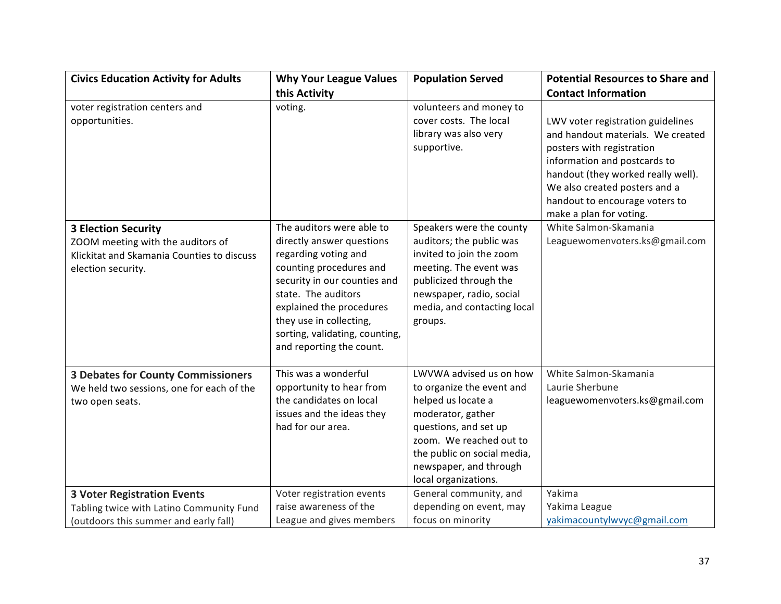| <b>Civics Education Activity for Adults</b>                                                                                         | <b>Why Your League Values</b>                                                                                                                                                                                                                                                         | <b>Population Served</b>                                                                                                                                                                                                             | <b>Potential Resources to Share and</b>                                                                                                                                                                                                                                 |
|-------------------------------------------------------------------------------------------------------------------------------------|---------------------------------------------------------------------------------------------------------------------------------------------------------------------------------------------------------------------------------------------------------------------------------------|--------------------------------------------------------------------------------------------------------------------------------------------------------------------------------------------------------------------------------------|-------------------------------------------------------------------------------------------------------------------------------------------------------------------------------------------------------------------------------------------------------------------------|
|                                                                                                                                     | this Activity                                                                                                                                                                                                                                                                         |                                                                                                                                                                                                                                      | <b>Contact Information</b>                                                                                                                                                                                                                                              |
| voter registration centers and<br>opportunities.                                                                                    | voting.                                                                                                                                                                                                                                                                               | volunteers and money to<br>cover costs. The local<br>library was also very<br>supportive.                                                                                                                                            | LWV voter registration guidelines<br>and handout materials. We created<br>posters with registration<br>information and postcards to<br>handout (they worked really well).<br>We also created posters and a<br>handout to encourage voters to<br>make a plan for voting. |
| <b>3 Election Security</b><br>ZOOM meeting with the auditors of<br>Klickitat and Skamania Counties to discuss<br>election security. | The auditors were able to<br>directly answer questions<br>regarding voting and<br>counting procedures and<br>security in our counties and<br>state. The auditors<br>explained the procedures<br>they use in collecting,<br>sorting, validating, counting,<br>and reporting the count. | Speakers were the county<br>auditors; the public was<br>invited to join the zoom<br>meeting. The event was<br>publicized through the<br>newspaper, radio, social<br>media, and contacting local<br>groups.                           | White Salmon-Skamania<br>Leaguewomenvoters.ks@gmail.com                                                                                                                                                                                                                 |
| <b>3 Debates for County Commissioners</b><br>We held two sessions, one for each of the<br>two open seats.                           | This was a wonderful<br>opportunity to hear from<br>the candidates on local<br>issues and the ideas they<br>had for our area.                                                                                                                                                         | LWVWA advised us on how<br>to organize the event and<br>helped us locate a<br>moderator, gather<br>questions, and set up<br>zoom. We reached out to<br>the public on social media,<br>newspaper, and through<br>local organizations. | White Salmon-Skamania<br>Laurie Sherbune<br>leaguewomenvoters.ks@gmail.com                                                                                                                                                                                              |
| <b>3 Voter Registration Events</b><br>Tabling twice with Latino Community Fund<br>(outdoors this summer and early fall)             | Voter registration events<br>raise awareness of the<br>League and gives members                                                                                                                                                                                                       | General community, and<br>depending on event, may<br>focus on minority                                                                                                                                                               | Yakima<br>Yakima League<br>yakimacountylwvyc@gmail.com                                                                                                                                                                                                                  |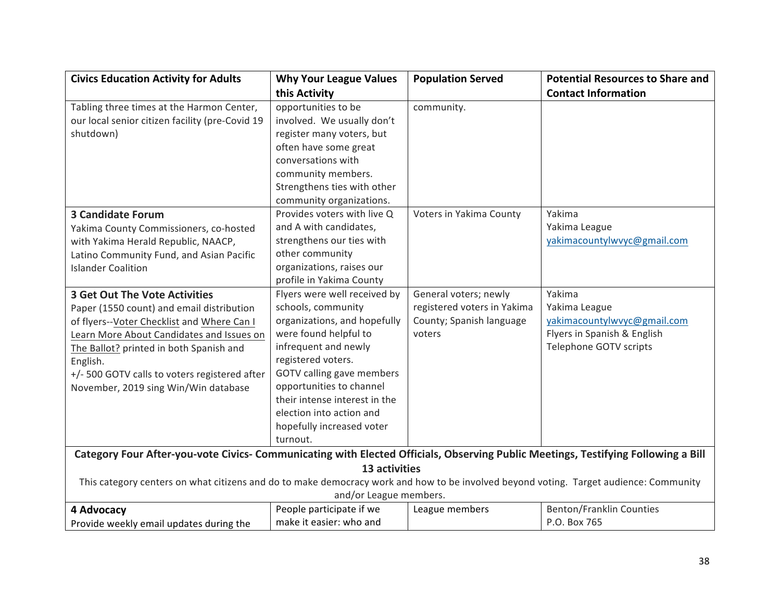| <b>Civics Education Activity for Adults</b>                                                                                           | <b>Why Your League Values</b> | <b>Population Served</b>    | <b>Potential Resources to Share and</b> |
|---------------------------------------------------------------------------------------------------------------------------------------|-------------------------------|-----------------------------|-----------------------------------------|
|                                                                                                                                       | this Activity                 |                             | <b>Contact Information</b>              |
| Tabling three times at the Harmon Center,                                                                                             | opportunities to be           | community.                  |                                         |
| our local senior citizen facility (pre-Covid 19                                                                                       | involved. We usually don't    |                             |                                         |
| shutdown)                                                                                                                             | register many voters, but     |                             |                                         |
|                                                                                                                                       | often have some great         |                             |                                         |
|                                                                                                                                       | conversations with            |                             |                                         |
|                                                                                                                                       | community members.            |                             |                                         |
|                                                                                                                                       | Strengthens ties with other   |                             |                                         |
|                                                                                                                                       | community organizations.      |                             |                                         |
| <b>3 Candidate Forum</b>                                                                                                              | Provides voters with live Q   | Voters in Yakima County     | Yakima                                  |
| Yakima County Commissioners, co-hosted                                                                                                | and A with candidates,        |                             | Yakima League                           |
| with Yakima Herald Republic, NAACP,                                                                                                   | strengthens our ties with     |                             | yakimacountylwvyc@gmail.com             |
| Latino Community Fund, and Asian Pacific                                                                                              | other community               |                             |                                         |
| <b>Islander Coalition</b>                                                                                                             | organizations, raises our     |                             |                                         |
|                                                                                                                                       | profile in Yakima County      |                             |                                         |
| <b>3 Get Out The Vote Activities</b>                                                                                                  | Flyers were well received by  | General voters; newly       | Yakima                                  |
| Paper (1550 count) and email distribution                                                                                             | schools, community            | registered voters in Yakima | Yakima League                           |
| of flyers--Voter Checklist and Where Can I                                                                                            | organizations, and hopefully  | County; Spanish language    | yakimacountylwvyc@gmail.com             |
| Learn More About Candidates and Issues on                                                                                             | were found helpful to         | voters                      | Flyers in Spanish & English             |
| The Ballot? printed in both Spanish and                                                                                               | infrequent and newly          |                             | Telephone GOTV scripts                  |
| English.                                                                                                                              | registered voters.            |                             |                                         |
| +/- 500 GOTV calls to voters registered after                                                                                         | GOTV calling gave members     |                             |                                         |
| November, 2019 sing Win/Win database                                                                                                  | opportunities to channel      |                             |                                         |
|                                                                                                                                       | their intense interest in the |                             |                                         |
|                                                                                                                                       | election into action and      |                             |                                         |
|                                                                                                                                       | hopefully increased voter     |                             |                                         |
|                                                                                                                                       | turnout.                      |                             |                                         |
| Category Four After-you-vote Civics- Communicating with Elected Officials, Observing Public Meetings, Testifying Following a Bill     |                               |                             |                                         |
|                                                                                                                                       | 13 activities                 |                             |                                         |
| This category centers on what citizens and do to make democracy work and how to be involved beyond voting. Target audience: Community |                               |                             |                                         |
|                                                                                                                                       | and/or League members.        |                             |                                         |
| 4 Advocacy                                                                                                                            | People participate if we      | League members              | <b>Benton/Franklin Counties</b>         |
| Provide weekly email updates during the                                                                                               | make it easier: who and       |                             | P.O. Box 765                            |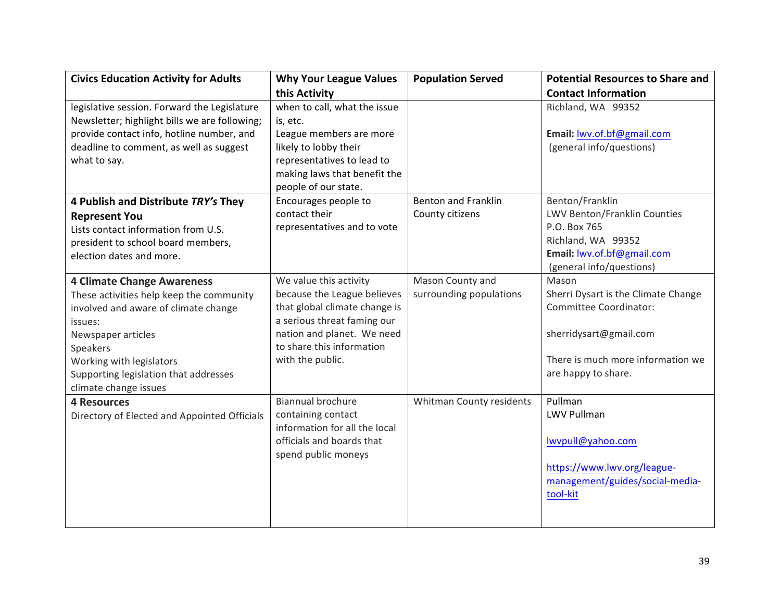| <b>Civics Education Activity for Adults</b>   | <b>Why Your League Values</b> | <b>Population Served</b>   | <b>Potential Resources to Share and</b> |
|-----------------------------------------------|-------------------------------|----------------------------|-----------------------------------------|
|                                               | this Activity                 |                            | <b>Contact Information</b>              |
| legislative session. Forward the Legislature  | when to call, what the issue  |                            | Richland, WA 99352                      |
| Newsletter; highlight bills we are following; | is, etc.                      |                            |                                         |
| provide contact info, hotline number, and     | League members are more       |                            | Email: lwv.of.bf@gmail.com              |
| deadline to comment, as well as suggest       | likely to lobby their         |                            | (general info/questions)                |
| what to say.                                  | representatives to lead to    |                            |                                         |
|                                               | making laws that benefit the  |                            |                                         |
|                                               | people of our state.          |                            |                                         |
| 4 Publish and Distribute TRY's They           | Encourages people to          | <b>Benton and Franklin</b> | Benton/Franklin                         |
| <b>Represent You</b>                          | contact their                 | County citizens            | LWV Benton/Franklin Counties            |
| Lists contact information from U.S.           | representatives and to vote   |                            | P.O. Box 765                            |
| president to school board members,            |                               |                            | Richland, WA 99352                      |
| election dates and more.                      |                               |                            | Email: lwv.of.bf@gmail.com              |
|                                               |                               |                            | (general info/questions)                |
| <b>4 Climate Change Awareness</b>             | We value this activity        | Mason County and           | Mason                                   |
| These activities help keep the community      | because the League believes   | surrounding populations    | Sherri Dysart is the Climate Change     |
| involved and aware of climate change          | that global climate change is |                            | Committee Coordinator:                  |
| issues:                                       | a serious threat faming our   |                            |                                         |
| Newspaper articles                            | nation and planet. We need    |                            | sherridysart@gmail.com                  |
| Speakers                                      | to share this information     |                            |                                         |
| Working with legislators                      | with the public.              |                            | There is much more information we       |
| Supporting legislation that addresses         |                               |                            | are happy to share.                     |
| climate change issues                         |                               |                            |                                         |
| <b>4 Resources</b>                            | <b>Biannual brochure</b>      | Whitman County residents   | Pullman                                 |
| Directory of Elected and Appointed Officials  | containing contact            |                            | <b>LWV Pullman</b>                      |
|                                               | information for all the local |                            |                                         |
|                                               | officials and boards that     |                            | lwvpull@yahoo.com                       |
|                                               | spend public moneys           |                            |                                         |
|                                               |                               |                            | https://www.lwv.org/league-             |
|                                               |                               |                            | management/guides/social-media-         |
|                                               |                               |                            | tool-kit                                |
|                                               |                               |                            |                                         |
|                                               |                               |                            |                                         |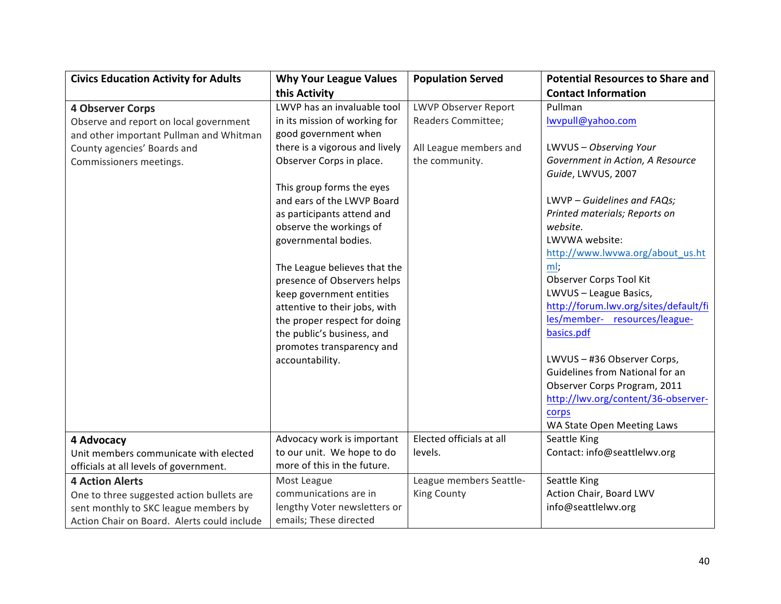| <b>Civics Education Activity for Adults</b> | <b>Why Your League Values</b>  | <b>Population Served</b>    | <b>Potential Resources to Share and</b> |
|---------------------------------------------|--------------------------------|-----------------------------|-----------------------------------------|
|                                             | this Activity                  |                             | <b>Contact Information</b>              |
| <b>4 Observer Corps</b>                     | LWVP has an invaluable tool    | <b>LWVP Observer Report</b> | Pullman                                 |
| Observe and report on local government      | in its mission of working for  | Readers Committee;          | lwvpull@yahoo.com                       |
| and other important Pullman and Whitman     | good government when           |                             |                                         |
| County agencies' Boards and                 | there is a vigorous and lively | All League members and      | LWVUS - Observing Your                  |
| Commissioners meetings.                     | Observer Corps in place.       | the community.              | Government in Action, A Resource        |
|                                             |                                |                             | Guide, LWVUS, 2007                      |
|                                             | This group forms the eyes      |                             |                                         |
|                                             | and ears of the LWVP Board     |                             | LWVP - Guidelines and FAQs;             |
|                                             | as participants attend and     |                             | Printed materials; Reports on           |
|                                             | observe the workings of        |                             | website.                                |
|                                             | governmental bodies.           |                             | LWVWA website:                          |
|                                             |                                |                             | http://www.lwvwa.org/about_us.ht        |
|                                             | The League believes that the   |                             | ml:                                     |
|                                             | presence of Observers helps    |                             | Observer Corps Tool Kit                 |
|                                             | keep government entities       |                             | LWVUS - League Basics,                  |
|                                             | attentive to their jobs, with  |                             | http://forum.lwv.org/sites/default/fi   |
|                                             | the proper respect for doing   |                             | les/member- resources/league-           |
|                                             | the public's business, and     |                             | basics.pdf                              |
|                                             | promotes transparency and      |                             |                                         |
|                                             | accountability.                |                             | LWVUS - #36 Observer Corps,             |
|                                             |                                |                             | Guidelines from National for an         |
|                                             |                                |                             | Observer Corps Program, 2011            |
|                                             |                                |                             | http://lwv.org/content/36-observer-     |
|                                             |                                |                             | corps                                   |
|                                             |                                |                             | WA State Open Meeting Laws              |
| 4 Advocacy                                  | Advocacy work is important     | Elected officials at all    | Seattle King                            |
| Unit members communicate with elected       | to our unit. We hope to do     | levels.                     | Contact: info@seattlelwv.org            |
| officials at all levels of government.      | more of this in the future.    |                             |                                         |
| <b>4 Action Alerts</b>                      | Most League                    | League members Seattle-     | Seattle King                            |
| One to three suggested action bullets are   | communications are in          | <b>King County</b>          | Action Chair, Board LWV                 |
| sent monthly to SKC league members by       | lengthy Voter newsletters or   |                             | info@seattlelwv.org                     |
| Action Chair on Board. Alerts could include | emails; These directed         |                             |                                         |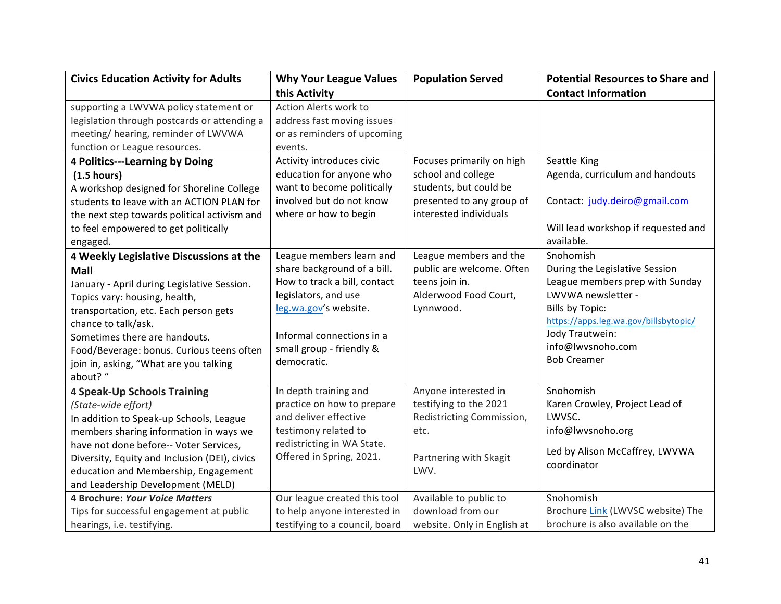| <b>Civics Education Activity for Adults</b>   | <b>Why Your League Values</b>  | <b>Population Served</b>    | <b>Potential Resources to Share and</b> |
|-----------------------------------------------|--------------------------------|-----------------------------|-----------------------------------------|
|                                               | this Activity                  |                             | <b>Contact Information</b>              |
| supporting a LWVWA policy statement or        | Action Alerts work to          |                             |                                         |
| legislation through postcards or attending a  | address fast moving issues     |                             |                                         |
| meeting/ hearing, reminder of LWVWA           | or as reminders of upcoming    |                             |                                         |
| function or League resources.                 | events.                        |                             |                                         |
| 4 Politics---Learning by Doing                | Activity introduces civic      | Focuses primarily on high   | Seattle King                            |
| (1.5 hours)                                   | education for anyone who       | school and college          | Agenda, curriculum and handouts         |
| A workshop designed for Shoreline College     | want to become politically     | students, but could be      |                                         |
| students to leave with an ACTION PLAN for     | involved but do not know       | presented to any group of   | Contact: judy.deiro@gmail.com           |
| the next step towards political activism and  | where or how to begin          | interested individuals      |                                         |
| to feel empowered to get politically          |                                |                             | Will lead workshop if requested and     |
| engaged.                                      |                                |                             | available.                              |
| 4 Weekly Legislative Discussions at the       | League members learn and       | League members and the      | Snohomish                               |
| <b>Mall</b>                                   | share background of a bill.    | public are welcome. Often   | During the Legislative Session          |
| January - April during Legislative Session.   | How to track a bill, contact   | teens join in.              | League members prep with Sunday         |
| Topics vary: housing, health,                 | legislators, and use           | Alderwood Food Court,       | LWVWA newsletter -                      |
| transportation, etc. Each person gets         | leg.wa.gov's website.          | Lynnwood.                   | <b>Bills by Topic:</b>                  |
| chance to talk/ask.                           |                                |                             | https://apps.leg.wa.gov/billsbytopic/   |
| Sometimes there are handouts.                 | Informal connections in a      |                             | Jody Trautwein:                         |
| Food/Beverage: bonus. Curious teens often     | small group - friendly &       |                             | info@lwvsnoho.com                       |
| join in, asking, "What are you talking        | democratic.                    |                             | <b>Bob Creamer</b>                      |
| about? "                                      |                                |                             |                                         |
| <b>4 Speak-Up Schools Training</b>            | In depth training and          | Anyone interested in        | Snohomish                               |
| (State-wide effort)                           | practice on how to prepare     | testifying to the 2021      | Karen Crowley, Project Lead of          |
| In addition to Speak-up Schools, League       | and deliver effective          | Redistricting Commission,   | LWVSC.                                  |
| members sharing information in ways we        | testimony related to           | etc.                        | info@lwvsnoho.org                       |
| have not done before-- Voter Services,        | redistricting in WA State.     |                             | Led by Alison McCaffrey, LWVWA          |
| Diversity, Equity and Inclusion (DEI), civics | Offered in Spring, 2021.       | Partnering with Skagit      | coordinator                             |
| education and Membership, Engagement          |                                | LWV.                        |                                         |
| and Leadership Development (MELD)             |                                |                             |                                         |
| <b>4 Brochure: Your Voice Matters</b>         | Our league created this tool   | Available to public to      | Snohomish                               |
| Tips for successful engagement at public      | to help anyone interested in   | download from our           | Brochure Link (LWVSC website) The       |
| hearings, i.e. testifying.                    | testifying to a council, board | website. Only in English at | brochure is also available on the       |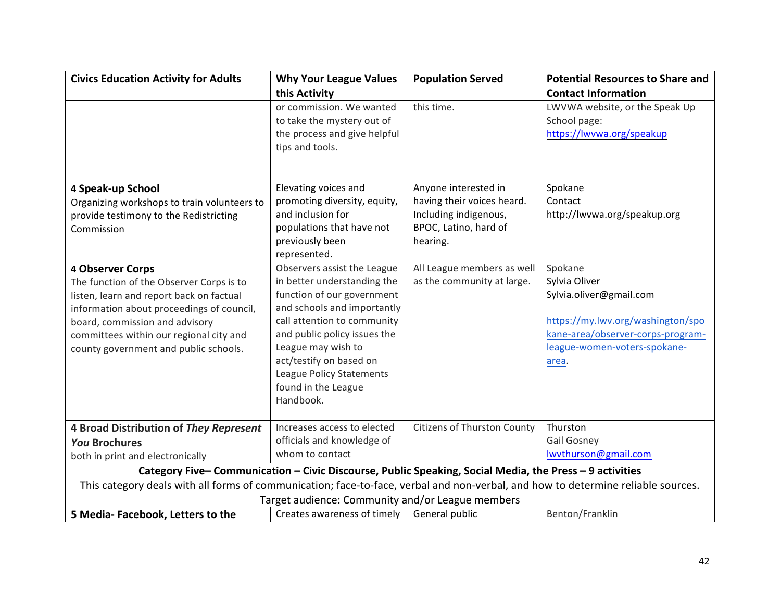| <b>Civics Education Activity for Adults</b>                                                                                      | <b>Why Your League Values</b>                                                                          | <b>Population Served</b>    | <b>Potential Resources to Share and</b> |
|----------------------------------------------------------------------------------------------------------------------------------|--------------------------------------------------------------------------------------------------------|-----------------------------|-----------------------------------------|
|                                                                                                                                  | this Activity                                                                                          |                             | <b>Contact Information</b>              |
|                                                                                                                                  | or commission. We wanted                                                                               | this time.                  | LWVWA website, or the Speak Up          |
|                                                                                                                                  | to take the mystery out of                                                                             |                             | School page:                            |
|                                                                                                                                  | the process and give helpful                                                                           |                             | https://lwvwa.org/speakup               |
|                                                                                                                                  | tips and tools.                                                                                        |                             |                                         |
|                                                                                                                                  |                                                                                                        |                             |                                         |
| 4 Speak-up School                                                                                                                | Elevating voices and                                                                                   | Anyone interested in        | Spokane                                 |
| Organizing workshops to train volunteers to                                                                                      | promoting diversity, equity,                                                                           | having their voices heard.  | Contact                                 |
| provide testimony to the Redistricting                                                                                           | and inclusion for                                                                                      | Including indigenous,       | http://lwvwa.org/speakup.org            |
| Commission                                                                                                                       | populations that have not                                                                              | BPOC, Latino, hard of       |                                         |
|                                                                                                                                  | previously been                                                                                        | hearing.                    |                                         |
|                                                                                                                                  | represented.                                                                                           |                             |                                         |
| 4 Observer Corps                                                                                                                 | Observers assist the League                                                                            | All League members as well  | Spokane                                 |
| The function of the Observer Corps is to                                                                                         | in better understanding the                                                                            | as the community at large.  | Sylvia Oliver                           |
| listen, learn and report back on factual                                                                                         | function of our government                                                                             |                             | Sylvia.oliver@gmail.com                 |
| information about proceedings of council,                                                                                        | and schools and importantly                                                                            |                             |                                         |
| board, commission and advisory                                                                                                   | call attention to community                                                                            |                             | https://my.lwv.org/washington/spo       |
| committees within our regional city and                                                                                          | and public policy issues the                                                                           |                             | kane-area/observer-corps-program-       |
| county government and public schools.                                                                                            | League may wish to                                                                                     |                             | league-women-voters-spokane-            |
|                                                                                                                                  | act/testify on based on                                                                                |                             | area.                                   |
|                                                                                                                                  | League Policy Statements                                                                               |                             |                                         |
|                                                                                                                                  | found in the League                                                                                    |                             |                                         |
|                                                                                                                                  | Handbook.                                                                                              |                             |                                         |
| 4 Broad Distribution of They Represent                                                                                           | Increases access to elected                                                                            | Citizens of Thurston County | Thurston                                |
| <b>You Brochures</b>                                                                                                             | officials and knowledge of                                                                             |                             | <b>Gail Gosney</b>                      |
| both in print and electronically                                                                                                 | whom to contact                                                                                        |                             | lwythurson@gmail.com                    |
|                                                                                                                                  | Category Five-Communication - Civic Discourse, Public Speaking, Social Media, the Press - 9 activities |                             |                                         |
| This category deals with all forms of communication; face-to-face, verbal and non-verbal, and how to determine reliable sources. |                                                                                                        |                             |                                         |
|                                                                                                                                  | Target audience: Community and/or League members                                                       |                             |                                         |
| 5 Media-Facebook, Letters to the                                                                                                 | Creates awareness of timely                                                                            | General public              | Benton/Franklin                         |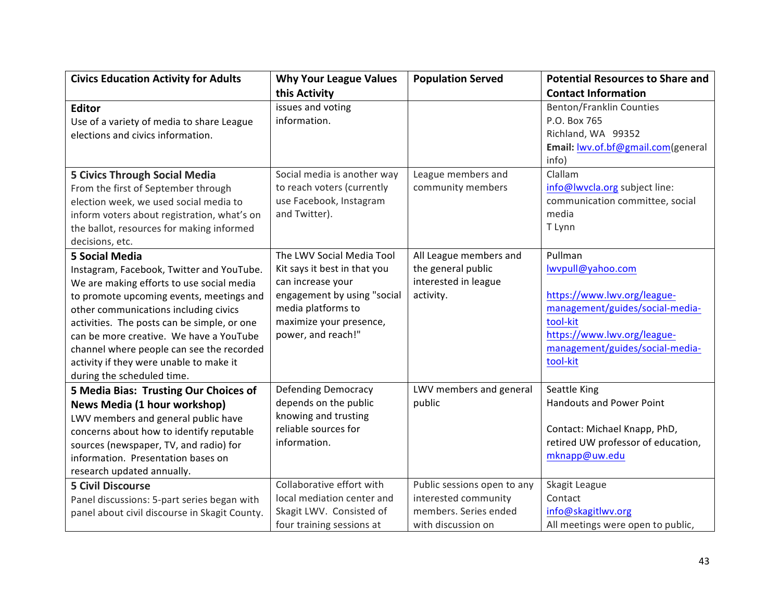| <b>Civics Education Activity for Adults</b>   | <b>Why Your League Values</b> | <b>Population Served</b>    | <b>Potential Resources to Share and</b> |
|-----------------------------------------------|-------------------------------|-----------------------------|-----------------------------------------|
|                                               | this Activity                 |                             | <b>Contact Information</b>              |
| <b>Editor</b>                                 | issues and voting             |                             | <b>Benton/Franklin Counties</b>         |
| Use of a variety of media to share League     | information.                  |                             | P.O. Box 765                            |
| elections and civics information.             |                               |                             | Richland, WA 99352                      |
|                                               |                               |                             | Email: lwv.of.bf@gmail.com(general      |
|                                               |                               |                             | info)                                   |
| <b>5 Civics Through Social Media</b>          | Social media is another way   | League members and          | Clallam                                 |
| From the first of September through           | to reach voters (currently    | community members           | info@lwvcla.org subject line:           |
| election week, we used social media to        | use Facebook, Instagram       |                             | communication committee, social         |
| inform voters about registration, what's on   | and Twitter).                 |                             | media                                   |
| the ballot, resources for making informed     |                               |                             | T Lynn                                  |
| decisions, etc.                               |                               |                             |                                         |
| <b>5 Social Media</b>                         | The LWV Social Media Tool     | All League members and      | Pullman                                 |
| Instagram, Facebook, Twitter and YouTube.     | Kit says it best in that you  | the general public          | lwypull@yahoo.com                       |
| We are making efforts to use social media     | can increase your             | interested in league        |                                         |
| to promote upcoming events, meetings and      | engagement by using "social   | activity.                   | https://www.lwv.org/league-             |
| other communications including civics         | media platforms to            |                             | management/guides/social-media-         |
| activities. The posts can be simple, or one   | maximize your presence,       |                             | tool-kit                                |
| can be more creative. We have a YouTube       | power, and reach!"            |                             | https://www.lwv.org/league-             |
| channel where people can see the recorded     |                               |                             | management/guides/social-media-         |
| activity if they were unable to make it       |                               |                             | tool-kit                                |
| during the scheduled time.                    |                               |                             |                                         |
| 5 Media Bias: Trusting Our Choices of         | <b>Defending Democracy</b>    | LWV members and general     | Seattle King                            |
| News Media (1 hour workshop)                  | depends on the public         | public                      | <b>Handouts and Power Point</b>         |
| LWV members and general public have           | knowing and trusting          |                             |                                         |
| concerns about how to identify reputable      | reliable sources for          |                             | Contact: Michael Knapp, PhD,            |
| sources (newspaper, TV, and radio) for        | information.                  |                             | retired UW professor of education,      |
| information. Presentation bases on            |                               |                             | mknapp@uw.edu                           |
| research updated annually.                    |                               |                             |                                         |
| <b>5 Civil Discourse</b>                      | Collaborative effort with     | Public sessions open to any | Skagit League                           |
| Panel discussions: 5-part series began with   | local mediation center and    | interested community        | Contact                                 |
| panel about civil discourse in Skagit County. | Skagit LWV. Consisted of      | members. Series ended       | info@skagitlwv.org                      |
|                                               | four training sessions at     | with discussion on          | All meetings were open to public,       |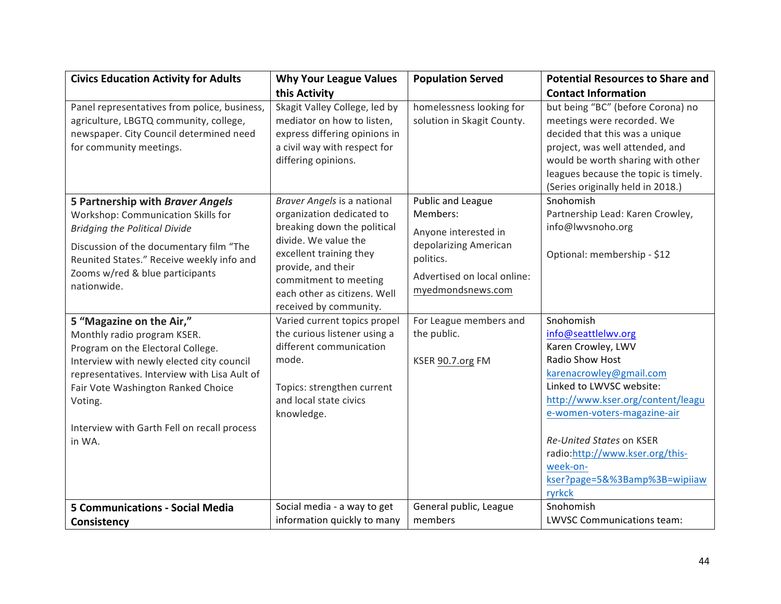| <b>Civics Education Activity for Adults</b>                                                                                                                  | <b>Why Your League Values</b>                                                                                                                       | <b>Population Served</b>                               | <b>Potential Resources to Share and</b>                                                                                                                                                                                                                |
|--------------------------------------------------------------------------------------------------------------------------------------------------------------|-----------------------------------------------------------------------------------------------------------------------------------------------------|--------------------------------------------------------|--------------------------------------------------------------------------------------------------------------------------------------------------------------------------------------------------------------------------------------------------------|
|                                                                                                                                                              | this Activity                                                                                                                                       |                                                        | <b>Contact Information</b>                                                                                                                                                                                                                             |
| Panel representatives from police, business,<br>agriculture, LBGTQ community, college,<br>newspaper. City Council determined need<br>for community meetings. | Skagit Valley College, led by<br>mediator on how to listen,<br>express differing opinions in<br>a civil way with respect for<br>differing opinions. | homelessness looking for<br>solution in Skagit County. | but being "BC" (before Corona) no<br>meetings were recorded. We<br>decided that this was a unique<br>project, was well attended, and<br>would be worth sharing with other<br>leagues because the topic is timely.<br>(Series originally held in 2018.) |
| 5 Partnership with Braver Angels                                                                                                                             | Braver Angels is a national                                                                                                                         | Public and League                                      | Snohomish                                                                                                                                                                                                                                              |
| Workshop: Communication Skills for                                                                                                                           | organization dedicated to                                                                                                                           | Members:                                               | Partnership Lead: Karen Crowley,                                                                                                                                                                                                                       |
| <b>Bridging the Political Divide</b>                                                                                                                         | breaking down the political                                                                                                                         | Anyone interested in                                   | info@lwvsnoho.org                                                                                                                                                                                                                                      |
| Discussion of the documentary film "The<br>Reunited States." Receive weekly info and                                                                         | divide. We value the<br>excellent training they<br>provide, and their                                                                               | depolarizing American<br>politics.                     | Optional: membership - \$12                                                                                                                                                                                                                            |
| Zooms w/red & blue participants<br>nationwide.                                                                                                               | commitment to meeting                                                                                                                               | Advertised on local online:                            |                                                                                                                                                                                                                                                        |
|                                                                                                                                                              | each other as citizens. Well<br>received by community.                                                                                              | myedmondsnews.com                                      |                                                                                                                                                                                                                                                        |
| 5 "Magazine on the Air,"                                                                                                                                     | Varied current topics propel                                                                                                                        | For League members and                                 | Snohomish                                                                                                                                                                                                                                              |
| Monthly radio program KSER.                                                                                                                                  | the curious listener using a                                                                                                                        | the public.                                            | info@seattlelwv.org                                                                                                                                                                                                                                    |
| Program on the Electoral College.                                                                                                                            | different communication                                                                                                                             |                                                        | Karen Crowley, LWV                                                                                                                                                                                                                                     |
| Interview with newly elected city council                                                                                                                    | mode.                                                                                                                                               | KSER 90.7.org FM                                       | Radio Show Host                                                                                                                                                                                                                                        |
| representatives. Interview with Lisa Ault of                                                                                                                 |                                                                                                                                                     |                                                        | karenacrowley@gmail.com                                                                                                                                                                                                                                |
| Fair Vote Washington Ranked Choice                                                                                                                           | Topics: strengthen current                                                                                                                          |                                                        | Linked to LWVSC website:                                                                                                                                                                                                                               |
| Voting.                                                                                                                                                      | and local state civics<br>knowledge.                                                                                                                |                                                        | http://www.kser.org/content/leagu<br>e-women-voters-magazine-air                                                                                                                                                                                       |
| Interview with Garth Fell on recall process                                                                                                                  |                                                                                                                                                     |                                                        |                                                                                                                                                                                                                                                        |
| in WA.                                                                                                                                                       |                                                                                                                                                     |                                                        | Re-United States on KSER                                                                                                                                                                                                                               |
|                                                                                                                                                              |                                                                                                                                                     |                                                        | radio:http://www.kser.org/this-                                                                                                                                                                                                                        |
|                                                                                                                                                              |                                                                                                                                                     |                                                        | week-on-                                                                                                                                                                                                                                               |
|                                                                                                                                                              |                                                                                                                                                     |                                                        | kser?page=5&%3Bamp%3B=wipiiaw<br>ryrkck                                                                                                                                                                                                                |
| <b>5 Communications - Social Media</b>                                                                                                                       | Social media - a way to get                                                                                                                         | General public, League                                 | Snohomish                                                                                                                                                                                                                                              |
| Consistency                                                                                                                                                  | information quickly to many                                                                                                                         | members                                                | <b>LWVSC Communications team:</b>                                                                                                                                                                                                                      |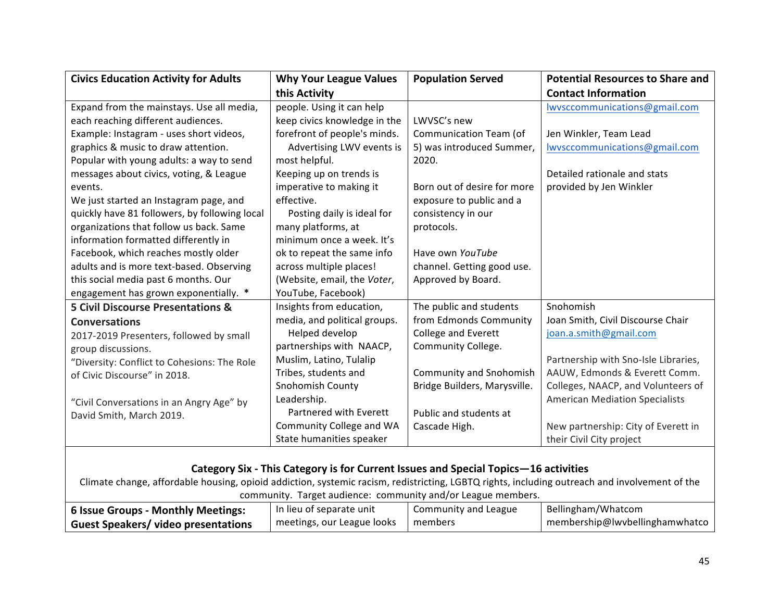| <b>Civics Education Activity for Adults</b>                                                                                                   | <b>Why Your League Values</b>                                                       | <b>Population Served</b>       | <b>Potential Resources to Share and</b> |
|-----------------------------------------------------------------------------------------------------------------------------------------------|-------------------------------------------------------------------------------------|--------------------------------|-----------------------------------------|
|                                                                                                                                               | this Activity                                                                       |                                | <b>Contact Information</b>              |
| Expand from the mainstays. Use all media,                                                                                                     | people. Using it can help                                                           |                                | lwysccommunications@gmail.com           |
| each reaching different audiences.                                                                                                            | keep civics knowledge in the                                                        | LWVSC's new                    |                                         |
| Example: Instagram - uses short videos,                                                                                                       | forefront of people's minds.                                                        | Communication Team (of         | Jen Winkler, Team Lead                  |
| graphics & music to draw attention.                                                                                                           | Advertising LWV events is                                                           | 5) was introduced Summer,      | lwvsccommunications@gmail.com           |
| Popular with young adults: a way to send                                                                                                      | most helpful.                                                                       | 2020.                          |                                         |
| messages about civics, voting, & League                                                                                                       | Keeping up on trends is                                                             |                                | Detailed rationale and stats            |
| events.                                                                                                                                       | imperative to making it                                                             | Born out of desire for more    | provided by Jen Winkler                 |
| We just started an Instagram page, and                                                                                                        | effective.                                                                          | exposure to public and a       |                                         |
| quickly have 81 followers, by following local                                                                                                 | Posting daily is ideal for                                                          | consistency in our             |                                         |
| organizations that follow us back. Same                                                                                                       | many platforms, at                                                                  | protocols.                     |                                         |
| information formatted differently in                                                                                                          | minimum once a week. It's                                                           |                                |                                         |
| Facebook, which reaches mostly older                                                                                                          | ok to repeat the same info                                                          | Have own YouTube               |                                         |
| adults and is more text-based. Observing                                                                                                      | across multiple places!                                                             | channel. Getting good use.     |                                         |
| this social media past 6 months. Our                                                                                                          | (Website, email, the Voter,                                                         | Approved by Board.             |                                         |
| engagement has grown exponentially. *                                                                                                         | YouTube, Facebook)                                                                  |                                |                                         |
| <b>5 Civil Discourse Presentations &amp;</b>                                                                                                  | Insights from education,                                                            | The public and students        | Snohomish                               |
| <b>Conversations</b>                                                                                                                          | media, and political groups.                                                        | from Edmonds Community         | Joan Smith, Civil Discourse Chair       |
| 2017-2019 Presenters, followed by small                                                                                                       | Helped develop                                                                      | College and Everett            | joan.a.smith@gmail.com                  |
| group discussions.                                                                                                                            | partnerships with NAACP,                                                            | Community College.             |                                         |
| "Diversity: Conflict to Cohesions: The Role                                                                                                   | Muslim, Latino, Tulalip                                                             |                                | Partnership with Sno-Isle Libraries,    |
| of Civic Discourse" in 2018.                                                                                                                  | Tribes, students and                                                                | <b>Community and Snohomish</b> | AAUW, Edmonds & Everett Comm.           |
|                                                                                                                                               | <b>Snohomish County</b>                                                             | Bridge Builders, Marysville.   | Colleges, NAACP, and Volunteers of      |
| "Civil Conversations in an Angry Age" by                                                                                                      | Leadership.                                                                         |                                | <b>American Mediation Specialists</b>   |
| David Smith, March 2019.                                                                                                                      | Partnered with Everett                                                              | Public and students at         |                                         |
|                                                                                                                                               | Community College and WA                                                            | Cascade High.                  | New partnership: City of Everett in     |
|                                                                                                                                               | State humanities speaker                                                            |                                | their Civil City project                |
|                                                                                                                                               |                                                                                     |                                |                                         |
|                                                                                                                                               | Category Six - This Category is for Current Issues and Special Topics-16 activities |                                |                                         |
| Climate change, affordable housing, opioid addiction, systemic racism, redistricting, LGBTQ rights, including outreach and involvement of the |                                                                                     |                                |                                         |

| community. Target audience: community and/or League members.                                                     |                            |         |                                |  |
|------------------------------------------------------------------------------------------------------------------|----------------------------|---------|--------------------------------|--|
| Bellingham/Whatcom<br>  6 Issue Groups - Monthly Meetings:<br>Community and League<br>  In lieu of separate unit |                            |         |                                |  |
| Guest Speakers/video presentations                                                                               | meetings, our League looks | members | membership@lwvbellinghamwhatco |  |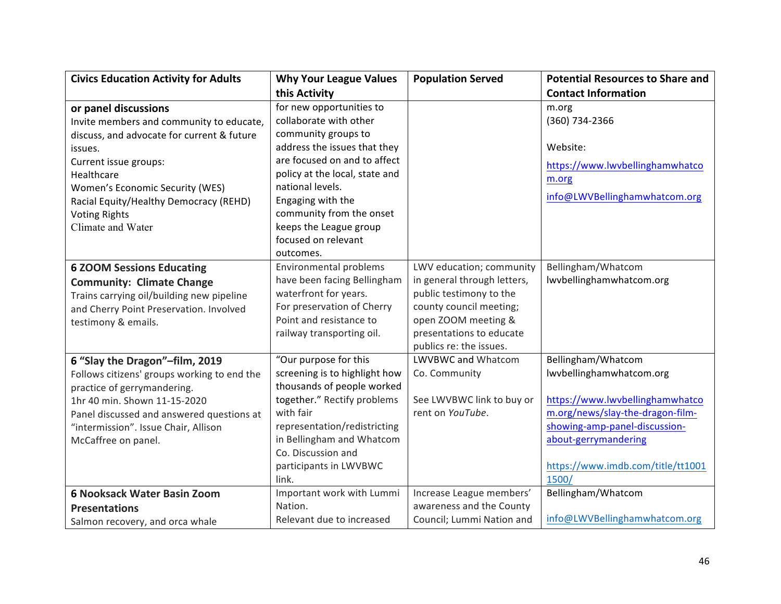| <b>Civics Education Activity for Adults</b>                                                                                                                                                                                                                                                | <b>Why Your League Values</b>                                                                                                                                                                                                                                                                     | <b>Population Served</b>                                                                                                                                                                    | <b>Potential Resources to Share and</b>                                                                                                                                                                                      |
|--------------------------------------------------------------------------------------------------------------------------------------------------------------------------------------------------------------------------------------------------------------------------------------------|---------------------------------------------------------------------------------------------------------------------------------------------------------------------------------------------------------------------------------------------------------------------------------------------------|---------------------------------------------------------------------------------------------------------------------------------------------------------------------------------------------|------------------------------------------------------------------------------------------------------------------------------------------------------------------------------------------------------------------------------|
|                                                                                                                                                                                                                                                                                            | this Activity                                                                                                                                                                                                                                                                                     |                                                                                                                                                                                             | <b>Contact Information</b>                                                                                                                                                                                                   |
| or panel discussions<br>Invite members and community to educate,<br>discuss, and advocate for current & future<br>issues.<br>Current issue groups:<br>Healthcare<br>Women's Economic Security (WES)<br>Racial Equity/Healthy Democracy (REHD)<br><b>Voting Rights</b><br>Climate and Water | for new opportunities to<br>collaborate with other<br>community groups to<br>address the issues that they<br>are focused on and to affect<br>policy at the local, state and<br>national levels.<br>Engaging with the<br>community from the onset<br>keeps the League group<br>focused on relevant |                                                                                                                                                                                             | m.org<br>(360) 734-2366<br>Website:<br>https://www.lwvbellinghamwhatco<br>m.org<br>info@LWVBellinghamwhatcom.org                                                                                                             |
| <b>6 ZOOM Sessions Educating</b><br><b>Community: Climate Change</b><br>Trains carrying oil/building new pipeline<br>and Cherry Point Preservation. Involved<br>testimony & emails.                                                                                                        | outcomes.<br>Environmental problems<br>have been facing Bellingham<br>waterfront for years.<br>For preservation of Cherry<br>Point and resistance to<br>railway transporting oil.                                                                                                                 | LWV education; community<br>in general through letters,<br>public testimony to the<br>county council meeting;<br>open ZOOM meeting &<br>presentations to educate<br>publics re: the issues. | Bellingham/Whatcom<br>lwvbellinghamwhatcom.org                                                                                                                                                                               |
| 6 "Slay the Dragon"-film, 2019<br>Follows citizens' groups working to end the<br>practice of gerrymandering.<br>1hr 40 min. Shown 11-15-2020<br>Panel discussed and answered questions at<br>"intermission". Issue Chair, Allison<br>McCaffree on panel.                                   | "Our purpose for this<br>screening is to highlight how<br>thousands of people worked<br>together." Rectify problems<br>with fair<br>representation/redistricting<br>in Bellingham and Whatcom<br>Co. Discussion and<br>participants in LWVBWC<br>link.                                            | LWVBWC and Whatcom<br>Co. Community<br>See LWVBWC link to buy or<br>rent on YouTube.                                                                                                        | Bellingham/Whatcom<br>Iwvbellinghamwhatcom.org<br>https://www.lwvbellinghamwhatco<br>m.org/news/slay-the-dragon-film-<br>showing-amp-panel-discussion-<br>about-gerrymandering<br>https://www.imdb.com/title/tt1001<br>1500/ |
| 6 Nooksack Water Basin Zoom<br><b>Presentations</b><br>Salmon recovery, and orca whale                                                                                                                                                                                                     | Important work with Lummi<br>Nation.<br>Relevant due to increased                                                                                                                                                                                                                                 | Increase League members'<br>awareness and the County<br>Council; Lummi Nation and                                                                                                           | Bellingham/Whatcom<br>info@LWVBellinghamwhatcom.org                                                                                                                                                                          |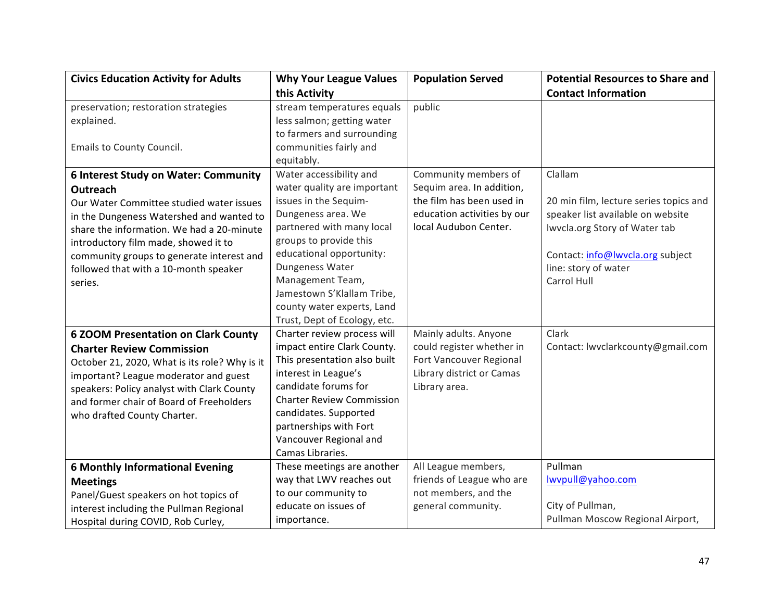| <b>Civics Education Activity for Adults</b>   | <b>Why Your League Values</b>    | <b>Population Served</b>    | <b>Potential Resources to Share and</b> |
|-----------------------------------------------|----------------------------------|-----------------------------|-----------------------------------------|
|                                               | this Activity                    |                             | <b>Contact Information</b>              |
| preservation; restoration strategies          | stream temperatures equals       | public                      |                                         |
| explained.                                    | less salmon; getting water       |                             |                                         |
|                                               | to farmers and surrounding       |                             |                                         |
| Emails to County Council.                     | communities fairly and           |                             |                                         |
|                                               | equitably.                       |                             |                                         |
| <b>6 Interest Study on Water: Community</b>   | Water accessibility and          | Community members of        | Clallam                                 |
| Outreach                                      | water quality are important      | Sequim area. In addition,   |                                         |
| Our Water Committee studied water issues      | issues in the Sequim-            | the film has been used in   | 20 min film, lecture series topics and  |
| in the Dungeness Watershed and wanted to      | Dungeness area. We               | education activities by our | speaker list available on website       |
| share the information. We had a 20-minute     | partnered with many local        | local Audubon Center.       | Iwvcla.org Story of Water tab           |
| introductory film made, showed it to          | groups to provide this           |                             |                                         |
| community groups to generate interest and     | educational opportunity:         |                             | Contact: info@lwvcla.org subject        |
| followed that with a 10-month speaker         | Dungeness Water                  |                             | line: story of water                    |
| series.                                       | Management Team,                 |                             | Carrol Hull                             |
|                                               | Jamestown S'Klallam Tribe,       |                             |                                         |
|                                               | county water experts, Land       |                             |                                         |
|                                               | Trust, Dept of Ecology, etc.     |                             |                                         |
| <b>6 ZOOM Presentation on Clark County</b>    | Charter review process will      | Mainly adults. Anyone       | Clark                                   |
| <b>Charter Review Commission</b>              | impact entire Clark County.      | could register whether in   | Contact: lwvclarkcounty@gmail.com       |
| October 21, 2020, What is its role? Why is it | This presentation also built     | Fort Vancouver Regional     |                                         |
| important? League moderator and guest         | interest in League's             | Library district or Camas   |                                         |
| speakers: Policy analyst with Clark County    | candidate forums for             | Library area.               |                                         |
| and former chair of Board of Freeholders      | <b>Charter Review Commission</b> |                             |                                         |
| who drafted County Charter.                   | candidates. Supported            |                             |                                         |
|                                               | partnerships with Fort           |                             |                                         |
|                                               | Vancouver Regional and           |                             |                                         |
|                                               | Camas Libraries.                 |                             |                                         |
| <b>6 Monthly Informational Evening</b>        | These meetings are another       | All League members,         | Pullman                                 |
| <b>Meetings</b>                               | way that LWV reaches out         | friends of League who are   | lwvpull@yahoo.com                       |
| Panel/Guest speakers on hot topics of         | to our community to              | not members, and the        |                                         |
| interest including the Pullman Regional       | educate on issues of             | general community.          | City of Pullman,                        |
| Hospital during COVID, Rob Curley,            | importance.                      |                             | Pullman Moscow Regional Airport,        |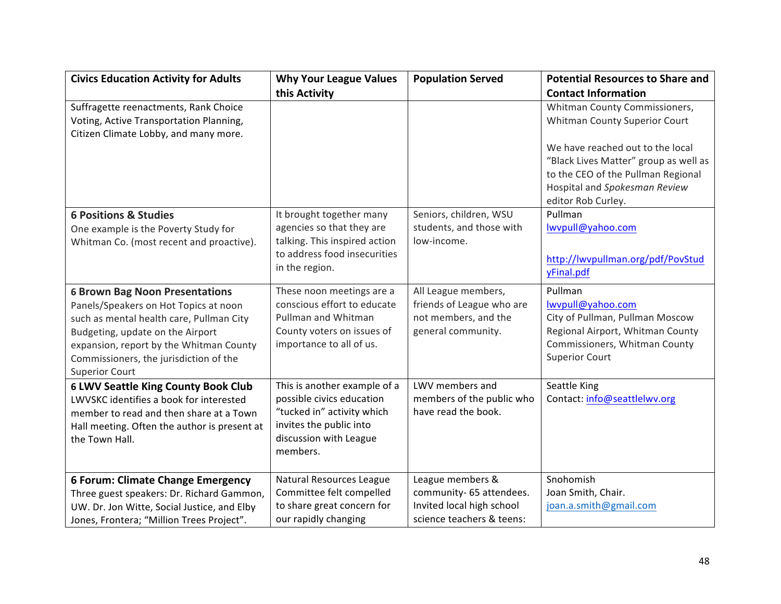| <b>Civics Education Activity for Adults</b>                    | <b>Why Your League Values</b>                         | <b>Population Served</b>  | <b>Potential Resources to Share and</b> |
|----------------------------------------------------------------|-------------------------------------------------------|---------------------------|-----------------------------------------|
|                                                                | this Activity                                         |                           | <b>Contact Information</b>              |
| Suffragette reenactments, Rank Choice                          |                                                       |                           | Whitman County Commissioners,           |
| Voting, Active Transportation Planning,                        |                                                       |                           | Whitman County Superior Court           |
| Citizen Climate Lobby, and many more.                          |                                                       |                           | We have reached out to the local        |
|                                                                |                                                       |                           | "Black Lives Matter" group as well as   |
|                                                                |                                                       |                           | to the CEO of the Pullman Regional      |
|                                                                |                                                       |                           | Hospital and Spokesman Review           |
|                                                                |                                                       |                           | editor Rob Curley.                      |
| <b>6 Positions &amp; Studies</b>                               | It brought together many                              | Seniors, children, WSU    | Pullman                                 |
| One example is the Poverty Study for                           | agencies so that they are                             | students, and those with  | lwvpull@yahoo.com                       |
| Whitman Co. (most recent and proactive).                       | talking. This inspired action                         | low-income.               |                                         |
|                                                                | to address food insecurities                          |                           | http://lwvpullman.org/pdf/PovStud       |
|                                                                | in the region.                                        |                           | yFinal.pdf                              |
| <b>6 Brown Bag Noon Presentations</b>                          | These noon meetings are a                             | All League members,       | Pullman                                 |
| Panels/Speakers on Hot Topics at noon                          | conscious effort to educate                           | friends of League who are | lwvpull@yahoo.com                       |
| such as mental health care, Pullman City                       | Pullman and Whitman                                   | not members, and the      | City of Pullman, Pullman Moscow         |
| Budgeting, update on the Airport                               | County voters on issues of                            | general community.        | Regional Airport, Whitman County        |
| expansion, report by the Whitman County                        | importance to all of us.                              |                           | Commissioners, Whitman County           |
| Commissioners, the jurisdiction of the                         |                                                       |                           | <b>Superior Court</b>                   |
| <b>Superior Court</b>                                          |                                                       |                           |                                         |
| <b>6 LWV Seattle King County Book Club</b>                     | This is another example of a                          | LWV members and           | Seattle King                            |
| LWVSKC identifies a book for interested                        | possible civics education                             | members of the public who | Contact: info@seattlelwv.org            |
| member to read and then share at a Town                        | "tucked in" activity which<br>invites the public into | have read the book.       |                                         |
| Hall meeting. Often the author is present at<br>the Town Hall. | discussion with League                                |                           |                                         |
|                                                                | members.                                              |                           |                                         |
|                                                                |                                                       |                           |                                         |
| <b>6 Forum: Climate Change Emergency</b>                       | Natural Resources League                              | League members &          | Snohomish                               |
| Three guest speakers: Dr. Richard Gammon,                      | Committee felt compelled                              | community- 65 attendees.  | Joan Smith, Chair.                      |
| UW. Dr. Jon Witte, Social Justice, and Elby                    | to share great concern for                            | Invited local high school | joan.a.smith@gmail.com                  |
| Jones, Frontera; "Million Trees Project".                      | our rapidly changing                                  | science teachers & teens: |                                         |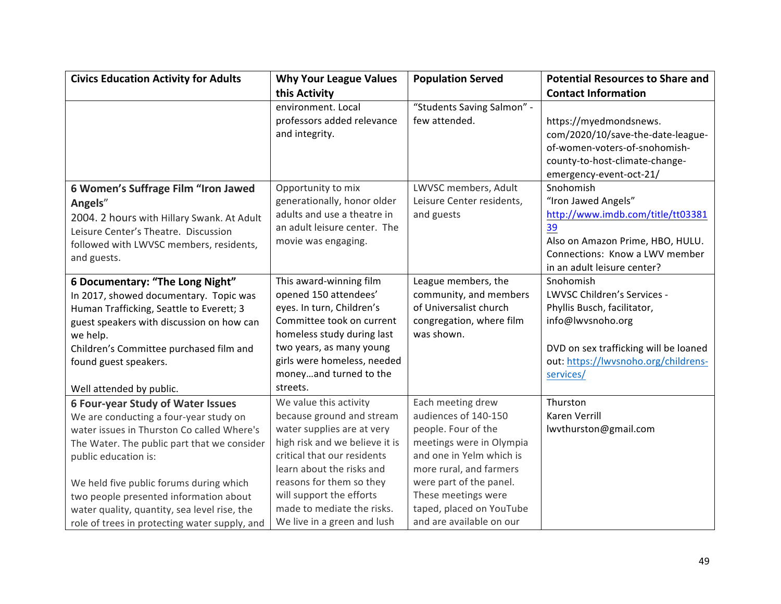| <b>Civics Education Activity for Adults</b>   | <b>Why Your League Values</b>  | <b>Population Served</b>   | <b>Potential Resources to Share and</b> |
|-----------------------------------------------|--------------------------------|----------------------------|-----------------------------------------|
|                                               | this Activity                  |                            | <b>Contact Information</b>              |
|                                               | environment. Local             | "Students Saving Salmon" - |                                         |
|                                               | professors added relevance     | few attended.              | https://myedmondsnews.                  |
|                                               | and integrity.                 |                            | com/2020/10/save-the-date-league-       |
|                                               |                                |                            | of-women-voters-of-snohomish-           |
|                                               |                                |                            | county-to-host-climate-change-          |
|                                               |                                |                            | emergency-event-oct-21/                 |
| 6 Women's Suffrage Film "Iron Jawed           | Opportunity to mix             | LWVSC members, Adult       | Snohomish                               |
| Angels"                                       | generationally, honor older    | Leisure Center residents,  | "Iron Jawed Angels"                     |
| 2004. 2 hours with Hillary Swank. At Adult    | adults and use a theatre in    | and guests                 | http://www.imdb.com/title/tt03381       |
| Leisure Center's Theatre. Discussion          | an adult leisure center. The   |                            | 39                                      |
| followed with LWVSC members, residents,       | movie was engaging.            |                            | Also on Amazon Prime, HBO, HULU.        |
| and guests.                                   |                                |                            | Connections: Know a LWV member          |
|                                               |                                |                            | in an adult leisure center?             |
| 6 Documentary: "The Long Night"               | This award-winning film        | League members, the        | Snohomish                               |
| In 2017, showed documentary. Topic was        | opened 150 attendees'          | community, and members     | LWVSC Children's Services -             |
| Human Trafficking, Seattle to Everett; 3      | eyes. In turn, Children's      | of Universalist church     | Phyllis Busch, facilitator,             |
| guest speakers with discussion on how can     | Committee took on current      | congregation, where film   | info@lwvsnoho.org                       |
| we help.                                      | homeless study during last     | was shown.                 |                                         |
| Children's Committee purchased film and       | two years, as many young       |                            | DVD on sex trafficking will be loaned   |
| found guest speakers.                         | girls were homeless, needed    |                            | out: https://lwvsnoho.org/childrens-    |
|                                               | moneyand turned to the         |                            | services/                               |
| Well attended by public.                      | streets.                       |                            |                                         |
| <b>6 Four-year Study of Water Issues</b>      | We value this activity         | Each meeting drew          | Thurston                                |
| We are conducting a four-year study on        | because ground and stream      | audiences of 140-150       | <b>Karen Verrill</b>                    |
| water issues in Thurston Co called Where's    | water supplies are at very     | people. Four of the        | lwvthurston@gmail.com                   |
| The Water. The public part that we consider   | high risk and we believe it is | meetings were in Olympia   |                                         |
| public education is:                          | critical that our residents    | and one in Yelm which is   |                                         |
|                                               | learn about the risks and      | more rural, and farmers    |                                         |
| We held five public forums during which       | reasons for them so they       | were part of the panel.    |                                         |
| two people presented information about        | will support the efforts       | These meetings were        |                                         |
| water quality, quantity, sea level rise, the  | made to mediate the risks.     | taped, placed on YouTube   |                                         |
| role of trees in protecting water supply, and | We live in a green and lush    | and are available on our   |                                         |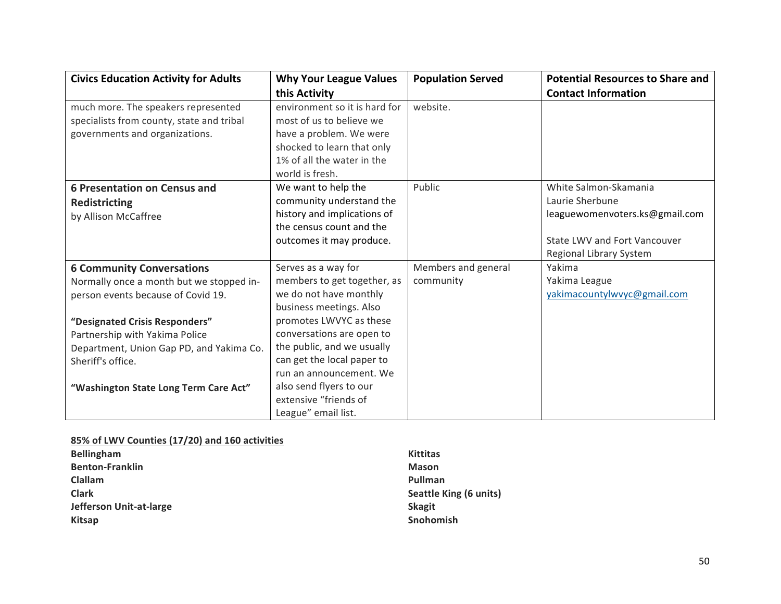| <b>Civics Education Activity for Adults</b> | <b>Why Your League Values</b> | <b>Population Served</b> | <b>Potential Resources to Share and</b> |
|---------------------------------------------|-------------------------------|--------------------------|-----------------------------------------|
|                                             | this Activity                 |                          | <b>Contact Information</b>              |
| much more. The speakers represented         | environment so it is hard for | website.                 |                                         |
| specialists from county, state and tribal   | most of us to believe we      |                          |                                         |
| governments and organizations.              | have a problem. We were       |                          |                                         |
|                                             | shocked to learn that only    |                          |                                         |
|                                             | 1% of all the water in the    |                          |                                         |
|                                             | world is fresh.               |                          |                                         |
| <b>6 Presentation on Census and</b>         | We want to help the           | Public                   | White Salmon-Skamania                   |
| <b>Redistricting</b>                        | community understand the      |                          | Laurie Sherbune                         |
| by Allison McCaffree                        | history and implications of   |                          | leaguewomenvoters.ks@gmail.com          |
|                                             | the census count and the      |                          |                                         |
|                                             | outcomes it may produce.      |                          | State LWV and Fort Vancouver            |
|                                             |                               |                          | Regional Library System                 |
| <b>6 Community Conversations</b>            | Serves as a way for           | Members and general      | Yakima                                  |
| Normally once a month but we stopped in-    | members to get together, as   | community                | Yakima League                           |
| person events because of Covid 19.          | we do not have monthly        |                          | yakimacountylwvyc@gmail.com             |
|                                             | business meetings. Also       |                          |                                         |
| "Designated Crisis Responders"              | promotes LWVYC as these       |                          |                                         |
| Partnership with Yakima Police              | conversations are open to     |                          |                                         |
| Department, Union Gap PD, and Yakima Co.    | the public, and we usually    |                          |                                         |
| Sheriff's office.                           | can get the local paper to    |                          |                                         |
|                                             | run an announcement. We       |                          |                                         |
| "Washington State Long Term Care Act"       | also send flyers to our       |                          |                                         |
|                                             | extensive "friends of         |                          |                                         |
|                                             | League" email list.           |                          |                                         |

#### **85% of LWV Counties (17/20) and 160 activities**

| <b>Bellingham</b>       | <b>Kittitas</b>        |
|-------------------------|------------------------|
| <b>Benton-Franklin</b>  | <b>Mason</b>           |
| Clallam                 | Pullman                |
| <b>Clark</b>            | Seattle King (6 units) |
| Jefferson Unit-at-large | <b>Skagit</b>          |
| <b>Kitsap</b>           | <b>Snohomish</b>       |
|                         |                        |